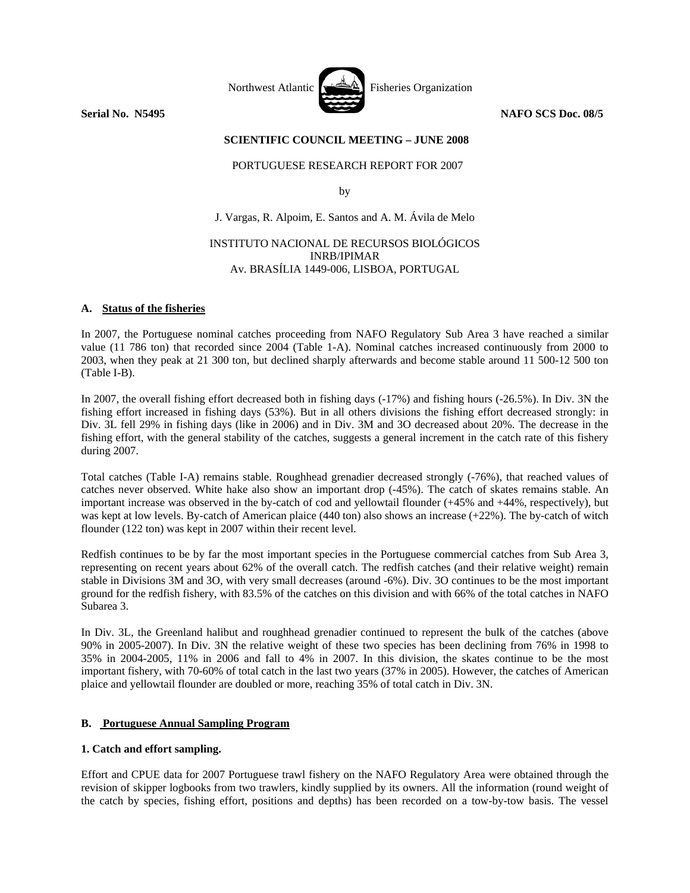

## **SCIENTIFIC COUNCIL MEETING – JUNE 2008**

## PORTUGUESE RESEARCH REPORT FOR 2007

by

J. Vargas, R. Alpoim, E. Santos and A. M. Ávila de Melo

## INSTITUTO NACIONAL DE RECURSOS BIOLÓGICOS INRB/IPIMAR Av. BRASÍLIA 1449-006, LISBOA, PORTUGAL

## **A. Status of the fisheries**

In 2007, the Portuguese nominal catches proceeding from NAFO Regulatory Sub Area 3 have reached a similar value (11 786 ton) that recorded since 2004 (Table 1-A). Nominal catches increased continuously from 2000 to 2003, when they peak at 21 300 ton, but declined sharply afterwards and become stable around 11 500-12 500 ton (Table I-B).

In 2007, the overall fishing effort decreased both in fishing days (-17%) and fishing hours (-26.5%). In Div. 3N the fishing effort increased in fishing days (53%). But in all others divisions the fishing effort decreased strongly: in Div. 3L fell 29% in fishing days (like in 2006) and in Div. 3M and 3O decreased about 20%. The decrease in the fishing effort, with the general stability of the catches, suggests a general increment in the catch rate of this fishery during 2007.

Total catches (Table I-A) remains stable. Roughhead grenadier decreased strongly (-76%), that reached values of catches never observed. White hake also show an important drop (-45%). The catch of skates remains stable. An important increase was observed in the by-catch of cod and yellowtail flounder (+45% and +44%, respectively), but was kept at low levels. By-catch of American plaice (440 ton) also shows an increase (+22%). The by-catch of witch flounder (122 ton) was kept in 2007 within their recent level.

Redfish continues to be by far the most important species in the Portuguese commercial catches from Sub Area 3, representing on recent years about 62% of the overall catch. The redfish catches (and their relative weight) remain stable in Divisions 3M and 3O, with very small decreases (around -6%). Div. 3O continues to be the most important ground for the redfish fishery, with 83.5% of the catches on this division and with 66% of the total catches in NAFO Subarea 3.

In Div. 3L, the Greenland halibut and roughhead grenadier continued to represent the bulk of the catches (above 90% in 2005-2007). In Div. 3N the relative weight of these two species has been declining from 76% in 1998 to 35% in 2004-2005, 11% in 2006 and fall to 4% in 2007. In this division, the skates continue to be the most important fishery, with 70-60% of total catch in the last two years (37% in 2005). However, the catches of American plaice and yellowtail flounder are doubled or more, reaching 35% of total catch in Div. 3N.

# **B. Portuguese Annual Sampling Program**

# **1. Catch and effort sampling.**

Effort and CPUE data for 2007 Portuguese trawl fishery on the NAFO Regulatory Area were obtained through the revision of skipper logbooks from two trawlers, kindly supplied by its owners. All the information (round weight of the catch by species, fishing effort, positions and depths) has been recorded on a tow-by-tow basis. The vessel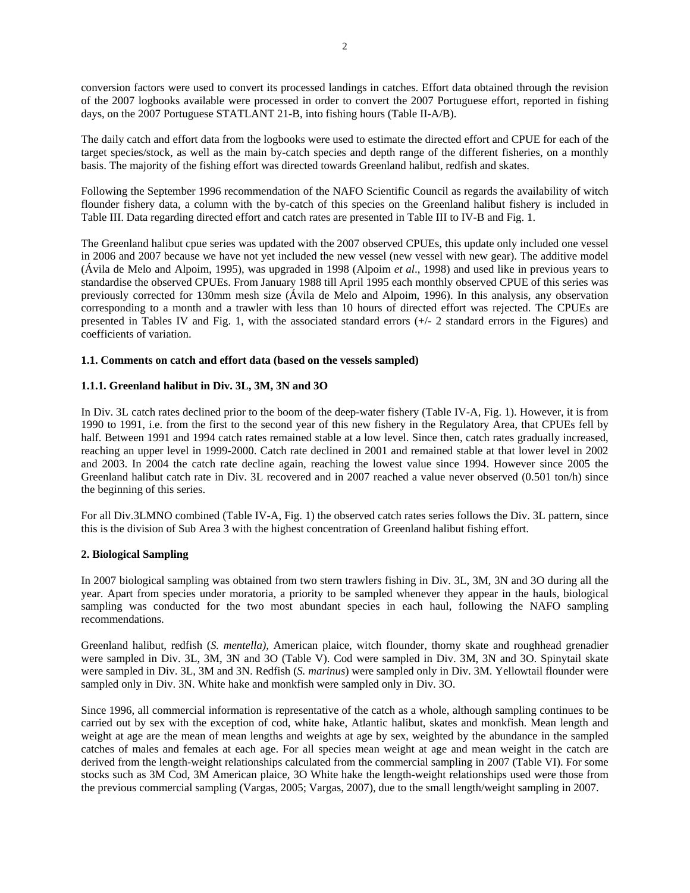conversion factors were used to convert its processed landings in catches. Effort data obtained through the revision of the 2007 logbooks available were processed in order to convert the 2007 Portuguese effort, reported in fishing days, on the 2007 Portuguese STATLANT 21-B, into fishing hours (Table II-A/B).

The daily catch and effort data from the logbooks were used to estimate the directed effort and CPUE for each of the target species/stock, as well as the main by-catch species and depth range of the different fisheries, on a monthly basis. The majority of the fishing effort was directed towards Greenland halibut, redfish and skates.

Following the September 1996 recommendation of the NAFO Scientific Council as regards the availability of witch flounder fishery data, a column with the by-catch of this species on the Greenland halibut fishery is included in Table III. Data regarding directed effort and catch rates are presented in Table III to IV-B and Fig. 1.

The Greenland halibut cpue series was updated with the 2007 observed CPUEs, this update only included one vessel in 2006 and 2007 because we have not yet included the new vessel (new vessel with new gear). The additive model (Ávila de Melo and Alpoim, 1995), was upgraded in 1998 (Alpoim *et al*., 1998) and used like in previous years to standardise the observed CPUEs. From January 1988 till April 1995 each monthly observed CPUE of this series was previously corrected for 130mm mesh size (Ávila de Melo and Alpoim, 1996). In this analysis, any observation corresponding to a month and a trawler with less than 10 hours of directed effort was rejected. The CPUEs are presented in Tables IV and Fig. 1, with the associated standard errors (+/- 2 standard errors in the Figures) and coefficients of variation.

# **1.1. Comments on catch and effort data (based on the vessels sampled)**

## **1.1.1. Greenland halibut in Div. 3L, 3M, 3N and 3O**

In Div. 3L catch rates declined prior to the boom of the deep-water fishery (Table IV-A, Fig. 1). However, it is from 1990 to 1991, i.e. from the first to the second year of this new fishery in the Regulatory Area, that CPUEs fell by half. Between 1991 and 1994 catch rates remained stable at a low level. Since then, catch rates gradually increased, reaching an upper level in 1999-2000. Catch rate declined in 2001 and remained stable at that lower level in 2002 and 2003. In 2004 the catch rate decline again, reaching the lowest value since 1994. However since 2005 the Greenland halibut catch rate in Div. 3L recovered and in 2007 reached a value never observed (0.501 ton/h) since the beginning of this series.

For all Div.3LMNO combined (Table IV-A, Fig. 1) the observed catch rates series follows the Div. 3L pattern, since this is the division of Sub Area 3 with the highest concentration of Greenland halibut fishing effort.

### **2. Biological Sampling**

In 2007 biological sampling was obtained from two stern trawlers fishing in Div. 3L, 3M, 3N and 3O during all the year. Apart from species under moratoria, a priority to be sampled whenever they appear in the hauls, biological sampling was conducted for the two most abundant species in each haul, following the NAFO sampling recommendations.

Greenland halibut, redfish (*S. mentella),* American plaice, witch flounder, thorny skate and roughhead grenadier were sampled in Div. 3L, 3M, 3N and 3O (Table V). Cod were sampled in Div. 3M, 3N and 3O. Spinytail skate were sampled in Div. 3L, 3M and 3N. Redfish (*S. marinus*) were sampled only in Div. 3M. Yellowtail flounder were sampled only in Div. 3N. White hake and monkfish were sampled only in Div. 3O.

Since 1996, all commercial information is representative of the catch as a whole, although sampling continues to be carried out by sex with the exception of cod, white hake, Atlantic halibut, skates and monkfish. Mean length and weight at age are the mean of mean lengths and weights at age by sex, weighted by the abundance in the sampled catches of males and females at each age. For all species mean weight at age and mean weight in the catch are derived from the length-weight relationships calculated from the commercial sampling in 2007 (Table VI). For some stocks such as 3M Cod, 3M American plaice, 3O White hake the length-weight relationships used were those from the previous commercial sampling (Vargas, 2005; Vargas, 2007), due to the small length/weight sampling in 2007.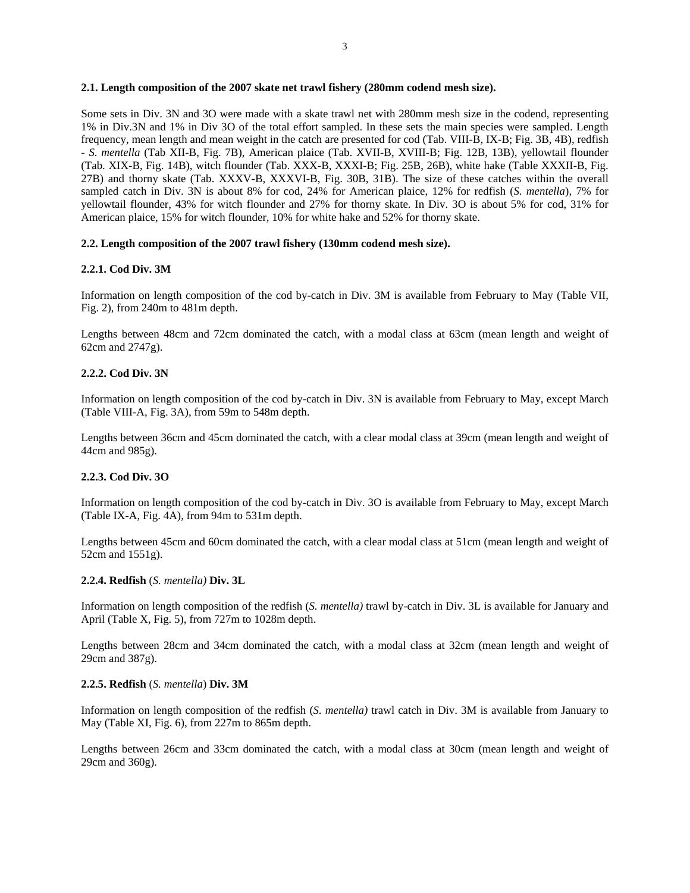#### 3

### **2.1. Length composition of the 2007 skate net trawl fishery (280mm codend mesh size).**

Some sets in Div. 3N and 3O were made with a skate trawl net with 280mm mesh size in the codend, representing 1% in Div.3N and 1% in Div 3O of the total effort sampled. In these sets the main species were sampled. Length frequency, mean length and mean weight in the catch are presented for cod (Tab. VIII-B, IX-B; Fig. 3B, 4B), redfish - *S. mentella* (Tab XII-B, Fig. 7B), American plaice (Tab. XVII-B, XVIII-B; Fig. 12B, 13B), yellowtail flounder (Tab. XIX-B, Fig. 14B), witch flounder (Tab. XXX-B, XXXI-B; Fig. 25B, 26B), white hake (Table XXXII-B, Fig. 27B) and thorny skate (Tab. XXXV-B, XXXVI-B, Fig. 30B, 31B). The size of these catches within the overall sampled catch in Div. 3N is about 8% for cod, 24% for American plaice, 12% for redfish (*S. mentella*), 7% for yellowtail flounder, 43% for witch flounder and 27% for thorny skate. In Div. 3O is about 5% for cod, 31% for American plaice, 15% for witch flounder, 10% for white hake and 52% for thorny skate.

### **2.2. Length composition of the 2007 trawl fishery (130mm codend mesh size).**

### **2.2.1. Cod Div. 3M**

Information on length composition of the cod by-catch in Div. 3M is available from February to May (Table VII, Fig. 2), from 240m to 481m depth.

Lengths between 48cm and 72cm dominated the catch, with a modal class at 63cm (mean length and weight of 62cm and 2747g).

### **2.2.2. Cod Div. 3N**

Information on length composition of the cod by-catch in Div. 3N is available from February to May, except March (Table VIII-A, Fig. 3A), from 59m to 548m depth.

Lengths between 36cm and 45cm dominated the catch, with a clear modal class at 39cm (mean length and weight of 44cm and 985g).

### **2.2.3. Cod Div. 3O**

Information on length composition of the cod by-catch in Div. 3O is available from February to May, except March (Table IX-A, Fig. 4A), from 94m to 531m depth.

Lengths between 45cm and 60cm dominated the catch, with a clear modal class at 51cm (mean length and weight of 52cm and 1551g).

### **2.2.4. Redfish** (*S. mentella)* **Div. 3L**

Information on length composition of the redfish (*S. mentella)* trawl by-catch in Div. 3L is available for January and April (Table X, Fig. 5), from 727m to 1028m depth.

Lengths between 28cm and 34cm dominated the catch, with a modal class at 32cm (mean length and weight of 29cm and 387g).

### **2.2.5. Redfish** (*S. mentella*) **Div. 3M**

Information on length composition of the redfish (*S. mentella)* trawl catch in Div. 3M is available from January to May (Table XI, Fig. 6), from 227m to 865m depth.

Lengths between 26cm and 33cm dominated the catch, with a modal class at 30cm (mean length and weight of 29cm and 360g).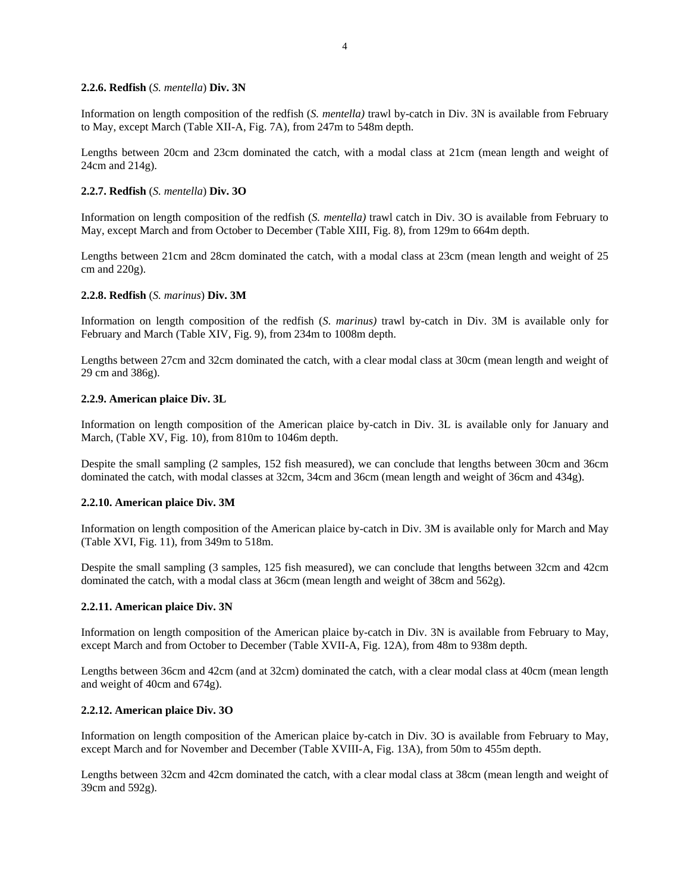### **2.2.6. Redfish** (*S. mentella*) **Div. 3N**

Information on length composition of the redfish (*S. mentella)* trawl by-catch in Div. 3N is available from February to May, except March (Table XII-A, Fig. 7A), from 247m to 548m depth.

Lengths between 20cm and 23cm dominated the catch, with a modal class at 21cm (mean length and weight of 24cm and 214g).

### **2.2.7. Redfish** (*S. mentella*) **Div. 3O**

Information on length composition of the redfish (*S. mentella)* trawl catch in Div. 3O is available from February to May, except March and from October to December (Table XIII, Fig. 8), from 129m to 664m depth.

Lengths between 21cm and 28cm dominated the catch, with a modal class at 23cm (mean length and weight of 25 cm and 220g).

#### **2.2.8. Redfish** (*S. marinus*) **Div. 3M**

Information on length composition of the redfish (*S. marinus)* trawl by-catch in Div. 3M is available only for February and March (Table XIV, Fig. 9), from 234m to 1008m depth.

Lengths between 27cm and 32cm dominated the catch, with a clear modal class at 30cm (mean length and weight of 29 cm and 386g).

#### **2.2.9. American plaice Div. 3L**

Information on length composition of the American plaice by-catch in Div. 3L is available only for January and March, (Table XV, Fig. 10), from 810m to 1046m depth.

Despite the small sampling (2 samples, 152 fish measured), we can conclude that lengths between 30cm and 36cm dominated the catch, with modal classes at 32cm, 34cm and 36cm (mean length and weight of 36cm and 434g).

### **2.2.10. American plaice Div. 3M**

Information on length composition of the American plaice by-catch in Div. 3M is available only for March and May (Table XVI, Fig. 11), from 349m to 518m.

Despite the small sampling (3 samples, 125 fish measured), we can conclude that lengths between 32cm and 42cm dominated the catch, with a modal class at 36cm (mean length and weight of 38cm and 562g).

#### **2.2.11. American plaice Div. 3N**

Information on length composition of the American plaice by-catch in Div. 3N is available from February to May, except March and from October to December (Table XVII-A, Fig. 12A), from 48m to 938m depth.

Lengths between 36cm and 42cm (and at 32cm) dominated the catch, with a clear modal class at 40cm (mean length and weight of 40cm and 674g).

#### **2.2.12. American plaice Div. 3O**

Information on length composition of the American plaice by-catch in Div. 3O is available from February to May, except March and for November and December (Table XVIII-A, Fig. 13A), from 50m to 455m depth.

Lengths between 32cm and 42cm dominated the catch, with a clear modal class at 38cm (mean length and weight of 39cm and 592g).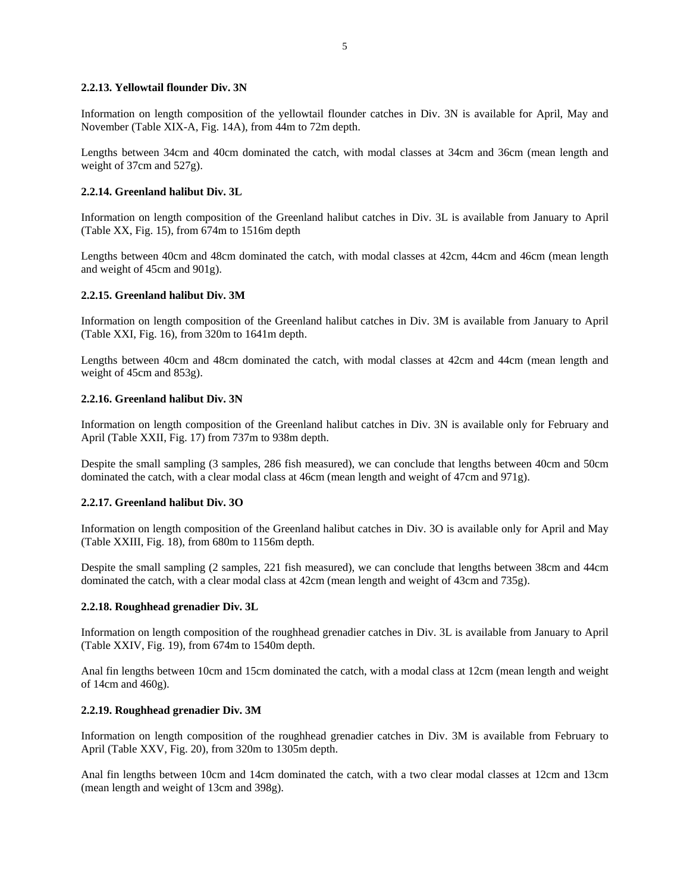### **2.2.13. Yellowtail flounder Div. 3N**

Information on length composition of the yellowtail flounder catches in Div. 3N is available for April, May and November (Table XIX-A, Fig. 14A), from 44m to 72m depth.

Lengths between 34cm and 40cm dominated the catch, with modal classes at 34cm and 36cm (mean length and weight of 37cm and 527g).

### **2.2.14. Greenland halibut Div. 3L**

Information on length composition of the Greenland halibut catches in Div. 3L is available from January to April (Table XX, Fig. 15), from 674m to 1516m depth

Lengths between 40cm and 48cm dominated the catch, with modal classes at 42cm, 44cm and 46cm (mean length and weight of 45cm and 901g).

### **2.2.15. Greenland halibut Div. 3M**

Information on length composition of the Greenland halibut catches in Div. 3M is available from January to April (Table XXI, Fig. 16), from 320m to 1641m depth.

Lengths between 40cm and 48cm dominated the catch, with modal classes at 42cm and 44cm (mean length and weight of 45cm and 853g).

### **2.2.16. Greenland halibut Div. 3N**

Information on length composition of the Greenland halibut catches in Div. 3N is available only for February and April (Table XXII, Fig. 17) from 737m to 938m depth.

Despite the small sampling (3 samples, 286 fish measured), we can conclude that lengths between 40cm and 50cm dominated the catch, with a clear modal class at 46cm (mean length and weight of 47cm and 971g).

### **2.2.17. Greenland halibut Div. 3O**

Information on length composition of the Greenland halibut catches in Div. 3O is available only for April and May (Table XXIII, Fig. 18), from 680m to 1156m depth.

Despite the small sampling (2 samples, 221 fish measured), we can conclude that lengths between 38cm and 44cm dominated the catch, with a clear modal class at 42cm (mean length and weight of 43cm and 735g).

### **2.2.18. Roughhead grenadier Div. 3L**

Information on length composition of the roughhead grenadier catches in Div. 3L is available from January to April (Table XXIV, Fig. 19), from 674m to 1540m depth.

Anal fin lengths between 10cm and 15cm dominated the catch, with a modal class at 12cm (mean length and weight of 14cm and 460g).

### **2.2.19. Roughhead grenadier Div. 3M**

Information on length composition of the roughhead grenadier catches in Div. 3M is available from February to April (Table XXV, Fig. 20), from 320m to 1305m depth.

Anal fin lengths between 10cm and 14cm dominated the catch, with a two clear modal classes at 12cm and 13cm (mean length and weight of 13cm and 398g).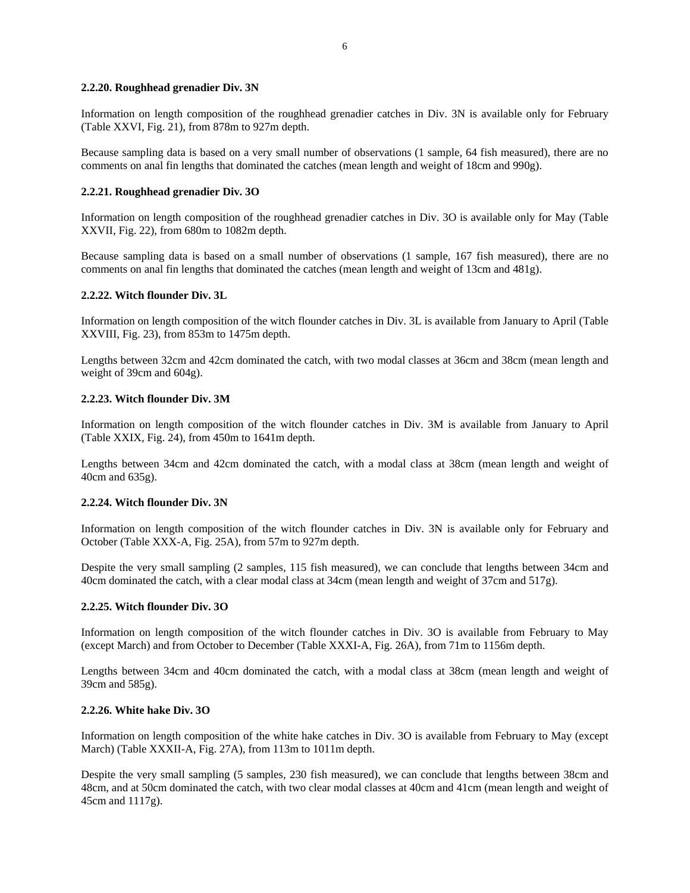### **2.2.20. Roughhead grenadier Div. 3N**

Information on length composition of the roughhead grenadier catches in Div. 3N is available only for February (Table XXVI, Fig. 21), from 878m to 927m depth.

Because sampling data is based on a very small number of observations (1 sample, 64 fish measured), there are no comments on anal fin lengths that dominated the catches (mean length and weight of 18cm and 990g).

#### **2.2.21. Roughhead grenadier Div. 3O**

Information on length composition of the roughhead grenadier catches in Div. 3O is available only for May (Table XXVII, Fig. 22), from 680m to 1082m depth.

Because sampling data is based on a small number of observations (1 sample, 167 fish measured), there are no comments on anal fin lengths that dominated the catches (mean length and weight of 13cm and 481g).

#### **2.2.22. Witch flounder Div. 3L**

Information on length composition of the witch flounder catches in Div. 3L is available from January to April (Table XXVIII, Fig. 23), from 853m to 1475m depth.

Lengths between 32cm and 42cm dominated the catch, with two modal classes at 36cm and 38cm (mean length and weight of 39cm and 604g).

#### **2.2.23. Witch flounder Div. 3M**

Information on length composition of the witch flounder catches in Div. 3M is available from January to April (Table XXIX, Fig. 24), from 450m to 1641m depth.

Lengths between 34cm and 42cm dominated the catch, with a modal class at 38cm (mean length and weight of 40cm and 635g).

#### **2.2.24. Witch flounder Div. 3N**

Information on length composition of the witch flounder catches in Div. 3N is available only for February and October (Table XXX-A, Fig. 25A), from 57m to 927m depth.

Despite the very small sampling (2 samples, 115 fish measured), we can conclude that lengths between 34cm and 40cm dominated the catch, with a clear modal class at 34cm (mean length and weight of 37cm and 517g).

#### **2.2.25. Witch flounder Div. 3O**

Information on length composition of the witch flounder catches in Div. 3O is available from February to May (except March) and from October to December (Table XXXI-A, Fig. 26A), from 71m to 1156m depth.

Lengths between 34cm and 40cm dominated the catch, with a modal class at 38cm (mean length and weight of 39cm and 585g).

#### **2.2.26. White hake Div. 3O**

Information on length composition of the white hake catches in Div. 3O is available from February to May (except March) (Table XXXII-A, Fig. 27A), from 113m to 1011m depth.

Despite the very small sampling (5 samples, 230 fish measured), we can conclude that lengths between 38cm and 48cm, and at 50cm dominated the catch, with two clear modal classes at 40cm and 41cm (mean length and weight of 45cm and 1117g).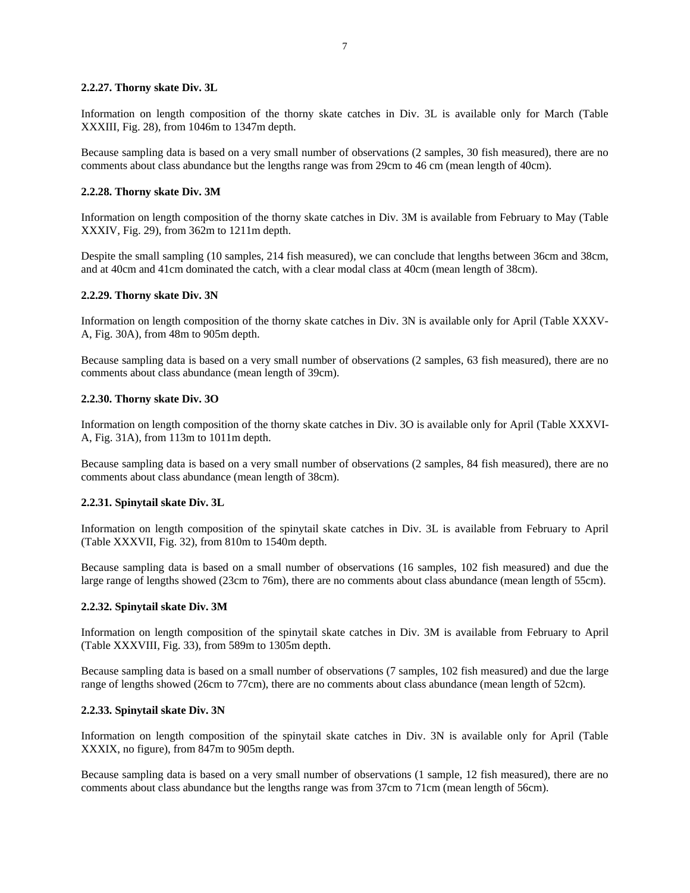### **2.2.27. Thorny skate Div. 3L**

Information on length composition of the thorny skate catches in Div. 3L is available only for March (Table XXXIII, Fig. 28), from 1046m to 1347m depth.

Because sampling data is based on a very small number of observations (2 samples, 30 fish measured), there are no comments about class abundance but the lengths range was from 29cm to 46 cm (mean length of 40cm).

### **2.2.28. Thorny skate Div. 3M**

Information on length composition of the thorny skate catches in Div. 3M is available from February to May (Table XXXIV, Fig. 29), from 362m to 1211m depth.

Despite the small sampling (10 samples, 214 fish measured), we can conclude that lengths between 36cm and 38cm, and at 40cm and 41cm dominated the catch, with a clear modal class at 40cm (mean length of 38cm).

#### **2.2.29. Thorny skate Div. 3N**

Information on length composition of the thorny skate catches in Div. 3N is available only for April (Table XXXV-A, Fig. 30A), from 48m to 905m depth.

Because sampling data is based on a very small number of observations (2 samples, 63 fish measured), there are no comments about class abundance (mean length of 39cm).

#### **2.2.30. Thorny skate Div. 3O**

Information on length composition of the thorny skate catches in Div. 3O is available only for April (Table XXXVI-A, Fig. 31A), from 113m to 1011m depth.

Because sampling data is based on a very small number of observations (2 samples, 84 fish measured), there are no comments about class abundance (mean length of 38cm).

#### **2.2.31. Spinytail skate Div. 3L**

Information on length composition of the spinytail skate catches in Div. 3L is available from February to April (Table XXXVII, Fig. 32), from 810m to 1540m depth.

Because sampling data is based on a small number of observations (16 samples, 102 fish measured) and due the large range of lengths showed (23cm to 76m), there are no comments about class abundance (mean length of 55cm).

#### **2.2.32. Spinytail skate Div. 3M**

Information on length composition of the spinytail skate catches in Div. 3M is available from February to April (Table XXXVIII, Fig. 33), from 589m to 1305m depth.

Because sampling data is based on a small number of observations (7 samples, 102 fish measured) and due the large range of lengths showed (26cm to 77cm), there are no comments about class abundance (mean length of 52cm).

#### **2.2.33. Spinytail skate Div. 3N**

Information on length composition of the spinytail skate catches in Div. 3N is available only for April (Table XXXIX, no figure), from 847m to 905m depth.

Because sampling data is based on a very small number of observations (1 sample, 12 fish measured), there are no comments about class abundance but the lengths range was from 37cm to 71cm (mean length of 56cm).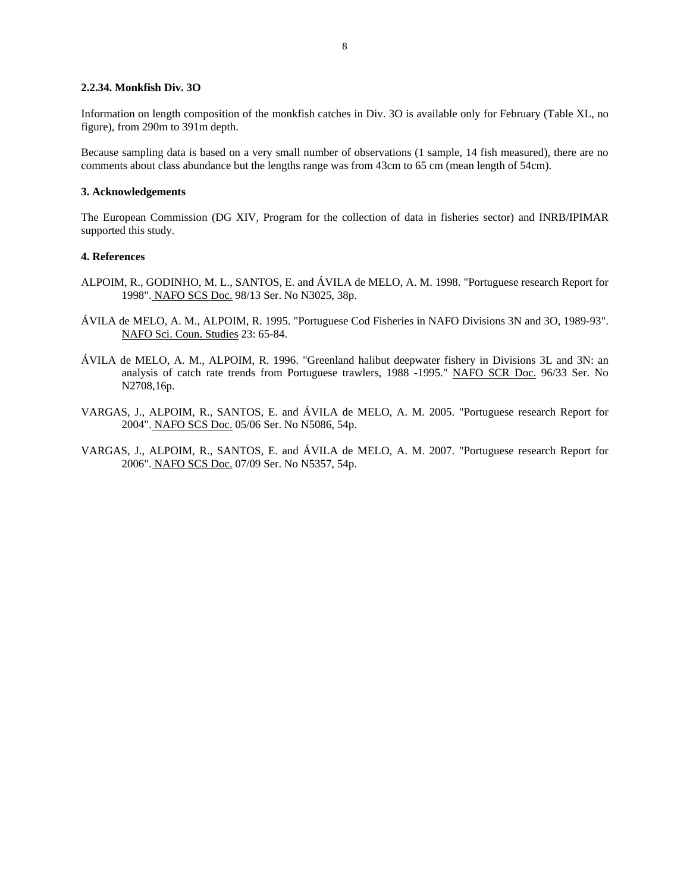#### **2.2.34. Monkfish Div. 3O**

Information on length composition of the monkfish catches in Div. 3O is available only for February (Table XL, no figure), from 290m to 391m depth.

Because sampling data is based on a very small number of observations (1 sample, 14 fish measured), there are no comments about class abundance but the lengths range was from 43cm to 65 cm (mean length of 54cm).

### **3. Acknowledgements**

The European Commission (DG XIV, Program for the collection of data in fisheries sector) and INRB/IPIMAR supported this study.

### **4. References**

- ALPOIM, R., GODINHO, M. L., SANTOS, E. and ÁVILA de MELO, A. M. 1998. "Portuguese research Report for 1998". NAFO SCS Doc. 98/13 Ser. No N3025, 38p.
- ÁVILA de MELO, A. M., ALPOIM, R. 1995. "Portuguese Cod Fisheries in NAFO Divisions 3N and 3O, 1989-93". NAFO Sci. Coun. Studies 23: 65-84.
- ÁVILA de MELO, A. M., ALPOIM, R. 1996. "Greenland halibut deepwater fishery in Divisions 3L and 3N: an analysis of catch rate trends from Portuguese trawlers, 1988 -1995." NAFO SCR Doc. 96/33 Ser. No N2708,16p.
- VARGAS, J., ALPOIM, R., SANTOS, E. and ÁVILA de MELO, A. M. 2005. "Portuguese research Report for 2004". NAFO SCS Doc. 05/06 Ser. No N5086, 54p.
- VARGAS, J., ALPOIM, R., SANTOS, E. and ÁVILA de MELO, A. M. 2007. "Portuguese research Report for 2006". NAFO SCS Doc. 07/09 Ser. No N5357, 54p.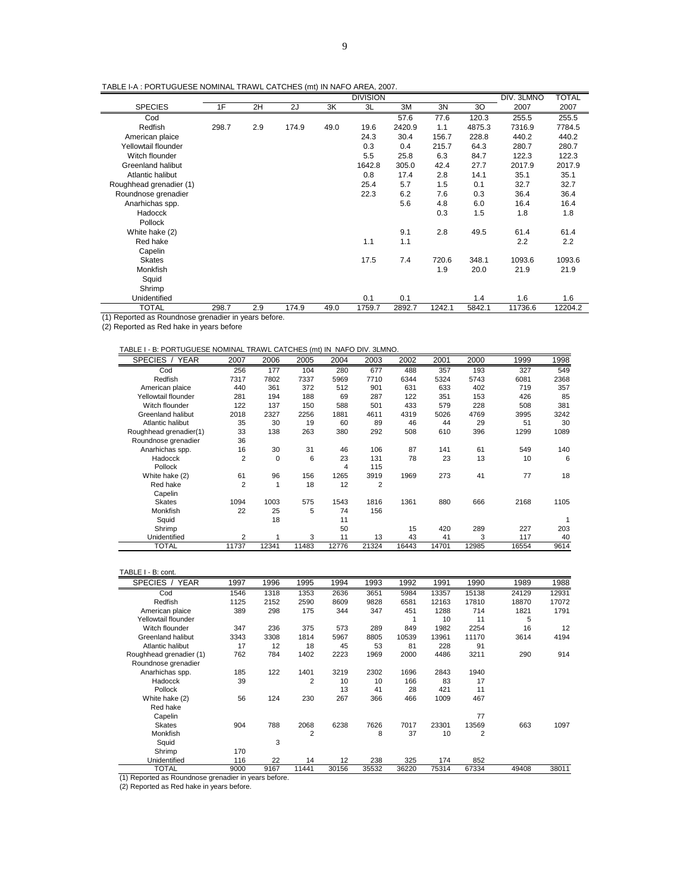TABLE I-A : PORTUGUESE NOMINAL TRAWL CATCHES (mt) IN NAFO AREA, 2007.

| TABLE FA : PURTUGUESE NUMINAL TRAWL CATCHES (IIII) IN NAFU AREA, 2007. |       |               |       |      |                 |        |        |        |            |              |
|------------------------------------------------------------------------|-------|---------------|-------|------|-----------------|--------|--------|--------|------------|--------------|
|                                                                        |       |               |       |      | <b>DIVISION</b> |        |        |        | DIV. 3LMNO | <b>TOTAL</b> |
| <b>SPECIES</b>                                                         | 1F    | 2H            | 2J    | ЗK   | 3L              | ЗM     | 3N     | 30     | 2007       | 2007         |
| Cod                                                                    |       |               |       |      |                 | 57.6   | 77.6   | 120.3  | 255.5      | 255.5        |
| Redfish                                                                | 298.7 | 2.9           | 174.9 | 49.0 | 19.6            | 2420.9 | 1.1    | 4875.3 | 7316.9     | 7784.5       |
| American plaice                                                        |       |               |       |      | 24.3            | 30.4   | 156.7  | 228.8  | 440.2      | 440.2        |
| Yellowtail flounder                                                    |       |               |       |      | 0.3             | 0.4    | 215.7  | 64.3   | 280.7      | 280.7        |
| Witch flounder                                                         |       |               |       |      | 5.5             | 25.8   | 6.3    | 84.7   | 122.3      | 122.3        |
| <b>Greenland halibut</b>                                               |       |               |       |      | 1642.8          | 305.0  | 42.4   | 27.7   | 2017.9     | 2017.9       |
| Atlantic halibut                                                       |       |               |       |      | 0.8             | 17.4   | 2.8    | 14.1   | 35.1       | 35.1         |
| Roughhead grenadier (1)                                                |       |               |       |      | 25.4            | 5.7    | 1.5    | 0.1    | 32.7       | 32.7         |
| Roundnose grenadier                                                    |       |               |       |      | 22.3            | 6.2    | 7.6    | 0.3    | 36.4       | 36.4         |
| Anarhichas spp.                                                        |       |               |       |      |                 | 5.6    | 4.8    | 6.0    | 16.4       | 16.4         |
| Hadocck                                                                |       |               |       |      |                 |        | 0.3    | 1.5    | 1.8        | 1.8          |
| Pollock                                                                |       |               |       |      |                 |        |        |        |            |              |
| White hake (2)                                                         |       |               |       |      |                 | 9.1    | 2.8    | 49.5   | 61.4       | 61.4         |
| Red hake                                                               |       |               |       |      | 1.1             | 1.1    |        |        | 2.2        | 2.2          |
| Capelin                                                                |       |               |       |      |                 |        |        |        |            |              |
| <b>Skates</b>                                                          |       |               |       |      | 17.5            | 7.4    | 720.6  | 348.1  | 1093.6     | 1093.6       |
| Monkfish                                                               |       |               |       |      |                 |        | 1.9    | 20.0   | 21.9       | 21.9         |
| Squid                                                                  |       |               |       |      |                 |        |        |        |            |              |
| Shrimp                                                                 |       |               |       |      |                 |        |        |        |            |              |
| Unidentified                                                           |       |               |       |      | 0.1             | 0.1    |        | 1.4    | 1.6        | 1.6          |
| TOTAL<br>(1)<br>. .                                                    | 298.7 | 2.9<br>$\sim$ | 174.9 | 49.0 | 1759.7          | 2892.7 | 1242.1 | 5842.1 | 11736.6    | 12204.2      |

(1) Reported as Roundnose grenadier in years before.

(2) Reported as Red hake in years before

#### TABLE I - B: PORTUGUESE NOMINAL TRAWL CATCHES (mt) IN NAFO DIV. 3LMNO.

| SPECIES /<br><b>YEAR</b> | 2007           | 2006         | 2005  | 2004  | 2003  | 2002  | 2001  | 2000  | 1999  | 1998 |
|--------------------------|----------------|--------------|-------|-------|-------|-------|-------|-------|-------|------|
| Cod                      | 256            | 177          | 104   | 280   | 677   | 488   | 357   | 193   | 327   | 549  |
| Redfish                  | 7317           | 7802         | 7337  | 5969  | 7710  | 6344  | 5324  | 5743  | 6081  | 2368 |
| American plaice          | 440            | 361          | 372   | 512   | 901   | 631   | 633   | 402   | 719   | 357  |
| Yellowtail flounder      | 281            | 194          | 188   | 69    | 287   | 122   | 351   | 153   | 426   | 85   |
| Witch flounder           | 122            | 137          | 150   | 588   | 501   | 433   | 579   | 228   | 508   | 381  |
| Greenland halibut        | 2018           | 2327         | 2256  | 1881  | 4611  | 4319  | 5026  | 4769  | 3995  | 3242 |
| Atlantic halibut         | 35             | 30           | 19    | 60    | 89    | 46    | 44    | 29    | 51    | 30   |
| Roughhead grenadier(1)   | 33             | 138          | 263   | 380   | 292   | 508   | 610   | 396   | 1299  | 1089 |
| Roundnose grenadier      | 36             |              |       |       |       |       |       |       |       |      |
| Anarhichas spp.          | 16             | 30           | 31    | 46    | 106   | 87    | 141   | 61    | 549   | 140  |
| Hadocck                  | 2              | $\mathbf 0$  | 6     | 23    | 131   | 78    | 23    | 13    | 10    | 6    |
| Pollock                  |                |              |       | 4     | 115   |       |       |       |       |      |
| White hake (2)           | 61             | 96           | 156   | 1265  | 3919  | 1969  | 273   | 41    | 77    | 18   |
| Red hake                 | 2              | $\mathbf{1}$ | 18    | 12    | 2     |       |       |       |       |      |
| Capelin                  |                |              |       |       |       |       |       |       |       |      |
| <b>Skates</b>            | 1094           | 1003         | 575   | 1543  | 1816  | 1361  | 880   | 666   | 2168  | 1105 |
| Monkfish                 | 22             | 25           | 5     | 74    | 156   |       |       |       |       |      |
| Squid                    |                | 18           |       | 11    |       |       |       |       |       |      |
| Shrimp                   |                |              |       | 50    |       | 15    | 420   | 289   | 227   | 203  |
| Unidentified             | $\overline{2}$ |              | 3     | 11    | 13    | 43    | 41    | 3     | 117   | 40   |
| <b>TOTAL</b>             | 11737          | 12341        | 11483 | 12776 | 21324 | 16443 | 14701 | 12985 | 16554 | 9614 |

#### TABLE I - B: cont.

| SPECIES / YEAR                                       | 1997 | 1996 | 1995           | 1994  | 1993  | 1992  | 1991  | 1990  | 1989  | 1988  |
|------------------------------------------------------|------|------|----------------|-------|-------|-------|-------|-------|-------|-------|
| Cod                                                  | 1546 | 1318 | 1353           | 2636  | 3651  | 5984  | 13357 | 15138 | 24129 | 12931 |
| Redfish                                              | 1125 | 2152 | 2590           | 8609  | 9828  | 6581  | 12163 | 17810 | 18870 | 17072 |
| American plaice                                      | 389  | 298  | 175            | 344   | 347   | 451   | 1288  | 714   | 1821  | 1791  |
| Yellowtail flounder                                  |      |      |                |       |       |       | 10    | 11    | 5     |       |
| Witch flounder                                       | 347  | 236  | 375            | 573   | 289   | 849   | 1982  | 2254  | 16    | 12    |
| Greenland halibut                                    | 3343 | 3308 | 1814           | 5967  | 8805  | 10539 | 13961 | 11170 | 3614  | 4194  |
| Atlantic halibut                                     | 17   | 12   | 18             | 45    | 53    | 81    | 228   | 91    |       |       |
| Roughhead grenadier (1)                              | 762  | 784  | 1402           | 2223  | 1969  | 2000  | 4486  | 3211  | 290   | 914   |
| Roundnose grenadier                                  |      |      |                |       |       |       |       |       |       |       |
| Anarhichas spp.                                      | 185  | 122  | 1401           | 3219  | 2302  | 1696  | 2843  | 1940  |       |       |
| Hadocck                                              | 39   |      | $\overline{2}$ | 10    | 10    | 166   | 83    | 17    |       |       |
| Pollock                                              |      |      |                | 13    | 41    | 28    | 421   | 11    |       |       |
| White hake (2)                                       | 56   | 124  | 230            | 267   | 366   | 466   | 1009  | 467   |       |       |
| Red hake                                             |      |      |                |       |       |       |       |       |       |       |
| Capelin                                              |      |      |                |       |       |       |       | 77    |       |       |
| <b>Skates</b>                                        | 904  | 788  | 2068           | 6238  | 7626  | 7017  | 23301 | 13569 | 663   | 1097  |
| Monkfish                                             |      |      | $\overline{2}$ |       | 8     | 37    | 10    | 2     |       |       |
| Squid                                                |      | 3    |                |       |       |       |       |       |       |       |
| Shrimp                                               | 170  |      |                |       |       |       |       |       |       |       |
| Unidentified                                         | 116  | 22   | 14             | 12    | 238   | 325   | 174   | 852   |       |       |
| <b>TOTAL</b>                                         | 9000 | 9167 | 11441          | 30156 | 35532 | 36220 | 75314 | 67334 | 49408 | 38011 |
| (1) Reported as Roundnose grenadier in years before. |      |      |                |       |       |       |       |       |       |       |
| (2) Reported as Red hake in years before.            |      |      |                |       |       |       |       |       |       |       |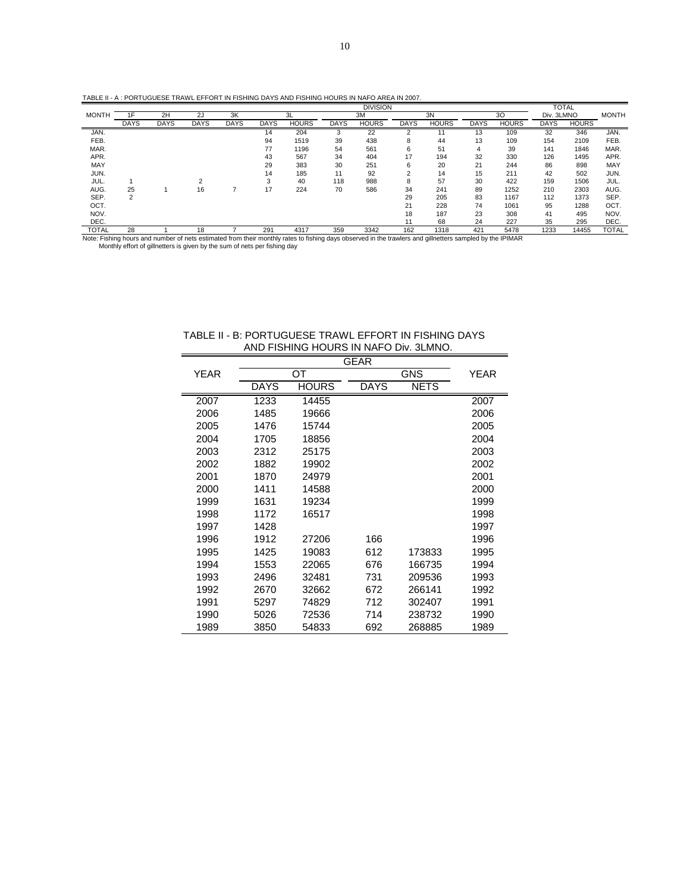|              |             |             |             |             |             |              |             | <b>DIVISION</b>                                                                                                                                          |             |              |             |              |             | <b>TOTAL</b> |              |
|--------------|-------------|-------------|-------------|-------------|-------------|--------------|-------------|----------------------------------------------------------------------------------------------------------------------------------------------------------|-------------|--------------|-------------|--------------|-------------|--------------|--------------|
| <b>MONTH</b> | 1F          | 2H          | 2J          | 3K          |             | 3L           |             | 3M                                                                                                                                                       |             | 3N           |             | 30           | Div. 3LMNO  |              | <b>MONTH</b> |
|              | <b>DAYS</b> | <b>DAYS</b> | <b>DAYS</b> | <b>DAYS</b> | <b>DAYS</b> | <b>HOURS</b> | <b>DAYS</b> | <b>HOURS</b>                                                                                                                                             | <b>DAYS</b> | <b>HOURS</b> | <b>DAYS</b> | <b>HOURS</b> | <b>DAYS</b> | <b>HOURS</b> |              |
| JAN.         |             |             |             |             | 14          | 204          | 3           | 22                                                                                                                                                       |             |              | 13          | 109          | 32          | 346          | JAN.         |
| FEB.         |             |             |             |             | 94          | 1519         | 39          | 438                                                                                                                                                      | 8           | 44           | 13          | 109          | 154         | 2109         | FEB.         |
| MAR.         |             |             |             |             | 77          | 1196         | 54          | 561                                                                                                                                                      | 6           | 51           | 4           | 39           | 141         | 1846         | MAR.         |
| APR.         |             |             |             |             | 43          | 567          | 34          | 404                                                                                                                                                      | 17          | 194          | 32          | 330          | 126         | 1495         | APR.         |
| MAY          |             |             |             |             | 29          | 383          | 30          | 251                                                                                                                                                      | 6           | 20           | 21          | 244          | 86          | 898          | MAY          |
| JUN.         |             |             |             |             | 14          | 185          | 11          | 92                                                                                                                                                       | 2           | 14           | 15          | 211          | 42          | 502          | JUN.         |
| JUL.         |             |             |             |             | 3           | 40           | 118         | 988                                                                                                                                                      | 8           | 57           | 30          | 422          | 159         | 1506         | JUL.         |
| AUG.         | 25          |             | 16          |             | 17          | 224          | 70          | 586                                                                                                                                                      | 34          | 241          | 89          | 1252         | 210         | 2303         | AUG.         |
| SEP.         | 2           |             |             |             |             |              |             |                                                                                                                                                          | 29          | 205          | 83          | 1167         | 112         | 1373         | SEP.         |
| OCT.         |             |             |             |             |             |              |             |                                                                                                                                                          | 21          | 228          | 74          | 1061         | 95          | 1288         | OCT.         |
| NOV.         |             |             |             |             |             |              |             |                                                                                                                                                          | 18          | 187          | 23          | 308          | 41          | 495          | NOV.         |
| DEC.         |             |             |             |             |             |              |             |                                                                                                                                                          |             | 68           | 24          | 227          | 35          | 295          | DEC.         |
| <b>TOTAL</b> | 28          |             | 18          |             | 291         | 4317         | 359         | 3342                                                                                                                                                     | 162         | 1318         | 421         | 5478         | 1233        | 14455        | <b>TOTAL</b> |
|              |             |             |             |             |             |              |             | Note: Fishing hours and number of nets estimated from their monthly rates to fishing days observed in the trawlers and gillnetters sampled by the IPIMAR |             |              |             |              |             |              |              |

Monthly effort of gillnetters is given by the sum of nets per fishing day

|             |             |                        | GEAR        |             |      |
|-------------|-------------|------------------------|-------------|-------------|------|
| <b>YEAR</b> |             | $\overline{\text{OT}}$ |             | <b>GNS</b>  | YEAR |
|             | <b>DAYS</b> | <b>HOURS</b>           | <b>DAYS</b> | <b>NETS</b> |      |
| 2007        | 1233        | 14455                  |             |             | 2007 |
| 2006        | 1485        | 19666                  |             |             | 2006 |
| 2005        | 1476        | 15744                  |             |             | 2005 |
| 2004        | 1705        | 18856                  |             |             | 2004 |
| 2003        | 2312        | 25175                  |             |             | 2003 |
| 2002        | 1882        | 19902                  |             |             | 2002 |
| 2001        | 1870        | 24979                  |             |             | 2001 |
| 2000        | 1411        | 14588                  |             |             | 2000 |
| 1999        | 1631        | 19234                  |             |             | 1999 |
| 1998        | 1172        | 16517                  |             |             | 1998 |
| 1997        | 1428        |                        |             |             | 1997 |
| 1996        | 1912        | 27206                  | 166         |             | 1996 |
| 1995        | 1425        | 19083                  | 612         | 173833      | 1995 |
| 1994        | 1553        | 22065                  | 676         | 166735      | 1994 |
| 1993        | 2496        | 32481                  | 731         | 209536      | 1993 |
| 1992        | 2670        | 32662                  | 672         | 266141      | 1992 |
| 1991        | 5297        | 74829                  | 712         | 302407      | 1991 |
| 1990        | 5026        | 72536                  | 714         | 238732      | 1990 |
| 1989        | 3850        | 54833                  | 692         | 268885      | 1989 |

# TABLE II - B: PORTUGUESE TRAWL EFFORT IN FISHING DAYS AND FISHING HOURS IN NAFO Div. 3LMNO.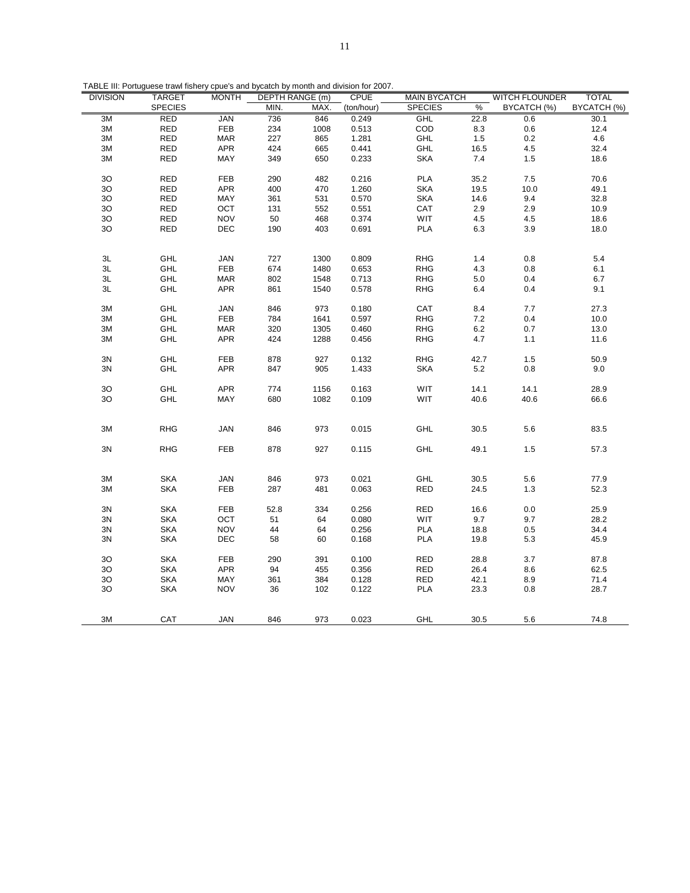| TABLE III: Portuguese trawl fishery cpue's and bycatch by month and division for 2007. |  |
|----------------------------------------------------------------------------------------|--|
|                                                                                        |  |
|                                                                                        |  |

| <b>DIVISION</b>  | <b>TARGET</b>  | <b>MONTH</b> | <b>DEPTH RANGE (m)</b> |              | <b>CPUE</b>    | <b>MAIN BYCATCH</b> |         | <b>WITCH FLOUNDER</b> | <b>TOTAL</b> |
|------------------|----------------|--------------|------------------------|--------------|----------------|---------------------|---------|-----------------------|--------------|
|                  | <b>SPECIES</b> |              | MIN.                   | MAX.         | (ton/hour)     | <b>SPECIES</b>      | $\%$    | BYCATCH (%)           | BYCATCH (%)  |
| 3M               | <b>RED</b>     | <b>JAN</b>   | 736                    | 846          | 0.249          | GHL                 | 22.8    | 0.6                   | 30.1         |
| $3\mathsf{M}$    | <b>RED</b>     | FEB          | 234                    | 1008         | 0.513          | COD                 | 8.3     | 0.6                   | 12.4         |
| 3M               | <b>RED</b>     | <b>MAR</b>   | 227                    | 865          | 1.281          | GHL                 | 1.5     | $0.2\,$               | 4.6          |
| $3\mathsf{M}$    | <b>RED</b>     | <b>APR</b>   | 424                    | 665          | 0.441          | GHL                 | 16.5    | $4.5\,$               | 32.4         |
| 3M               | <b>RED</b>     | MAY          | 349                    | 650          | 0.233          | <b>SKA</b>          | $7.4$   | 1.5                   | 18.6         |
|                  |                |              |                        |              |                |                     |         |                       |              |
| 3O               | <b>RED</b>     | <b>FEB</b>   | 290                    | 482          | 0.216          | <b>PLA</b>          | 35.2    | $7.5\,$               | 70.6         |
| 3O               | <b>RED</b>     | APR          | 400                    | 470          | 1.260          | <b>SKA</b>          | 19.5    | 10.0                  | 49.1         |
| 3O               | <b>RED</b>     | MAY          | 361                    | 531          | 0.570          | <b>SKA</b>          | 14.6    | 9.4                   | 32.8         |
| 3O               | <b>RED</b>     | OCT          | 131                    | 552          | 0.551          | CAT                 | $2.9\,$ | $2.9\,$               | 10.9         |
| 3O               | <b>RED</b>     | <b>NOV</b>   | 50                     | 468          | 0.374          | <b>WIT</b>          | $4.5\,$ | $4.5\,$               | 18.6         |
| 3O               | <b>RED</b>     | DEC          | 190                    | 403          | 0.691          | <b>PLA</b>          | 6.3     | 3.9                   | 18.0         |
|                  |                |              |                        |              |                |                     |         |                       |              |
|                  |                |              |                        |              |                |                     |         |                       |              |
| $3L$             | GHL            | JAN          | 727                    | 1300         | 0.809          | <b>RHG</b>          | 1.4     | $0.8\,$               | 5.4          |
| 3L               | GHL            | FEB          | 674                    | 1480         | 0.653          | <b>RHG</b>          | 4.3     | 0.8                   | 6.1          |
| ЗL               | GHL            | <b>MAR</b>   | 802                    | 1548         | 0.713          | <b>RHG</b>          | 5.0     | 0.4                   | 6.7          |
| 3L               | GHL            | <b>APR</b>   | 861                    | 1540         | 0.578          | <b>RHG</b>          | 6.4     | 0.4                   | 9.1          |
|                  |                |              |                        |              |                |                     |         |                       |              |
| 3M               | GHL            | <b>JAN</b>   | 846                    | 973          | 0.180          | CAT                 | 8.4     | 7.7                   | 27.3         |
| 3M               | GHL            | FEB          | 784                    | 1641         | 0.597          | <b>RHG</b>          | 7.2     | 0.4                   | 10.0         |
| $3\mathsf{M}$    | GHL            | <b>MAR</b>   | 320                    | 1305         | 0.460          | <b>RHG</b>          | $6.2\,$ | $0.7\,$               | 13.0         |
| 3M               | <b>GHL</b>     | <b>APR</b>   | 424                    | 1288         |                |                     |         | 1.1                   | 11.6         |
|                  |                |              |                        |              | 0.456          | <b>RHG</b>          | 4.7     |                       |              |
| 3N               | GHL            | <b>FEB</b>   | 878                    | 927          | 0.132          | <b>RHG</b>          | 42.7    | 1.5                   | 50.9         |
|                  |                |              |                        |              |                |                     |         |                       |              |
| 3N               | GHL            | APR          | 847                    | 905          | 1.433          | <b>SKA</b>          | 5.2     | 0.8                   | 9.0          |
|                  | GHL            | <b>APR</b>   | 774                    |              |                |                     | 14.1    | 14.1                  | 28.9         |
| $3{\rm O}$<br>30 | GHL            | MAY          |                        | 1156<br>1082 | 0.163<br>0.109 | WIT<br>WIT          | 40.6    | 40.6                  | 66.6         |
|                  |                |              | 680                    |              |                |                     |         |                       |              |
|                  |                |              |                        |              |                |                     |         |                       |              |
|                  |                |              |                        |              |                |                     |         |                       |              |
| 3M               | <b>RHG</b>     | <b>JAN</b>   | 846                    | 973          | 0.015          | GHL                 | 30.5    | 5.6                   | 83.5         |
|                  |                |              |                        |              |                |                     |         |                       |              |
| 3N               | <b>RHG</b>     | FEB          | 878                    | 927          | 0.115          | GHL                 | 49.1    | 1.5                   | 57.3         |
|                  |                |              |                        |              |                |                     |         |                       |              |
|                  |                |              |                        |              |                |                     |         |                       |              |
| $3\mathsf{M}$    | <b>SKA</b>     | <b>JAN</b>   | 846                    | 973          | 0.021          | GHL                 | 30.5    | $5.6\,$               | 77.9         |
| 3M               | <b>SKA</b>     | <b>FEB</b>   | 287                    | 481          | 0.063          | <b>RED</b>          | 24.5    | 1.3                   | 52.3         |
|                  |                |              |                        |              |                |                     |         |                       |              |
| 3N               | <b>SKA</b>     | <b>FEB</b>   | 52.8                   | 334          | 0.256          | <b>RED</b>          | 16.6    | 0.0                   | 25.9         |
| 3N               | <b>SKA</b>     | OCT          | 51                     | 64           | 0.080          | WIT                 | 9.7     | 9.7                   | 28.2         |
| 3N               | <b>SKA</b>     | <b>NOV</b>   | 44                     | 64           | 0.256          | PLA                 | 18.8    | 0.5                   | 34.4         |
| 3N               | <b>SKA</b>     | DEC          | 58                     | 60           | 0.168          | <b>PLA</b>          | 19.8    | 5.3                   | 45.9         |
|                  |                |              |                        |              |                |                     |         |                       |              |
| 30               | <b>SKA</b>     | FEB          | 290                    | 391          | 0.100          | RED                 | 28.8    | 3.7                   | 87.8         |
| 3O               | <b>SKA</b>     | APR          | 94                     | 455          | 0.356          | <b>RED</b>          | 26.4    | 8.6                   | 62.5         |
| $3{\rm O}$       | <b>SKA</b>     | MAY          | 361                    | 384          | 0.128          | RED                 | 42.1    | 8.9                   | 71.4         |
| 3O               | <b>SKA</b>     | <b>NOV</b>   | 36                     | 102          | 0.122          | <b>PLA</b>          | 23.3    | 0.8                   | 28.7         |
|                  |                |              |                        |              |                |                     |         |                       |              |
|                  |                |              |                        |              |                |                     |         |                       |              |
| 3M               | CAT            | <b>JAN</b>   | 846                    | 973          | 0.023          | <b>GHL</b>          | 30.5    | 5.6                   | 74.8         |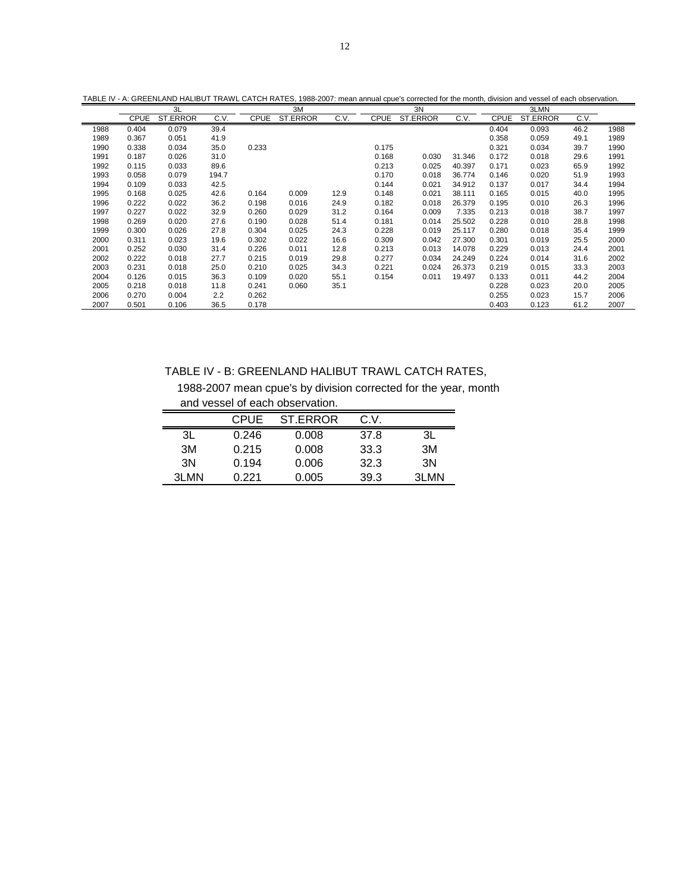| TABLE IV - A: GREENLAND HALIBUT TRAWL CATCH RATES, 1988-2007; mean annual coue's corrected for the month, division and vessel of each observation. |  |
|----------------------------------------------------------------------------------------------------------------------------------------------------|--|
|----------------------------------------------------------------------------------------------------------------------------------------------------|--|

|      |             | 3L       |       |             | 3M       |      |             | 3N       |        |             | 3LMN     |      |      |
|------|-------------|----------|-------|-------------|----------|------|-------------|----------|--------|-------------|----------|------|------|
|      | <b>CPUE</b> | ST.ERROR | C.V.  | <b>CPUE</b> | ST.ERROR | C.V. | <b>CPUE</b> | ST.ERROR | C.V.   | <b>CPUE</b> | ST.ERROR | C.V. |      |
| 1988 | 0.404       | 0.079    | 39.4  |             |          |      |             |          |        | 0.404       | 0.093    | 46.2 | 1988 |
| 1989 | 0.367       | 0.051    | 41.9  |             |          |      |             |          |        | 0.358       | 0.059    | 49.1 | 1989 |
| 1990 | 0.338       | 0.034    | 35.0  | 0.233       |          |      | 0.175       |          |        | 0.321       | 0.034    | 39.7 | 1990 |
| 1991 | 0.187       | 0.026    | 31.0  |             |          |      | 0.168       | 0.030    | 31.346 | 0.172       | 0.018    | 29.6 | 1991 |
| 1992 | 0.115       | 0.033    | 89.6  |             |          |      | 0.213       | 0.025    | 40.397 | 0.171       | 0.023    | 65.9 | 1992 |
| 1993 | 0.058       | 0.079    | 194.7 |             |          |      | 0.170       | 0.018    | 36.774 | 0.146       | 0.020    | 51.9 | 1993 |
| 1994 | 0.109       | 0.033    | 42.5  |             |          |      | 0.144       | 0.021    | 34.912 | 0.137       | 0.017    | 34.4 | 1994 |
| 1995 | 0.168       | 0.025    | 42.6  | 0.164       | 0.009    | 12.9 | 0.148       | 0.021    | 38.111 | 0.165       | 0.015    | 40.0 | 1995 |
| 1996 | 0.222       | 0.022    | 36.2  | 0.198       | 0.016    | 24.9 | 0.182       | 0.018    | 26.379 | 0.195       | 0.010    | 26.3 | 1996 |
| 1997 | 0.227       | 0.022    | 32.9  | 0.260       | 0.029    | 31.2 | 0.164       | 0.009    | 7.335  | 0.213       | 0.018    | 38.7 | 1997 |
| 1998 | 0.269       | 0.020    | 27.6  | 0.190       | 0.028    | 51.4 | 0.181       | 0.014    | 25.502 | 0.228       | 0.010    | 28.8 | 1998 |
| 1999 | 0.300       | 0.026    | 27.8  | 0.304       | 0.025    | 24.3 | 0.228       | 0.019    | 25.117 | 0.280       | 0.018    | 35.4 | 1999 |
| 2000 | 0.311       | 0.023    | 19.6  | 0.302       | 0.022    | 16.6 | 0.309       | 0.042    | 27.300 | 0.301       | 0.019    | 25.5 | 2000 |
| 2001 | 0.252       | 0.030    | 31.4  | 0.226       | 0.011    | 12.8 | 0.213       | 0.013    | 14.078 | 0.229       | 0.013    | 24.4 | 2001 |
| 2002 | 0.222       | 0.018    | 27.7  | 0.215       | 0.019    | 29.8 | 0.277       | 0.034    | 24.249 | 0.224       | 0.014    | 31.6 | 2002 |
| 2003 | 0.231       | 0.018    | 25.0  | 0.210       | 0.025    | 34.3 | 0.221       | 0.024    | 26.373 | 0.219       | 0.015    | 33.3 | 2003 |
| 2004 | 0.126       | 0.015    | 36.3  | 0.109       | 0.020    | 55.1 | 0.154       | 0.011    | 19.497 | 0.133       | 0.011    | 44.2 | 2004 |
| 2005 | 0.218       | 0.018    | 11.8  | 0.241       | 0.060    | 35.1 |             |          |        | 0.228       | 0.023    | 20.0 | 2005 |
| 2006 | 0.270       | 0.004    | 2.2   | 0.262       |          |      |             |          |        | 0.255       | 0.023    | 15.7 | 2006 |
| 2007 | 0.501       | 0.106    | 36.5  | 0.178       |          |      |             |          |        | 0.403       | 0.123    | 61.2 | 2007 |

TABLE IV - B: GREENLAND HALIBUT TRAWL CATCH RATES,

 1988-2007 mean cpue's by division corrected for the year, month and vessel of each observation.

|      | CPUE  | ST.ERROR | C.V. |       |
|------|-------|----------|------|-------|
| ЗL   | 0.246 | 0.008    | 37.8 | ЗL    |
| 3M   | 0.215 | 0.008    | 33.3 | 3M    |
| 3N   | 0.194 | 0.006    | 32.3 | 3N    |
| 3LMN | በ 221 | 0.005    | 39.3 | 31 MN |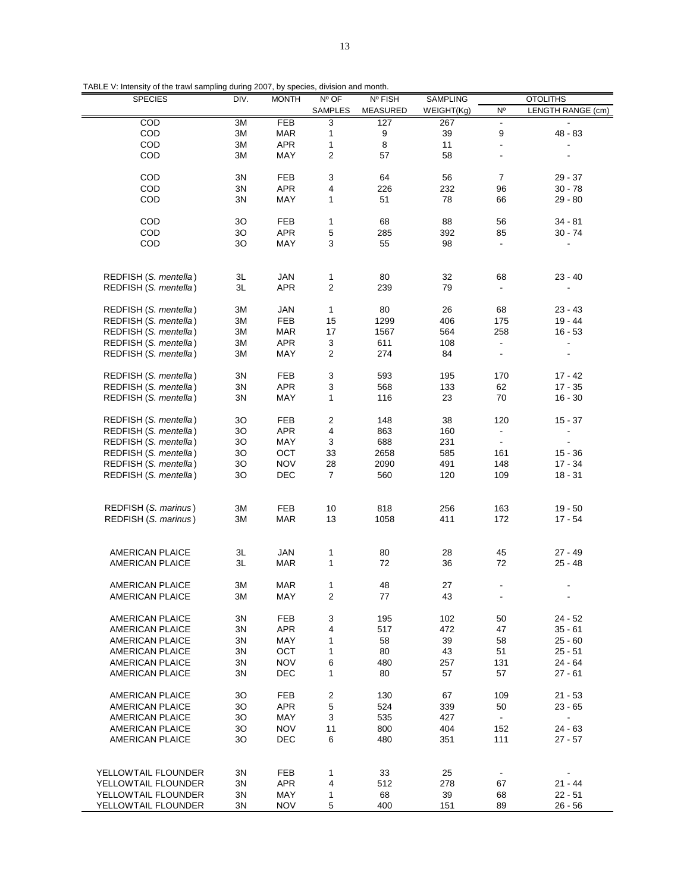| <b>SPECIES</b>         | DIV. | <b>MONTH</b> | Nº OF                   | Nº FISH         | SAMPLING   |                          | <b>OTOLITHS</b>   |
|------------------------|------|--------------|-------------------------|-----------------|------------|--------------------------|-------------------|
|                        |      |              | <b>SAMPLES</b>          | <b>MEASURED</b> | WEIGHT(Kg) | N°                       | LENGTH RANGE (cm) |
| COD                    | 3M   | <b>FEB</b>   | 3                       | 127             | 267        | $\overline{\phantom{a}}$ |                   |
| COD                    | 3M   | <b>MAR</b>   | 1                       | 9               | 39         | 9                        | $48 - 83$         |
| COD                    | 3M   | <b>APR</b>   | 1                       | 8               | 11         | $\blacksquare$           |                   |
| COD                    | 3M   | MAY          | $\overline{\mathbf{c}}$ | 57              | 58         |                          |                   |
|                        |      |              |                         |                 |            |                          |                   |
|                        |      |              |                         |                 |            |                          |                   |
| COD                    | 3N   | <b>FEB</b>   | 3                       | 64              | 56         | 7                        | $29 - 37$         |
| COD                    | 3N   | <b>APR</b>   | 4                       | 226             | 232        | 96                       | $30 - 78$         |
| COD                    | 3N   | MAY          | 1                       | 51              | 78         | 66                       | $29 - 80$         |
|                        |      |              |                         |                 |            |                          |                   |
| COD                    | 3O   | <b>FEB</b>   | $\mathbf{1}$            | 68              | 88         | 56                       | 34 - 81           |
| COD                    | 3O   | <b>APR</b>   | 5                       | 285             | 392        | 85                       | $30 - 74$         |
| COD                    | 3O   | MAY          | 3                       | 55              | 98         | ÷                        |                   |
|                        |      |              |                         |                 |            |                          |                   |
|                        |      |              |                         |                 |            |                          |                   |
| REDFISH (S. mentella)  | 3L   | <b>JAN</b>   | 1                       | 80              | 32         | 68                       | $23 - 40$         |
| REDFISH (S. mentella)  | 3L   | <b>APR</b>   | $\overline{c}$          | 239             | 79         |                          |                   |
|                        |      |              |                         |                 |            |                          |                   |
|                        |      |              |                         |                 |            |                          |                   |
| REDFISH (S. mentella)  | 3M   | JAN          | $\mathbf{1}$            | 80              | 26         | 68                       | 23 - 43           |
| REDFISH (S. mentella)  | 3M   | <b>FEB</b>   | 15                      | 1299            | 406        | 175                      | $19 - 44$         |
| REDFISH (S. mentella)  | 3M   | MAR          | 17                      | 1567            | 564        | 258                      | $16 - 53$         |
| REDFISH (S. mentella)  | 3M   | <b>APR</b>   | 3                       | 611             | 108        |                          |                   |
| REDFISH (S. mentella)  | 3M   | MAY          | $\overline{2}$          | 274             | 84         | $\blacksquare$           |                   |
|                        |      |              |                         |                 |            |                          |                   |
| REDFISH (S. mentella)  | 3N   | <b>FEB</b>   | 3                       | 593             | 195        | 170                      | $17 - 42$         |
| REDFISH (S. mentella)  | 3N   | <b>APR</b>   | 3                       | 568             | 133        | 62                       | $17 - 35$         |
|                        |      |              |                         |                 |            |                          |                   |
| REDFISH (S. mentella)  | 3N   | MAY          | 1                       | 116             | 23         | 70                       | $16 - 30$         |
|                        |      |              |                         |                 |            |                          |                   |
| REDFISH (S. mentella)  | 30   | <b>FEB</b>   | 2                       | 148             | 38         | 120                      | $15 - 37$         |
| REDFISH (S. mentella)  | 3O   | <b>APR</b>   | 4                       | 863             | 160        | $\overline{\phantom{a}}$ |                   |
| REDFISH (S. mentella)  | 3O   | MAY          | 3                       | 688             | 231        | $\blacksquare$           |                   |
| REDFISH (S. mentella)  | 3O   | OCT          | 33                      | 2658            | 585        | 161                      | $15 - 36$         |
| REDFISH (S. mentella)  | 3O   | <b>NOV</b>   | 28                      | 2090            | 491        | 148                      | 17 - 34           |
| REDFISH (S. mentella)  | 3O   | DEC          | 7                       | 560             | 120        | 109                      | $18 - 31$         |
|                        |      |              |                         |                 |            |                          |                   |
|                        |      |              |                         |                 |            |                          |                   |
| REDFISH (S. marinus)   | 3M   | <b>FEB</b>   | 10                      | 818             | 256        | 163                      | $19 - 50$         |
| REDFISH (S. marinus)   |      |              | 13                      |                 |            | 172                      |                   |
|                        | 3M   | <b>MAR</b>   |                         | 1058            | 411        |                          | $17 - 54$         |
|                        |      |              |                         |                 |            |                          |                   |
|                        |      |              |                         |                 |            |                          |                   |
| <b>AMERICAN PLAICE</b> | 3L   | <b>JAN</b>   | 1                       | 80              | 28         | 45                       | $27 - 49$         |
| <b>AMERICAN PLAICE</b> | 3L   | <b>MAR</b>   | $\mathbf{1}$            | 72              | 36         | 72                       | $25 - 48$         |
|                        |      |              |                         |                 |            |                          |                   |
| <b>AMERICAN PLAICE</b> | 3M   | <b>MAR</b>   | 1                       | 48              | 27         |                          |                   |
| AMERICAN PLAICE        | 3M   | MAY          | $\overline{\mathbf{c}}$ | 77              | 43         |                          |                   |
|                        |      |              |                         |                 |            |                          |                   |
| <b>AMERICAN PLAICE</b> | 3N   | FEB          | 3                       | 195             | 102        | 50                       | $24 - 52$         |
| AMERICAN PLAICE        | 3N   | <b>APR</b>   | 4                       | 517             | 472        | 47                       | $35 - 61$         |
| AMERICAN PLAICE        | 3N   | MAY          | 1                       | 58              | 39         | 58                       | $25 - 60$         |
|                        |      |              | $\mathbf{1}$            |                 |            |                          |                   |
| AMERICAN PLAICE        | 3N   | ОСТ          |                         | 80              | 43         | 51                       | $25 - 51$         |
| <b>AMERICAN PLAICE</b> | 3N   | <b>NOV</b>   | 6                       | 480             | 257        | 131                      | 24 - 64           |
| <b>AMERICAN PLAICE</b> | 3N   | DEC          | $\mathbf{1}$            | 80              | 57         | 57                       | $27 - 61$         |
|                        |      |              |                         |                 |            |                          |                   |
| AMERICAN PLAICE        | 30   | FEB          | 2                       | 130             | 67         | 109                      | $21 - 53$         |
| <b>AMERICAN PLAICE</b> | 30   | <b>APR</b>   | 5                       | 524             | 339        | 50                       | $23 - 65$         |
| AMERICAN PLAICE        | 30   | <b>MAY</b>   | 3                       | 535             | 427        | $\blacksquare$           | $\blacksquare$    |
| <b>AMERICAN PLAICE</b> | 3O   | <b>NOV</b>   | 11                      | 800             | 404        | 152                      | $24 - 63$         |
| <b>AMERICAN PLAICE</b> | 30   | DEC          | 6                       | 480             | 351        | 111                      | $27 - 57$         |
|                        |      |              |                         |                 |            |                          |                   |
|                        |      |              |                         |                 |            |                          |                   |
|                        |      |              |                         |                 |            |                          |                   |
| YELLOWTAIL FLOUNDER    | 3N   | FEB          | 1                       | 33              | 25         |                          |                   |
| YELLOWTAIL FLOUNDER    | 3N   | <b>APR</b>   | 4                       | 512             | 278        | 67                       | $21 - 44$         |
| YELLOWTAIL FLOUNDER    | 3N   | MAY          | 1                       | 68              | 39         | 68                       | $22 - 51$         |
| YELLOWTAIL FLOUNDER    | 3N   | NOV          | 5                       | 400             | 151        | 89                       | $26 - 56$         |
|                        |      |              |                         |                 |            |                          |                   |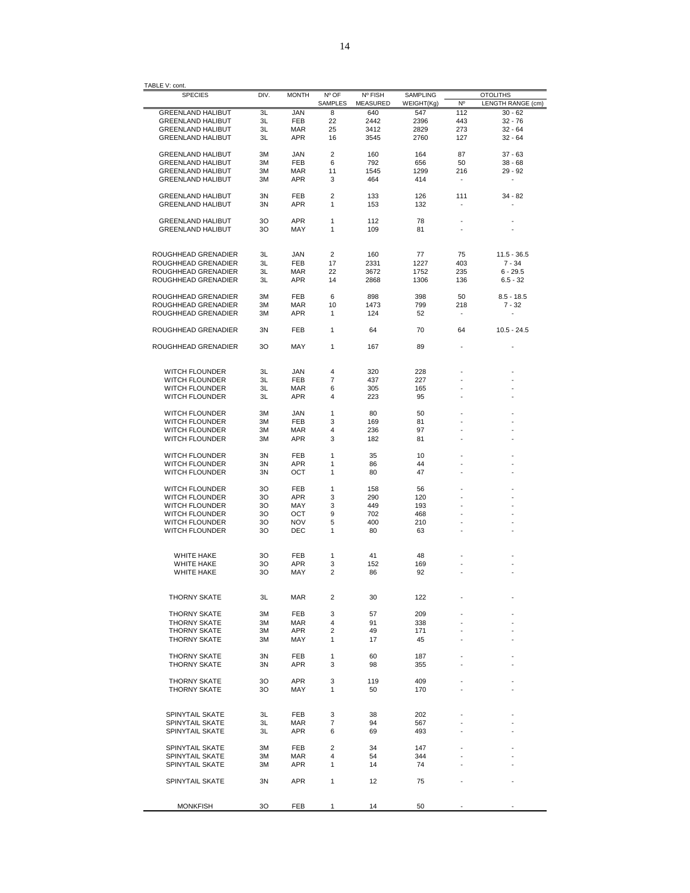| <b>SPECIES</b>                                       | DIV.     | <b>MONTH</b>      | Nº OF<br>SAMPLES | Nº FISH<br>MEASURED | <b>SAMPLING</b><br>WEIGHT(Kg) | N°                              | <b>OTOLITHS</b><br>LENGTH RANGE (cm) |
|------------------------------------------------------|----------|-------------------|------------------|---------------------|-------------------------------|---------------------------------|--------------------------------------|
| <b>GREENLAND HALIBUT</b>                             | 3L       | <b>JAN</b>        | 8                | 640                 | 547                           | 112                             | $30 - 62$                            |
| <b>GREENLAND HALIBUT</b>                             | 3L       | <b>FEB</b>        | 22               | 2442                | 2396                          | 443                             | 32 - 76                              |
| <b>GREENLAND HALIBUT</b>                             | ЗL       | <b>MAR</b>        | 25               | 3412                | 2829                          | 273                             | $32 - 64$                            |
| <b>GREENLAND HALIBUT</b>                             | ЗL       | <b>APR</b>        | 16               | 3545                | 2760                          | 127                             | $32 - 64$                            |
|                                                      |          |                   |                  |                     |                               |                                 |                                      |
| <b>GREENLAND HALIBUT</b>                             | 3M       | JAN               | 2                | 160                 | 164                           | 87                              | $37 - 63$                            |
| <b>GREENLAND HALIBUT</b>                             | 3M       | FEB               | 6                | 792                 | 656                           | 50                              | $38 - 68$                            |
| <b>GREENLAND HALIBUT</b>                             | ЗM       | MAR               | 11               | 1545                | 1299                          | 216<br>$\overline{\phantom{a}}$ | 29 - 92                              |
| <b>GREENLAND HALIBUT</b>                             | ЗM       | APR               | 3                | 464                 | 414                           |                                 | $\overline{\phantom{a}}$             |
| <b>GREENLAND HALIBUT</b>                             | 3N       | FEB               | 2                | 133                 | 126                           | 111                             | 34 - 82                              |
| <b>GREENLAND HALIBUT</b>                             | 3N       | <b>APR</b>        | 1                | 153                 | 132                           | ٠                               |                                      |
|                                                      |          |                   |                  |                     |                               |                                 |                                      |
| <b>GREENLAND HALIBUT</b><br><b>GREENLAND HALIBUT</b> | 30<br>30 | <b>APR</b><br>MAY | 1<br>1           | 112<br>109          | 78<br>81                      | ٠                               |                                      |
|                                                      |          |                   |                  |                     |                               |                                 |                                      |
|                                                      |          |                   |                  |                     |                               |                                 |                                      |
| ROUGHHEAD GRENADIER                                  | 3L       | <b>JAN</b>        | 2                | 160                 | 77                            | 75                              | $11.5 - 36.5$                        |
| ROUGHHEAD GRENADIER                                  | ЗL       | <b>FEB</b>        | 17               | 2331                | 1227                          | 403                             | $7 - 34$                             |
| ROUGHHEAD GRENADIER                                  | ЗL       | <b>MAR</b>        | 22               | 3672                | 1752                          | 235                             | $6 - 29.5$                           |
| ROUGHHEAD GRENADIER                                  | ЗL       | <b>APR</b>        | 14               | 2868                | 1306                          | 136                             | $6.5 - 32$                           |
|                                                      |          |                   |                  |                     |                               |                                 |                                      |
| ROUGHHEAD GRENADIER                                  | 3M       | FEB               | 6                | 898                 | 398                           | 50                              | $8.5 - 18.5$                         |
| ROUGHHEAD GRENADIER                                  | ЗM       | MAR               | 10               | 1473                | 799                           | 218                             | $7 - 32$                             |
| ROUGHHEAD GRENADIER                                  | ЗM       | <b>APR</b>        | 1                | 124                 | 52                            | $\overline{\phantom{a}}$        |                                      |
| ROUGHHEAD GRENADIER                                  | 3N       | FEB               | 1                | 64                  | 70                            | 64                              | $10.5 - 24.5$                        |
|                                                      |          |                   |                  |                     |                               |                                 |                                      |
| ROUGHHEAD GRENADIER                                  | 30       | MAY               | 1                | 167                 | 89                            |                                 |                                      |
|                                                      |          |                   |                  |                     |                               |                                 |                                      |
| <b>WITCH FLOUNDER</b>                                | 3L       | JAN               | 4                | 320                 | 228                           |                                 |                                      |
| WITCH FLOUNDER                                       | ЗL       | FEB               | 7                | 437                 | 227                           |                                 |                                      |
| WITCH FLOUNDER                                       | ЗL       | MAR               | 6                | 305                 | 165                           |                                 |                                      |
| WITCH FLOUNDER                                       | ЗL       | <b>APR</b>        | 4                | 223                 | 95                            |                                 |                                      |
| WITCH FLOUNDER                                       | 3M       | JAN               | 1                | 80                  | 50                            |                                 |                                      |
| WITCH FLOUNDER                                       | 3M       | <b>FEB</b>        | 3                | 169                 | 81                            |                                 |                                      |
|                                                      | 3M       |                   | 4                |                     | 97                            |                                 |                                      |
| WITCH FLOUNDER                                       |          | MAR<br>APR        | 3                | 236                 |                               |                                 |                                      |
| WITCH FLOUNDER                                       | ЗM       |                   |                  | 182                 | 81                            |                                 |                                      |
| WITCH FLOUNDER                                       | 3N       | FEB               | 1                | 35                  | 10                            |                                 |                                      |
| WITCH FLOUNDER                                       | 3N       | <b>APR</b>        | 1                | 86                  | 44                            |                                 |                                      |
| WITCH FLOUNDER                                       | 3N       | OCT               | 1                | 80                  | 47                            |                                 |                                      |
|                                                      |          |                   |                  |                     |                               |                                 |                                      |
| WITCH FLOUNDER                                       | 30       | FEB               | 1                | 158                 | 56                            |                                 |                                      |
| WITCH FLOUNDER                                       | 30       | <b>APR</b>        | 3                | 290                 | 120                           |                                 |                                      |
| WITCH FLOUNDER                                       | 30       | MAY               | 3                | 449                 | 193                           |                                 |                                      |
| <b>WITCH FLOUNDER</b>                                | 30       | OCT               | 9                | 702                 | 468                           |                                 |                                      |
| WITCH FLOUNDER                                       | 30       | <b>NOV</b>        | 5                | 400                 | 210                           |                                 |                                      |
| WITCH FLOUNDER                                       | 30       | DEC               | 1                | 80                  | 63                            |                                 |                                      |
|                                                      |          |                   |                  |                     |                               |                                 |                                      |
| WHITE HAKE                                           | 30       | <b>FEB</b>        | 1                | 41                  | 48                            |                                 |                                      |
| WHITE HAKE                                           | 30       | <b>APR</b>        | 3                | 152                 | 169                           |                                 |                                      |
| WHITE HAKE                                           | 30       | MAY               | 2                | 86                  | 92                            |                                 |                                      |
|                                                      |          |                   |                  |                     |                               |                                 |                                      |
| <b>THORNY SKATE</b>                                  | ЗL       | <b>MAR</b>        | 2                | 30                  | 122                           |                                 |                                      |
|                                                      |          |                   |                  |                     |                               |                                 |                                      |
| <b>THORNY SKATE</b>                                  | ЗM       | FEB               | 3                | 57                  | 209                           |                                 |                                      |
| <b>THORNY SKATE</b>                                  | ЗΜ       | MAR               | 4                | 91                  | 338                           |                                 |                                      |
| <b>THORNY SKATE</b>                                  | ЗM       | <b>APR</b>        | $\overline{2}$   | 49                  | 171                           |                                 |                                      |
| <b>THORNY SKATE</b>                                  | ЗМ       | MAY               | 1                | 17                  | 45                            |                                 |                                      |
| <b>THORNY SKATE</b>                                  | 3N       | <b>FEB</b>        | 1                | 60                  | 187                           |                                 |                                      |
| <b>THORNY SKATE</b>                                  | 3N       | <b>APR</b>        | 3                | 98                  | 355                           |                                 |                                      |
|                                                      |          |                   |                  |                     |                               |                                 |                                      |
| <b>THORNY SKATE</b>                                  | 30       | APR               | 3                | 119                 | 409                           |                                 |                                      |
| <b>THORNY SKATE</b>                                  | 30       | MAY               | 1                | 50                  | 170                           |                                 |                                      |
|                                                      |          |                   |                  |                     |                               |                                 |                                      |
| SPINYTAIL SKATE                                      | 3L       | <b>FEB</b>        | 3                | 38                  | 202                           |                                 |                                      |
| SPINYTAIL SKATE                                      | 3L       | <b>MAR</b>        | 7                | 94                  | 567                           |                                 |                                      |
| SPINYTAIL SKATE                                      | ЗL       | <b>APR</b>        | 6                | 69                  | 493                           |                                 |                                      |
| SPINYTAIL SKATE                                      | ЗМ       | FEB               | 2                | 34                  | 147                           |                                 |                                      |
| SPINYTAIL SKATE                                      | ЗΜ       | MAR               | 4                | 54                  | 344                           |                                 |                                      |
| SPINYTAIL SKATE                                      | ЗМ       | <b>APR</b>        | 1                | 14                  | 74                            |                                 |                                      |
|                                                      |          |                   |                  |                     |                               |                                 |                                      |
| SPINYTAIL SKATE                                      | 3N       | APR               | 1                | 12                  | 75                            |                                 |                                      |
|                                                      |          |                   |                  |                     |                               |                                 |                                      |
|                                                      |          |                   |                  |                     |                               |                                 |                                      |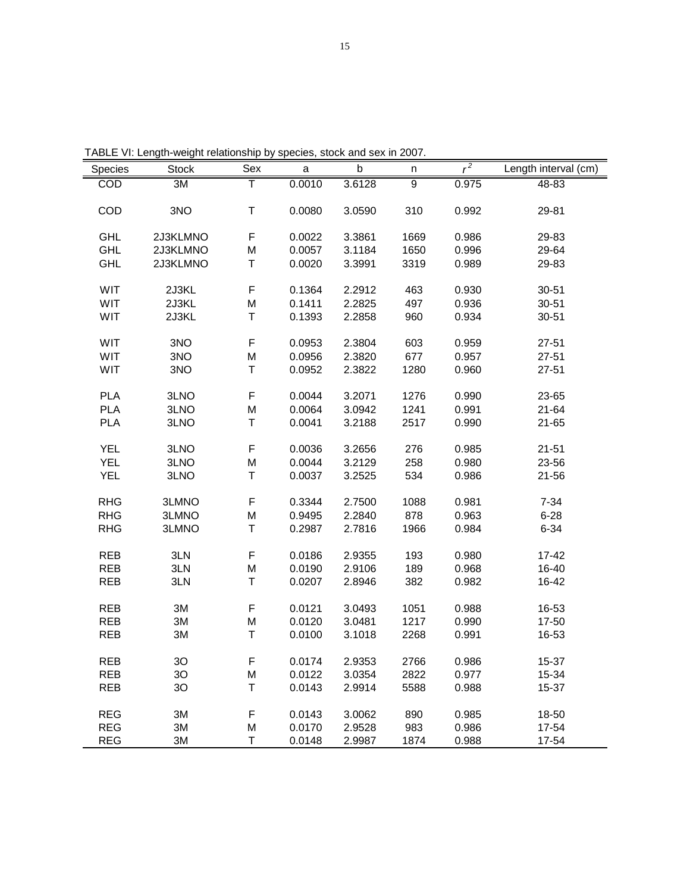| TABLE VI: Length-weight relationship by species, stock and sex in 2007. |
|-------------------------------------------------------------------------|
|-------------------------------------------------------------------------|

| Species    | <b>Stock</b> | Sex | $\mathsf a$ | $\sf b$ | n              | $r^2$ | Length interval $\overline{(cm)}$ |
|------------|--------------|-----|-------------|---------|----------------|-------|-----------------------------------|
| COD        | 3M           | т   | 0.0010      | 3.6128  | $\overline{9}$ | 0.975 | $48 - 83$                         |
|            |              |     |             |         |                |       |                                   |
| COD        | 3NO          | T   | 0.0080      | 3.0590  | 310            | 0.992 | 29-81                             |
|            |              |     |             |         |                |       |                                   |
| <b>GHL</b> | 2J3KLMNO     | F   | 0.0022      | 3.3861  | 1669           | 0.986 | 29-83                             |
| <b>GHL</b> | 2J3KLMNO     | M   | 0.0057      | 3.1184  | 1650           | 0.996 | 29-64                             |
| <b>GHL</b> | 2J3KLMNO     | T   | 0.0020      | 3.3991  | 3319           | 0.989 | 29-83                             |
|            |              |     |             |         |                |       |                                   |
| <b>WIT</b> | 2J3KL        | F   | 0.1364      | 2.2912  | 463            | 0.930 | $30 - 51$                         |
| WIT        | 2J3KL        | M   | 0.1411      | 2.2825  | 497            | 0.936 | $30 - 51$                         |
| WIT        | 2J3KL        | T   | 0.1393      | 2.2858  | 960            | 0.934 | $30 - 51$                         |
| WIT        | 3NO          | F   | 0.0953      | 2.3804  | 603            | 0.959 | $27 - 51$                         |
| WIT        | 3NO          | M   | 0.0956      | 2.3820  | 677            | 0.957 | $27 - 51$                         |
| WIT        | 3NO          | T   | 0.0952      | 2.3822  | 1280           | 0.960 | $27 - 51$                         |
|            |              |     |             |         |                |       |                                   |
| <b>PLA</b> | 3LNO         | F   | 0.0044      | 3.2071  | 1276           | 0.990 | 23-65                             |
| <b>PLA</b> | 3LNO         | M   | 0.0064      | 3.0942  | 1241           | 0.991 | $21 - 64$                         |
| <b>PLA</b> | 3LNO         | T   | 0.0041      | 3.2188  | 2517           | 0.990 | $21 - 65$                         |
|            |              |     |             |         |                |       |                                   |
| <b>YEL</b> | 3LNO         | F   | 0.0036      | 3.2656  | 276            | 0.985 | $21 - 51$                         |
| <b>YEL</b> | 3LNO         | M   | 0.0044      | 3.2129  | 258            | 0.980 | 23-56                             |
| <b>YEL</b> | 3LNO         | Τ   | 0.0037      | 3.2525  | 534            | 0.986 | $21 - 56$                         |
|            |              |     |             |         |                |       |                                   |
| <b>RHG</b> | 3LMNO        | F   | 0.3344      | 2.7500  | 1088           | 0.981 | $7 - 34$                          |
| <b>RHG</b> | 3LMNO        | M   | 0.9495      | 2.2840  | 878            | 0.963 | $6 - 28$                          |
| <b>RHG</b> | 3LMNO        | T   | 0.2987      | 2.7816  | 1966           | 0.984 | $6 - 34$                          |
|            |              |     |             |         |                |       |                                   |
| <b>REB</b> | 3LN          | F   | 0.0186      | 2.9355  | 193            | 0.980 | $17 - 42$                         |
| <b>REB</b> | 3LN          | M   | 0.0190      | 2.9106  | 189            | 0.968 | 16-40                             |
| <b>REB</b> | 3LN          | T   | 0.0207      | 2.8946  | 382            | 0.982 | 16-42                             |
| <b>REB</b> | 3M           | F   | 0.0121      | 3.0493  | 1051           | 0.988 | 16-53                             |
| <b>REB</b> | 3M           | M   | 0.0120      | 3.0481  | 1217           | 0.990 | 17-50                             |
| <b>REB</b> | 3M           | Τ   | 0.0100      | 3.1018  | 2268           | 0.991 | 16-53                             |
|            |              |     |             |         |                |       |                                   |
| <b>REB</b> | 3O           | F   | 0.0174      | 2.9353  | 2766           | 0.986 | 15-37                             |
| <b>REB</b> | 3O           | M   | 0.0122      | 3.0354  | 2822           | 0.977 | 15-34                             |
| <b>REB</b> | 3O           | Τ   | 0.0143      | 2.9914  | 5588           | 0.988 | 15-37                             |
|            |              |     |             |         |                |       |                                   |
| <b>REG</b> | 3M           | F   | 0.0143      | 3.0062  | 890            | 0.985 | 18-50                             |
| <b>REG</b> | 3M           | M   | 0.0170      | 2.9528  | 983            | 0.986 | 17-54                             |
| <b>REG</b> | 3M           | T   | 0.0148      | 2.9987  | 1874           | 0.988 | 17-54                             |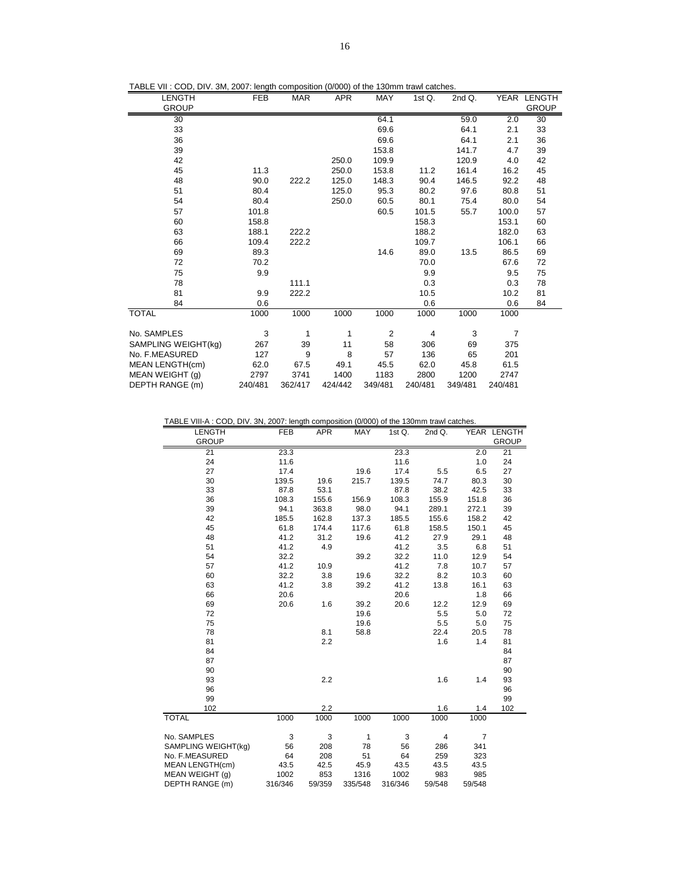|  |  |  |  | TABLE VII: COD, DIV. 3M, 2007: length composition (0/000) of the 130mm trawl catches. |
|--|--|--|--|---------------------------------------------------------------------------------------|
|--|--|--|--|---------------------------------------------------------------------------------------|

| LENGTH<br><b>GROUP</b> | FEB     | <b>MAR</b> | <b>APR</b> | MAY            | 1st $Q$ . | 2ndQ.   |                | YEAR LENGTH<br><b>GROUP</b> |
|------------------------|---------|------------|------------|----------------|-----------|---------|----------------|-----------------------------|
|                        |         |            |            |                |           |         |                |                             |
| 30                     |         |            |            | 64.1           |           | 59.0    | 2.0            | 30                          |
| 33                     |         |            |            | 69.6           |           | 64.1    | 2.1            | 33                          |
| 36                     |         |            |            | 69.6           |           | 64.1    | 2.1            | 36                          |
| 39                     |         |            |            | 153.8          |           | 141.7   | 4.7            | 39                          |
| 42                     |         |            | 250.0      | 109.9          |           | 120.9   | 4.0            | 42                          |
| 45                     | 11.3    |            | 250.0      | 153.8          | 11.2      | 161.4   | 16.2           | 45                          |
| 48                     | 90.0    | 222.2      | 125.0      | 148.3          | 90.4      | 146.5   | 92.2           | 48                          |
| 51                     | 80.4    |            | 125.0      | 95.3           | 80.2      | 97.6    | 80.8           | 51                          |
| 54                     | 80.4    |            | 250.0      | 60.5           | 80.1      | 75.4    | 80.0           | 54                          |
| 57                     | 101.8   |            |            | 60.5           | 101.5     | 55.7    | 100.0          | 57                          |
| 60                     | 158.8   |            |            |                | 158.3     |         | 153.1          | 60                          |
| 63                     | 188.1   | 222.2      |            |                | 188.2     |         | 182.0          | 63                          |
| 66                     | 109.4   | 222.2      |            |                | 109.7     |         | 106.1          | 66                          |
| 69                     | 89.3    |            |            | 14.6           | 89.0      | 13.5    | 86.5           | 69                          |
| 72                     | 70.2    |            |            |                | 70.0      |         | 67.6           | 72                          |
| 75                     | 9.9     |            |            |                | 9.9       |         | 9.5            | 75                          |
| 78                     |         | 111.1      |            |                | 0.3       |         | 0.3            | 78                          |
| 81                     | 9.9     | 222.2      |            |                | 10.5      |         | 10.2           | 81                          |
| 84                     | 0.6     |            |            |                | 0.6       |         | 0.6            | 84                          |
| <b>TOTAL</b>           | 1000    | 1000       | 1000       | 1000           | 1000      | 1000    | 1000           |                             |
| No. SAMPLES            | 3       | 1          | 1          | $\overline{2}$ | 4         | 3       | $\overline{7}$ |                             |
| SAMPLING WEIGHT(kg)    | 267     | 39         | 11         | 58             | 306       | 69      | 375            |                             |
| No. F.MEASURED         | 127     | 9          | 8          | 57             | 136       | 65      | 201            |                             |
| MEAN LENGTH(cm)        | 62.0    | 67.5       | 49.1       | 45.5           | 62.0      | 45.8    | 61.5           |                             |
| MEAN WEIGHT (g)        | 2797    | 3741       | 1400       | 1183           | 2800      | 1200    | 2747           |                             |
| DEPTH RANGE (m)        | 240/481 | 362/417    | 424/442    | 349/481        | 240/481   | 349/481 | 240/481        |                             |

TABLE VIII-A : COD, DIV. 3N, 2007: length composition (0/000) of the 130mm trawl catches.

| <b>LENGTH</b>          | <b>FEB</b> | <b>APR</b> | MAY     | 1st Q.  | 2nd Q. |                | YEAR LENGTH  |
|------------------------|------------|------------|---------|---------|--------|----------------|--------------|
| <b>GROUP</b>           |            |            |         |         |        |                | <b>GROUP</b> |
| 21                     | 23.3       |            |         | 23.3    |        | 2.0            | 21           |
| 24                     | 11.6       |            |         | 11.6    |        | 1.0            | 24           |
| 27                     | 17.4       |            | 19.6    | 17.4    | 5.5    | 6.5            | 27           |
| 30                     | 139.5      | 19.6       | 215.7   | 139.5   | 74.7   | 80.3           | 30           |
| 33                     | 87.8       | 53.1       |         | 87.8    | 38.2   | 42.5           | 33           |
| 36                     | 108.3      | 155.6      | 156.9   | 108.3   | 155.9  | 151.8          | 36           |
| 39                     | 94.1       | 363.8      | 98.0    | 94.1    | 289.1  | 272.1          | 39           |
| 42                     | 185.5      | 162.8      | 137.3   | 185.5   | 155.6  | 158.2          | 42           |
| 45                     | 61.8       | 174.4      | 117.6   | 61.8    | 158.5  | 150.1          | 45           |
| 48                     | 41.2       | 31.2       | 19.6    | 41.2    | 27.9   | 29.1           | 48           |
| 51                     | 41.2       | 4.9        |         | 41.2    | 3.5    | 6.8            | 51           |
| 54                     | 32.2       |            | 39.2    | 32.2    | 11.0   | 12.9           | 54           |
| 57                     | 41.2       | 10.9       |         | 41.2    | 7.8    | 10.7           | 57           |
| 60                     | 32.2       | 3.8        | 19.6    | 32.2    | 8.2    | 10.3           | 60           |
| 63                     | 41.2       | 3.8        | 39.2    | 41.2    | 13.8   | 16.1           | 63           |
| 66                     | 20.6       |            |         | 20.6    |        | 1.8            | 66           |
| 69                     | 20.6       | 1.6        | 39.2    | 20.6    | 12.2   | 12.9           | 69           |
| 72                     |            |            | 19.6    |         | 5.5    | 5.0            | 72           |
| 75                     |            |            | 19.6    |         | 5.5    | 5.0            | 75           |
| 78                     |            | 8.1        | 58.8    |         | 22.4   | 20.5           | 78           |
| 81                     |            | 2.2        |         |         | 1.6    | 1.4            | 81           |
| 84                     |            |            |         |         |        |                | 84           |
| 87                     |            |            |         |         |        |                | 87           |
| 90                     |            |            |         |         |        |                | 90           |
| 93                     |            | 2.2        |         |         | 1.6    | 1.4            | 93           |
| 96                     |            |            |         |         |        |                | 96           |
| 99                     |            |            |         |         |        |                | 99           |
| 102                    |            | 2.2        |         |         | 1.6    | 1.4            | 102          |
| <b>TOTAL</b>           | 1000       | 1000       | 1000    | 1000    | 1000   | 1000           |              |
| No. SAMPLES            | 3          | 3          | 1       | 3       | 4      | $\overline{7}$ |              |
| SAMPLING WEIGHT(kg)    | 56         | 208        | 78      | 56      | 286    | 341            |              |
| No. F.MEASURED         | 64         | 208        | 51      | 64      | 259    | 323            |              |
| <b>MEAN LENGTH(cm)</b> | 43.5       | 42.5       | 45.9    | 43.5    | 43.5   | 43.5           |              |
| MEAN WEIGHT (g)        | 1002       | 853        | 1316    | 1002    | 983    | 985            |              |
| DEPTH RANGE (m)        | 316/346    | 59/359     | 335/548 | 316/346 | 59/548 | 59/548         |              |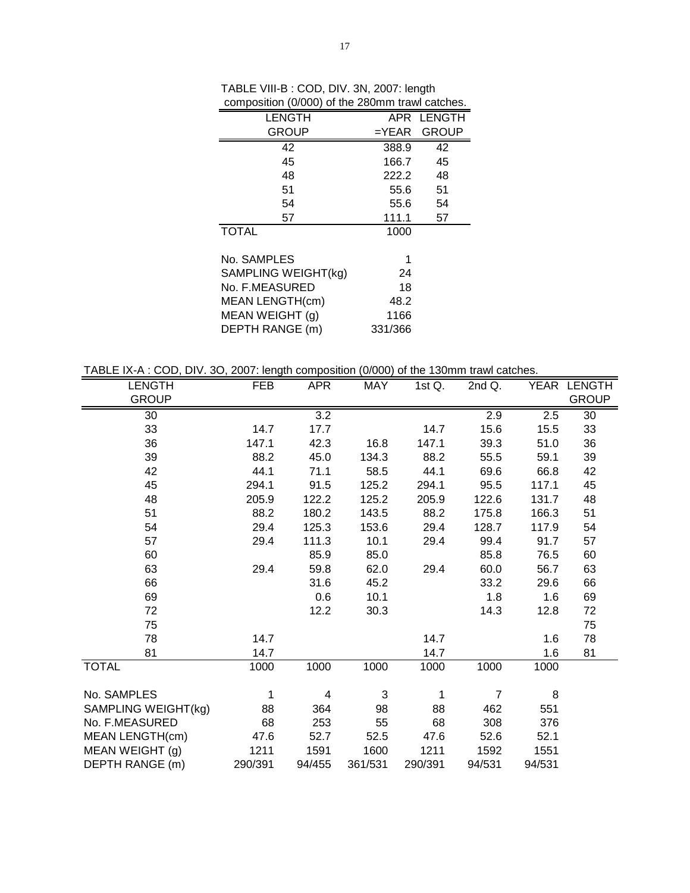| LENGTH                 |         | APR LENGTH  |
|------------------------|---------|-------------|
| <b>GROUP</b>           |         | =YEAR GROUP |
| 42                     | 388.9   | 42          |
| 45                     | 166.7   | 45          |
| 48                     | 222.2   | 48          |
| 51                     | 55.6    | 51          |
| 54                     | 55.6    | 54          |
| 57                     | 111.1   | 57          |
| <b>TOTAL</b>           | 1000    |             |
| No. SAMPLES            | 1       |             |
| SAMPLING WEIGHT(kg)    | 24      |             |
| No. F.MEASURED         | 18      |             |
| <b>MEAN LENGTH(cm)</b> | 48.2    |             |
| MEAN WEIGHT (g)        | 1166    |             |
| DEPTH RANGE (m)        | 331/366 |             |

TABLE VIII-B : COD, DIV. 3N, 2007: length composition (0/000) of the 280mm trawl catches.

TABLE IX-A : COD, DIV. 3O, 2007: length composition (0/000) of the 130mm trawl catches.

| <b>LENGTH</b><br><b>GROUP</b> | FEB     | <b>APR</b> | <b>MAY</b> | 1st Q.  | $\overline{2}$ nd Q. |        | YEAR LENGTH<br><b>GROUP</b> |
|-------------------------------|---------|------------|------------|---------|----------------------|--------|-----------------------------|
|                               |         |            |            |         |                      |        |                             |
| 30                            |         | 3.2        |            |         | 2.9                  | 2.5    | 30                          |
| 33                            | 14.7    | 17.7       |            | 14.7    | 15.6                 | 15.5   | 33                          |
| 36                            | 147.1   | 42.3       | 16.8       | 147.1   | 39.3                 | 51.0   | 36                          |
| 39                            | 88.2    | 45.0       | 134.3      | 88.2    | 55.5                 | 59.1   | 39                          |
| 42                            | 44.1    | 71.1       | 58.5       | 44.1    | 69.6                 | 66.8   | 42                          |
| 45                            | 294.1   | 91.5       | 125.2      | 294.1   | 95.5                 | 117.1  | 45                          |
| 48                            | 205.9   | 122.2      | 125.2      | 205.9   | 122.6                | 131.7  | 48                          |
| 51                            | 88.2    | 180.2      | 143.5      | 88.2    | 175.8                | 166.3  | 51                          |
| 54                            | 29.4    | 125.3      | 153.6      | 29.4    | 128.7                | 117.9  | 54                          |
| 57                            | 29.4    | 111.3      | 10.1       | 29.4    | 99.4                 | 91.7   | 57                          |
| 60                            |         | 85.9       | 85.0       |         | 85.8                 | 76.5   | 60                          |
| 63                            | 29.4    | 59.8       | 62.0       | 29.4    | 60.0                 | 56.7   | 63                          |
| 66                            |         | 31.6       | 45.2       |         | 33.2                 | 29.6   | 66                          |
| 69                            |         | 0.6        | 10.1       |         | 1.8                  | 1.6    | 69                          |
| 72                            |         | 12.2       | 30.3       |         | 14.3                 | 12.8   | 72                          |
| 75                            |         |            |            |         |                      |        | 75                          |
| 78                            | 14.7    |            |            | 14.7    |                      | 1.6    | 78                          |
| 81                            | 14.7    |            |            | 14.7    |                      | 1.6    | 81                          |
| <b>TOTAL</b>                  | 1000    | 1000       | 1000       | 1000    | 1000                 | 1000   |                             |
|                               |         |            |            |         |                      |        |                             |
| No. SAMPLES                   | 1       | 4          | 3          | 1       | $\overline{7}$       | 8      |                             |
| SAMPLING WEIGHT(kg)           | 88      | 364        | 98         | 88      | 462                  | 551    |                             |
| No. F.MEASURED                | 68      | 253        | 55         | 68      | 308                  | 376    |                             |
| MEAN LENGTH(cm)               | 47.6    | 52.7       | 52.5       | 47.6    | 52.6                 | 52.1   |                             |
| MEAN WEIGHT (g)               | 1211    | 1591       | 1600       | 1211    | 1592                 | 1551   |                             |
| DEPTH RANGE (m)               | 290/391 | 94/455     | 361/531    | 290/391 | 94/531               | 94/531 |                             |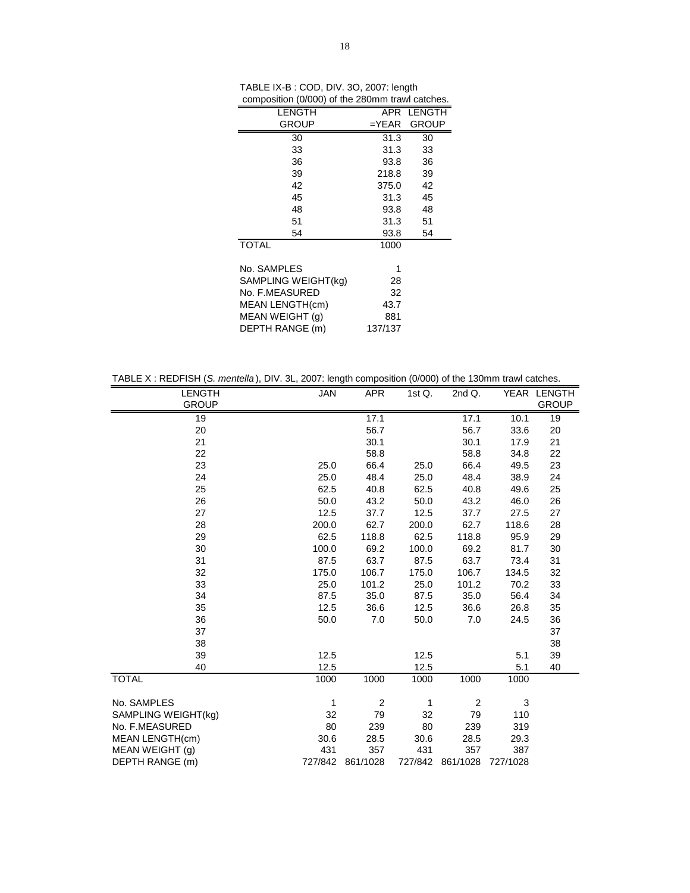| composition (cross) or the zoomin trawi catolico. |          |              |
|---------------------------------------------------|----------|--------------|
| <b>LENGTH</b>                                     |          | APR LENGTH   |
| <b>GROUP</b>                                      | $=$ YEAR | <b>GROUP</b> |
| 30                                                | 31.3     | 30           |
| 33                                                | 31.3     | 33           |
| 36                                                | 93.8     | 36           |
| 39                                                | 218.8    | 39           |
| 42                                                | 375.0    | 42           |
| 45                                                | 31.3     | 45           |
| 48                                                | 93.8     | 48           |
| 51                                                | 31.3     | 51           |
| 54                                                | 93.8     | 54           |
| <b>TOTAL</b>                                      | 1000     |              |
|                                                   |          |              |
| No. SAMPLES                                       | 1        |              |
| SAMPLING WEIGHT(kg)                               | 28       |              |
| No. F.MEASURED                                    | 32       |              |
| MEAN LENGTH(cm)                                   | 43.7     |              |
| MEAN WEIGHT (q)                                   | 881      |              |
| DEPTH RANGE (m)                                   | 137/137  |              |

| TABLE IX-B : COD, DIV. 3O, 2007: length         |
|-------------------------------------------------|
| composition (0/000) of the 280mm trawl catches. |

| TABLE X: REDFISH (S. mentella), DIV. 3L, 2007: length composition (0/000) of the 130mm trawl catches. |  |  |
|-------------------------------------------------------------------------------------------------------|--|--|
|                                                                                                       |  |  |

| <b>LENGTH</b>       | <b>JAN</b> | <b>APR</b>       | 1st $Q$ . | 2nd Q.           |          | YEAR LENGTH  |
|---------------------|------------|------------------|-----------|------------------|----------|--------------|
| <b>GROUP</b>        |            |                  |           |                  |          | <b>GROUP</b> |
| 19                  |            | 17.1             |           | 17.1             | 10.1     | 19           |
| 20                  |            | 56.7             |           | 56.7             | 33.6     | 20           |
| 21                  |            | 30.1             |           | 30.1             | 17.9     | 21           |
| 22                  |            | 58.8             |           | 58.8             | 34.8     | 22           |
| 23                  | 25.0       | 66.4             | 25.0      | 66.4             | 49.5     | 23           |
| 24                  | 25.0       | 48.4             | 25.0      | 48.4             | 38.9     | 24           |
| 25                  | 62.5       | 40.8             | 62.5      | 40.8             | 49.6     | 25           |
| 26                  | 50.0       | 43.2             | 50.0      | 43.2             | 46.0     | 26           |
| 27                  | 12.5       | 37.7             | 12.5      | 37.7             | 27.5     | 27           |
| 28                  | 200.0      | 62.7             | 200.0     | 62.7             | 118.6    | 28           |
| 29                  | 62.5       | 118.8            | 62.5      | 118.8            | 95.9     | 29           |
| 30                  | 100.0      | 69.2             | 100.0     | 69.2             | 81.7     | 30           |
| 31                  | 87.5       | 63.7             | 87.5      | 63.7             | 73.4     | 31           |
| 32                  | 175.0      | 106.7            | 175.0     | 106.7            | 134.5    | 32           |
| 33                  | 25.0       | 101.2            | 25.0      | 101.2            | 70.2     | 33           |
| 34                  | 87.5       | 35.0             | 87.5      | 35.0             | 56.4     | 34           |
| 35                  | 12.5       | 36.6             | 12.5      | 36.6             | 26.8     | 35           |
| 36                  | 50.0       | 7.0              | 50.0      | 7.0              | 24.5     | 36           |
| 37                  |            |                  |           |                  |          | 37           |
| 38                  |            |                  |           |                  |          | 38           |
| 39                  | 12.5       |                  | 12.5      |                  | 5.1      | 39           |
| 40                  | 12.5       |                  | 12.5      |                  | 5.1      | 40           |
| <b>TOTAL</b>        | 1000       | 1000             | 1000      | 1000             | 1000     |              |
| No. SAMPLES         | 1          | $\overline{2}$   | 1         | $\overline{2}$   | 3        |              |
| SAMPLING WEIGHT(kg) | 32         | 79               | 32        | 79               | 110      |              |
| No. F.MEASURED      | 80         | 239              | 80        | 239              | 319      |              |
| MEAN LENGTH(cm)     | 30.6       | 28.5             | 30.6      | 28.5             | 29.3     |              |
| MEAN WEIGHT (g)     | 431        | 357              | 431       | 357              | 387      |              |
| DEPTH RANGE (m)     |            | 727/842 861/1028 |           | 727/842 861/1028 | 727/1028 |              |
|                     |            |                  |           |                  |          |              |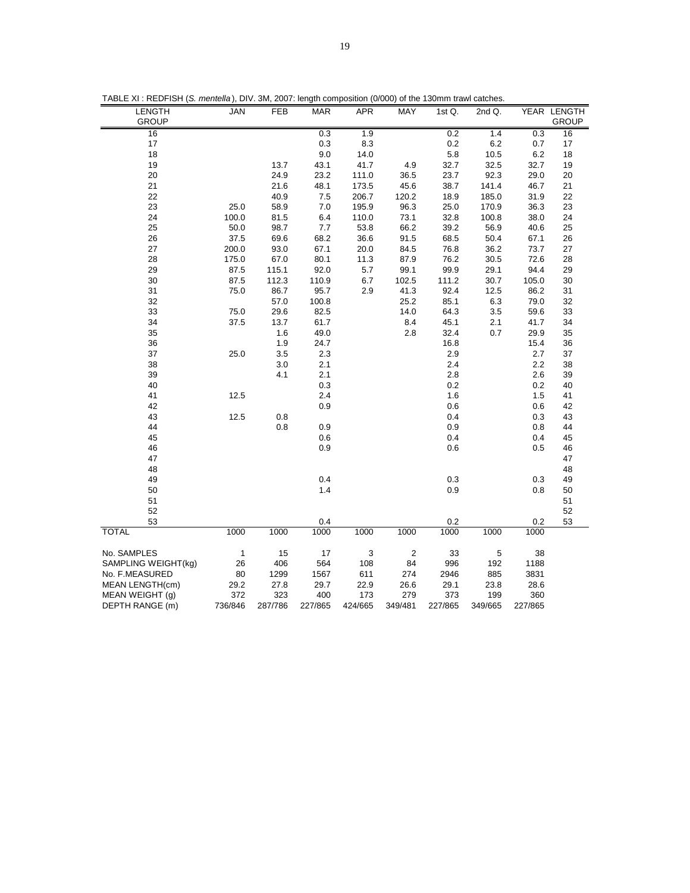| LENGTH                 | JAN          | FEB     | <b>MAR</b> | APR     | MAY            | 1st Q.  | 2nd Q.  |         | YEAR LENGTH  |
|------------------------|--------------|---------|------------|---------|----------------|---------|---------|---------|--------------|
| <b>GROUP</b>           |              |         |            |         |                |         |         |         | <b>GROUP</b> |
| 16                     |              |         | 0.3        | 1.9     |                | 0.2     | 1.4     | 0.3     | 16           |
| 17                     |              |         | 0.3        | 8.3     |                | 0.2     | 6.2     | 0.7     | 17           |
| 18                     |              |         | 9.0        | 14.0    |                | 5.8     | 10.5    | 6.2     | 18           |
| 19                     |              | 13.7    | 43.1       | 41.7    | 4.9            | 32.7    | 32.5    | 32.7    | 19           |
| 20                     |              | 24.9    | 23.2       | 111.0   | 36.5           | 23.7    | 92.3    | 29.0    | 20           |
| 21                     |              | 21.6    | 48.1       | 173.5   | 45.6           | 38.7    | 141.4   | 46.7    | 21           |
| 22                     |              | 40.9    | 7.5        | 206.7   | 120.2          | 18.9    | 185.0   | 31.9    | 22           |
| 23                     | 25.0         | 58.9    | 7.0        | 195.9   | 96.3           | 25.0    | 170.9   | 36.3    | 23           |
| 24                     | 100.0        | 81.5    | 6.4        | 110.0   | 73.1           | 32.8    | 100.8   | 38.0    | 24           |
| 25                     | 50.0         | 98.7    | 7.7        | 53.8    | 66.2           | 39.2    |         | 40.6    | 25           |
|                        |              |         |            |         |                |         | 56.9    |         |              |
| 26                     | 37.5         | 69.6    | 68.2       | 36.6    | 91.5           | 68.5    | 50.4    | 67.1    | 26           |
| 27                     | 200.0        | 93.0    | 67.1       | 20.0    | 84.5           | 76.8    | 36.2    | 73.7    | 27           |
| 28                     | 175.0        | 67.0    | 80.1       | 11.3    | 87.9           | 76.2    | 30.5    | 72.6    | 28           |
| 29                     | 87.5         | 115.1   | 92.0       | 5.7     | 99.1           | 99.9    | 29.1    | 94.4    | 29           |
| 30                     | 87.5         | 112.3   | 110.9      | 6.7     | 102.5          | 111.2   | 30.7    | 105.0   | 30           |
| 31                     | 75.0         | 86.7    | 95.7       | 2.9     | 41.3           | 92.4    | 12.5    | 86.2    | 31           |
| 32                     |              | 57.0    | 100.8      |         | 25.2           | 85.1    | 6.3     | 79.0    | 32           |
| 33                     | 75.0         | 29.6    | 82.5       |         | 14.0           | 64.3    | 3.5     | 59.6    | 33           |
| 34                     | 37.5         | 13.7    | 61.7       |         | 8.4            | 45.1    | 2.1     | 41.7    | 34           |
| 35                     |              | 1.6     | 49.0       |         | 2.8            | 32.4    | 0.7     | 29.9    | 35           |
| 36                     |              | 1.9     | 24.7       |         |                | 16.8    |         | 15.4    | 36           |
| 37                     | 25.0         | 3.5     | 2.3        |         |                | 2.9     |         | 2.7     | 37           |
| 38                     |              | 3.0     | 2.1        |         |                | 2.4     |         | 2.2     | 38           |
| 39                     |              | 4.1     | 2.1        |         |                | 2.8     |         | 2.6     | 39           |
| 40                     |              |         | 0.3        |         |                | 0.2     |         | 0.2     | 40           |
| 41                     | 12.5         |         | 2.4        |         |                | 1.6     |         | 1.5     | 41           |
| 42                     |              |         | 0.9        |         |                | 0.6     |         | 0.6     | 42           |
| 43                     | 12.5         | 0.8     |            |         |                | 0.4     |         | 0.3     | 43           |
| 44                     |              | 0.8     | 0.9        |         |                | 0.9     |         | 0.8     | 44           |
| 45                     |              |         | 0.6        |         |                | 0.4     |         | 0.4     | 45           |
| 46                     |              |         | 0.9        |         |                | 0.6     |         | 0.5     | 46           |
| 47                     |              |         |            |         |                |         |         |         | 47           |
| 48                     |              |         |            |         |                |         |         |         | 48           |
| 49                     |              |         | 0.4        |         |                | 0.3     |         | 0.3     | 49           |
| 50                     |              |         | 1.4        |         |                | 0.9     |         | 0.8     | 50           |
| 51                     |              |         |            |         |                |         |         |         | 51           |
| 52                     |              |         |            |         |                |         |         |         | 52           |
| 53                     |              |         | 0.4        |         |                | 0.2     |         | 0.2     | 53           |
| <b>TOTAL</b>           | 1000         | 1000    | 1000       | 1000    | 1000           | 1000    | 1000    | 1000    |              |
|                        |              |         |            |         |                |         |         |         |              |
| No. SAMPLES            | $\mathbf{1}$ | 15      | 17         | 3       | $\overline{2}$ | 33      | 5       | 38      |              |
| SAMPLING WEIGHT(kg)    | 26           | 406     | 564        | 108     | 84             | 996     | 192     | 1188    |              |
| No. F.MEASURED         | 80           | 1299    | 1567       | 611     | 274            | 2946    | 885     | 3831    |              |
| <b>MEAN LENGTH(cm)</b> | 29.2         | 27.8    | 29.7       | 22.9    | 26.6           | 29.1    | 23.8    | 28.6    |              |
| MEAN WEIGHT (g)        | 372          | 323     | 400        | 173     | 279            | 373     | 199     | 360     |              |
| DEPTH RANGE (m)        | 736/846      | 287/786 | 227/865    | 424/665 | 349/481        | 227/865 | 349/665 | 227/865 |              |

TABLE XI : REDFISH (*S. mentella* ), DIV. 3M, 2007: length composition (0/000) of the 130mm trawl catches.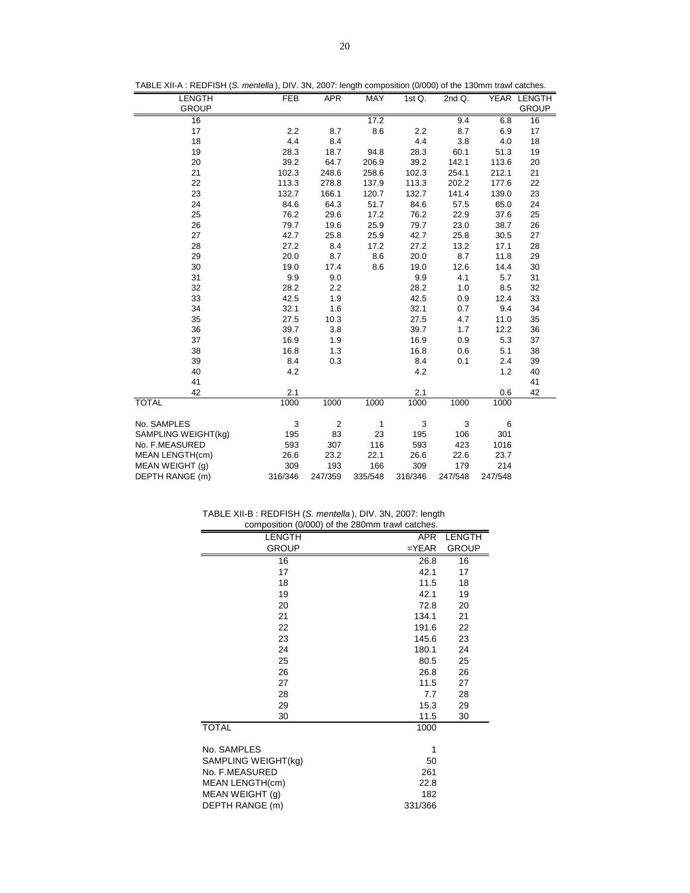|  |  | TABLE XII-A : REDFISH (S. mentella), DIV. 3N, 2007: length composition (0/000) of the 130mm trawl catches. |
|--|--|------------------------------------------------------------------------------------------------------------|
|--|--|------------------------------------------------------------------------------------------------------------|

| <b>LENGTH</b>          | <b>FEB</b> | <b>APR</b>     | MAY     | 1st Q.  | 2nd Q.  |         | YEAR LENGTH  |
|------------------------|------------|----------------|---------|---------|---------|---------|--------------|
| <b>GROUP</b>           |            |                |         |         |         |         | <b>GROUP</b> |
| 16                     |            |                | 17.2    |         | 9.4     | 6.8     | 16           |
| 17                     | 2.2        | 8.7            | 8.6     | 2.2     | 8.7     | 6.9     | 17           |
| 18                     | 4.4        | 8.4            |         | 4.4     | 3.8     | 4.0     | 18           |
| 19                     | 28.3       | 18.7           | 94.8    | 28.3    | 60.1    | 51.3    | 19           |
| 20                     | 39.2       | 64.7           | 206.9   | 39.2    | 142.1   | 113.6   | 20           |
| 21                     | 102.3      | 248.6          | 258.6   | 102.3   | 254.1   | 212.1   | 21           |
| 22                     | 113.3      | 278.8          | 137.9   | 113.3   | 202.2   | 177.6   | 22           |
| 23                     | 132.7      | 166.1          | 120.7   | 132.7   | 141.4   | 139.0   | 23           |
| 24                     | 84.6       | 64.3           | 51.7    | 84.6    | 57.5    | 65.0    | 24           |
| 25                     | 76.2       | 29.6           | 17.2    | 76.2    | 22.9    | 37.6    | 25           |
| 26                     | 79.7       | 19.6           | 25.9    | 79.7    | 23.0    | 38.7    | 26           |
| 27                     | 42.7       | 25.8           | 25.9    | 42.7    | 25.8    | 30.5    | 27           |
| 28                     | 27.2       | 8.4            | 17.2    | 27.2    | 13.2    | 17.1    | 28           |
| 29                     | 20.0       | 8.7            | 8.6     | 20.0    | 8.7     | 11.8    | 29           |
| 30                     | 19.0       | 17.4           | 8.6     | 19.0    | 12.6    | 14.4    | 30           |
| 31                     | 9.9        | 9.0            |         | 9.9     | 4.1     | 5.7     | 31           |
| 32                     | 28.2       | 2.2            |         | 28.2    | 1.0     | 8.5     | 32           |
| 33                     | 42.5       | 1.9            |         | 42.5    | 0.9     | 12.4    | 33           |
| 34                     | 32.1       | 1.6            |         | 32.1    | 0.7     | 9.4     | 34           |
| 35                     | 27.5       | 10.3           |         | 27.5    | 4.7     | 11.0    | 35           |
| 36                     | 39.7       | 3.8            |         | 39.7    | 1.7     | 12.2    | 36           |
| 37                     | 16.9       | 1.9            |         | 16.9    | 0.9     | 5.3     | 37           |
| 38                     | 16.8       | 1.3            |         | 16.8    | 0.6     | 5.1     | 38           |
| 39                     | 8.4        | 0.3            |         | 8.4     | 0.1     | 2.4     | 39           |
| 40                     | 4.2        |                |         | 4.2     |         | 1.2     | 40           |
| 41                     |            |                |         |         |         |         | 41           |
| 42                     | 2.1        |                |         | 2.1     |         | 0.6     | 42           |
| <b>TOTAL</b>           | 1000       | 1000           | 1000    | 1000    | 1000    | 1000    |              |
| No. SAMPLES            | 3          | $\overline{2}$ | 1       | 3       | 3       | 6       |              |
| SAMPLING WEIGHT(kg)    | 195        | 83             | 23      | 195     | 106     | 301     |              |
| No. F.MEASURED         | 593        | 307            | 116     | 593     | 423     | 1016    |              |
| <b>MEAN LENGTH(cm)</b> | 26.6       | 23.2           | 22.1    | 26.6    | 22.6    | 23.7    |              |
| MEAN WEIGHT (q)        | 309        | 193            | 166     | 309     | 179     | 214     |              |
| DEPTH RANGE (m)        | 316/346    | 247/359        | 335/548 | 316/346 | 247/548 | 247/548 |              |

| TABLE XII-B: REDFISH (S. mentella), DIV. 3N, 2007: length |  |                                                 |
|-----------------------------------------------------------|--|-------------------------------------------------|
|                                                           |  | composition (0/000) of the 280mm trawl catches. |

| LENGTH              | APR     | LENGTH       |
|---------------------|---------|--------------|
| <b>GROUP</b>        | $=YEAR$ | <b>GROUP</b> |
| 16                  | 26.8    | 16           |
| 17                  | 42.1    | 17           |
| 18                  | 11.5    | 18           |
| 19                  | 42.1    | 19           |
| 20                  | 72.8    | 20           |
| 21                  | 134.1   | 21           |
| 22                  | 191.6   | 22           |
| 23                  | 145.6   | 23           |
| 24                  | 180.1   | 24           |
| 25                  | 80.5    | 25           |
| 26                  | 26.8    | 26           |
| 27                  | 11.5    | 27           |
| 28                  | 7.7     | 28           |
| 29                  | 15.3    | 29           |
| 30                  | 11.5    | 30           |
| <b>TOTAL</b>        | 1000    |              |
|                     |         |              |
| No. SAMPLES         | 1       |              |
| SAMPLING WEIGHT(kg) | 50      |              |
| No. F.MEASURED      | 261     |              |
| MEAN LENGTH(cm)     | 22.8    |              |
| MEAN WEIGHT (g)     | 182     |              |
| DEPTH RANGE (m)     | 331/366 |              |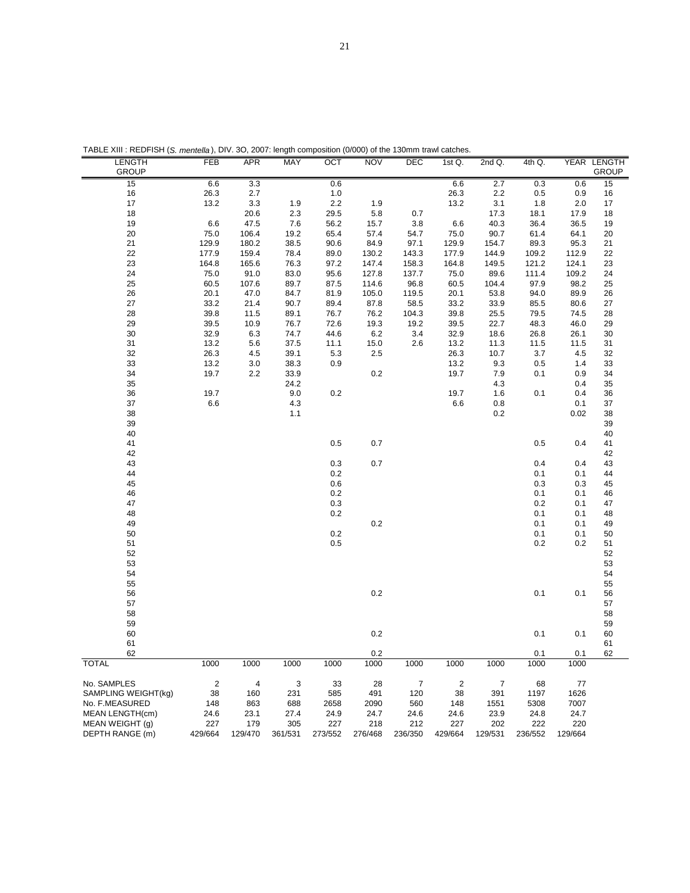| <b>GROUP</b><br>6.6<br>15<br>3.3<br>0.6<br>6.6<br>$\overline{2.7}$<br>0.3<br>0.6<br>16<br>26.3<br>2.7<br>1.0<br>26.3<br>2.2<br>0.9<br>0.5<br>17<br>13.2<br>3.3<br>1.9<br>2.2<br>1.9<br>13.2<br>3.1<br>2.0<br>1.8<br>18<br>20.6<br>2.3<br>29.5<br>5.8<br>17.3<br>17.9<br>0.7<br>18.1<br>6.6<br>47.5<br>36.4<br>19<br>7.6<br>56.2<br>15.7<br>3.8<br>6.6<br>40.3<br>36.5<br>20<br>75.0<br>106.4<br>19.2<br>57.4<br>75.0<br>90.7<br>61.4<br>65.4<br>54.7<br>64.1<br>21<br>129.9<br>38.5<br>84.9<br>97.1<br>89.3<br>95.3<br>180.2<br>90.6<br>129.9<br>154.7<br>22<br>177.9<br>159.4<br>78.4<br>130.2<br>177.9<br>109.2<br>89.0<br>143.3<br>144.9<br>112.9<br>23<br>164.8<br>76.3<br>147.4<br>121.2<br>165.6<br>97.2<br>158.3<br>164.8<br>149.5<br>124.1<br>75.0<br>24<br>91.0<br>83.0<br>127.8<br>137.7<br>75.0<br>89.6<br>111.4<br>109.2<br>95.6<br>25<br>60.5<br>89.7<br>96.8<br>60.5<br>97.9<br>98.2<br>107.6<br>87.5<br>114.6<br>104.4<br>26<br>20.1<br>47.0<br>84.7<br>105.0<br>119.5<br>20.1<br>53.8<br>94.0<br>89.9<br>81.9<br>27<br>33.2<br>21.4<br>90.7<br>87.8<br>33.2<br>33.9<br>85.5<br>89.4<br>58.5<br>80.6<br>28<br>39.8<br>11.5<br>89.1<br>76.2<br>39.8<br>79.5<br>76.7<br>104.3<br>25.5<br>74.5<br>29<br>39.5<br>39.5<br>10.9<br>76.7<br>72.6<br>19.3<br>19.2<br>22.7<br>48.3<br>46.0<br>30<br>32.9<br>74.7<br>6.2<br>32.9<br>26.8<br>6.3<br>44.6<br>3.4<br>18.6<br>26.1<br>31<br>13.2<br>5.6<br>37.5<br>11.1<br>15.0<br>2.6<br>13.2<br>11.3<br>11.5<br>11.5<br>32<br>26.3<br>39.1<br>5.3<br>26.3<br>3.7<br>4.5<br>2.5<br>10.7<br>4.5<br>33<br>13.2<br>0.9<br>13.2<br>3.0<br>38.3<br>9.3<br>0.5<br>1.4<br>$0.2\,$<br>34<br>19.7<br>33.9<br>19.7<br>2.2<br>7.9<br>0.9<br>0.1<br>35<br>24.2<br>4.3<br>0.4<br>9.0<br>$0.2\,$<br>36<br>19.7<br>19.7<br>1.6<br>0.4<br>0.1<br>37<br>6.6<br>4.3<br>6.6<br>0.8<br>0.1<br>38<br>1.1<br>0.2<br>0.02<br>39<br>40<br>41<br>0.5<br>0.7<br>0.5<br>0.4<br>42<br>0.3<br>0.7<br>0.4<br>43<br>0.4<br>44<br>0.2<br>0.1<br>0.1<br>45<br>0.6<br>0.3<br>0.3<br>0.2<br>46<br>0.1<br>0.1<br>47<br>0.3<br>0.2<br>0.1<br>48<br>0.2<br>0.1<br>0.1<br>$0.2\,$<br>49<br>0.1<br>0.1<br>$0.2\,$<br>50<br>0.1<br>0.1<br>51<br>0.5<br>0.2<br>0.2<br>52<br>53<br>54<br>55<br>0.2<br>56<br>0.1<br>0.1<br>57<br>58<br>59<br>0.2<br>60<br>0.1<br>0.1<br>61<br>0.2<br>0.1<br>0.1<br>62<br>1000<br><b>TOTAL</b><br>1000<br>1000<br>1000<br>1000<br>1000<br>1000<br>1000<br>1000<br>1000<br>No. SAMPLES<br>$\overline{2}$<br>3<br>$\overline{7}$<br>4<br>33<br>28<br>$\overline{2}$<br>7<br>68<br>77<br>491<br>1626<br>SAMPLING WEIGHT(kg)<br>38<br>160<br>231<br>585<br>120<br>38<br>391<br>1197 | <b>LENGTH</b>                      | FEB | <b>APR</b> | <b>MAY</b> | OCT  | <b>NOV</b> | DEC | 1st $Q$ . | 2nd Q. | $4th$ Q. |      | YEAR LENGTH |
|----------------------------------------------------------------------------------------------------------------------------------------------------------------------------------------------------------------------------------------------------------------------------------------------------------------------------------------------------------------------------------------------------------------------------------------------------------------------------------------------------------------------------------------------------------------------------------------------------------------------------------------------------------------------------------------------------------------------------------------------------------------------------------------------------------------------------------------------------------------------------------------------------------------------------------------------------------------------------------------------------------------------------------------------------------------------------------------------------------------------------------------------------------------------------------------------------------------------------------------------------------------------------------------------------------------------------------------------------------------------------------------------------------------------------------------------------------------------------------------------------------------------------------------------------------------------------------------------------------------------------------------------------------------------------------------------------------------------------------------------------------------------------------------------------------------------------------------------------------------------------------------------------------------------------------------------------------------------------------------------------------------------------------------------------------------------------------------------------------------------------------------------------------------------------------------------------------------------------------------------------------------------------------------------------------------------------------------------------------------------------------------------------------------------------------------------------------------------------------------------------------------------------------------------------------------------------------------------------------------------|------------------------------------|-----|------------|------------|------|------------|-----|-----------|--------|----------|------|-------------|
|                                                                                                                                                                                                                                                                                                                                                                                                                                                                                                                                                                                                                                                                                                                                                                                                                                                                                                                                                                                                                                                                                                                                                                                                                                                                                                                                                                                                                                                                                                                                                                                                                                                                                                                                                                                                                                                                                                                                                                                                                                                                                                                                                                                                                                                                                                                                                                                                                                                                                                                                                                                                                      |                                    |     |            |            |      |            |     |           |        |          |      | GROUP       |
|                                                                                                                                                                                                                                                                                                                                                                                                                                                                                                                                                                                                                                                                                                                                                                                                                                                                                                                                                                                                                                                                                                                                                                                                                                                                                                                                                                                                                                                                                                                                                                                                                                                                                                                                                                                                                                                                                                                                                                                                                                                                                                                                                                                                                                                                                                                                                                                                                                                                                                                                                                                                                      |                                    |     |            |            |      |            |     |           |        |          |      | 15          |
|                                                                                                                                                                                                                                                                                                                                                                                                                                                                                                                                                                                                                                                                                                                                                                                                                                                                                                                                                                                                                                                                                                                                                                                                                                                                                                                                                                                                                                                                                                                                                                                                                                                                                                                                                                                                                                                                                                                                                                                                                                                                                                                                                                                                                                                                                                                                                                                                                                                                                                                                                                                                                      |                                    |     |            |            |      |            |     |           |        |          |      | 16          |
|                                                                                                                                                                                                                                                                                                                                                                                                                                                                                                                                                                                                                                                                                                                                                                                                                                                                                                                                                                                                                                                                                                                                                                                                                                                                                                                                                                                                                                                                                                                                                                                                                                                                                                                                                                                                                                                                                                                                                                                                                                                                                                                                                                                                                                                                                                                                                                                                                                                                                                                                                                                                                      |                                    |     |            |            |      |            |     |           |        |          |      | 17          |
|                                                                                                                                                                                                                                                                                                                                                                                                                                                                                                                                                                                                                                                                                                                                                                                                                                                                                                                                                                                                                                                                                                                                                                                                                                                                                                                                                                                                                                                                                                                                                                                                                                                                                                                                                                                                                                                                                                                                                                                                                                                                                                                                                                                                                                                                                                                                                                                                                                                                                                                                                                                                                      |                                    |     |            |            |      |            |     |           |        |          |      | 18          |
|                                                                                                                                                                                                                                                                                                                                                                                                                                                                                                                                                                                                                                                                                                                                                                                                                                                                                                                                                                                                                                                                                                                                                                                                                                                                                                                                                                                                                                                                                                                                                                                                                                                                                                                                                                                                                                                                                                                                                                                                                                                                                                                                                                                                                                                                                                                                                                                                                                                                                                                                                                                                                      |                                    |     |            |            |      |            |     |           |        |          |      | 19          |
|                                                                                                                                                                                                                                                                                                                                                                                                                                                                                                                                                                                                                                                                                                                                                                                                                                                                                                                                                                                                                                                                                                                                                                                                                                                                                                                                                                                                                                                                                                                                                                                                                                                                                                                                                                                                                                                                                                                                                                                                                                                                                                                                                                                                                                                                                                                                                                                                                                                                                                                                                                                                                      |                                    |     |            |            |      |            |     |           |        |          |      | 20          |
|                                                                                                                                                                                                                                                                                                                                                                                                                                                                                                                                                                                                                                                                                                                                                                                                                                                                                                                                                                                                                                                                                                                                                                                                                                                                                                                                                                                                                                                                                                                                                                                                                                                                                                                                                                                                                                                                                                                                                                                                                                                                                                                                                                                                                                                                                                                                                                                                                                                                                                                                                                                                                      |                                    |     |            |            |      |            |     |           |        |          |      | 21          |
|                                                                                                                                                                                                                                                                                                                                                                                                                                                                                                                                                                                                                                                                                                                                                                                                                                                                                                                                                                                                                                                                                                                                                                                                                                                                                                                                                                                                                                                                                                                                                                                                                                                                                                                                                                                                                                                                                                                                                                                                                                                                                                                                                                                                                                                                                                                                                                                                                                                                                                                                                                                                                      |                                    |     |            |            |      |            |     |           |        |          |      | 22          |
|                                                                                                                                                                                                                                                                                                                                                                                                                                                                                                                                                                                                                                                                                                                                                                                                                                                                                                                                                                                                                                                                                                                                                                                                                                                                                                                                                                                                                                                                                                                                                                                                                                                                                                                                                                                                                                                                                                                                                                                                                                                                                                                                                                                                                                                                                                                                                                                                                                                                                                                                                                                                                      |                                    |     |            |            |      |            |     |           |        |          |      | 23          |
|                                                                                                                                                                                                                                                                                                                                                                                                                                                                                                                                                                                                                                                                                                                                                                                                                                                                                                                                                                                                                                                                                                                                                                                                                                                                                                                                                                                                                                                                                                                                                                                                                                                                                                                                                                                                                                                                                                                                                                                                                                                                                                                                                                                                                                                                                                                                                                                                                                                                                                                                                                                                                      |                                    |     |            |            |      |            |     |           |        |          |      | 24          |
|                                                                                                                                                                                                                                                                                                                                                                                                                                                                                                                                                                                                                                                                                                                                                                                                                                                                                                                                                                                                                                                                                                                                                                                                                                                                                                                                                                                                                                                                                                                                                                                                                                                                                                                                                                                                                                                                                                                                                                                                                                                                                                                                                                                                                                                                                                                                                                                                                                                                                                                                                                                                                      |                                    |     |            |            |      |            |     |           |        |          |      | 25          |
|                                                                                                                                                                                                                                                                                                                                                                                                                                                                                                                                                                                                                                                                                                                                                                                                                                                                                                                                                                                                                                                                                                                                                                                                                                                                                                                                                                                                                                                                                                                                                                                                                                                                                                                                                                                                                                                                                                                                                                                                                                                                                                                                                                                                                                                                                                                                                                                                                                                                                                                                                                                                                      |                                    |     |            |            |      |            |     |           |        |          |      | 26          |
|                                                                                                                                                                                                                                                                                                                                                                                                                                                                                                                                                                                                                                                                                                                                                                                                                                                                                                                                                                                                                                                                                                                                                                                                                                                                                                                                                                                                                                                                                                                                                                                                                                                                                                                                                                                                                                                                                                                                                                                                                                                                                                                                                                                                                                                                                                                                                                                                                                                                                                                                                                                                                      |                                    |     |            |            |      |            |     |           |        |          |      | 27          |
|                                                                                                                                                                                                                                                                                                                                                                                                                                                                                                                                                                                                                                                                                                                                                                                                                                                                                                                                                                                                                                                                                                                                                                                                                                                                                                                                                                                                                                                                                                                                                                                                                                                                                                                                                                                                                                                                                                                                                                                                                                                                                                                                                                                                                                                                                                                                                                                                                                                                                                                                                                                                                      |                                    |     |            |            |      |            |     |           |        |          |      | 28          |
|                                                                                                                                                                                                                                                                                                                                                                                                                                                                                                                                                                                                                                                                                                                                                                                                                                                                                                                                                                                                                                                                                                                                                                                                                                                                                                                                                                                                                                                                                                                                                                                                                                                                                                                                                                                                                                                                                                                                                                                                                                                                                                                                                                                                                                                                                                                                                                                                                                                                                                                                                                                                                      |                                    |     |            |            |      |            |     |           |        |          |      | 29          |
|                                                                                                                                                                                                                                                                                                                                                                                                                                                                                                                                                                                                                                                                                                                                                                                                                                                                                                                                                                                                                                                                                                                                                                                                                                                                                                                                                                                                                                                                                                                                                                                                                                                                                                                                                                                                                                                                                                                                                                                                                                                                                                                                                                                                                                                                                                                                                                                                                                                                                                                                                                                                                      |                                    |     |            |            |      |            |     |           |        |          |      | 30          |
|                                                                                                                                                                                                                                                                                                                                                                                                                                                                                                                                                                                                                                                                                                                                                                                                                                                                                                                                                                                                                                                                                                                                                                                                                                                                                                                                                                                                                                                                                                                                                                                                                                                                                                                                                                                                                                                                                                                                                                                                                                                                                                                                                                                                                                                                                                                                                                                                                                                                                                                                                                                                                      |                                    |     |            |            |      |            |     |           |        |          |      | 31          |
|                                                                                                                                                                                                                                                                                                                                                                                                                                                                                                                                                                                                                                                                                                                                                                                                                                                                                                                                                                                                                                                                                                                                                                                                                                                                                                                                                                                                                                                                                                                                                                                                                                                                                                                                                                                                                                                                                                                                                                                                                                                                                                                                                                                                                                                                                                                                                                                                                                                                                                                                                                                                                      |                                    |     |            |            |      |            |     |           |        |          |      | 32          |
|                                                                                                                                                                                                                                                                                                                                                                                                                                                                                                                                                                                                                                                                                                                                                                                                                                                                                                                                                                                                                                                                                                                                                                                                                                                                                                                                                                                                                                                                                                                                                                                                                                                                                                                                                                                                                                                                                                                                                                                                                                                                                                                                                                                                                                                                                                                                                                                                                                                                                                                                                                                                                      |                                    |     |            |            |      |            |     |           |        |          |      | 33          |
|                                                                                                                                                                                                                                                                                                                                                                                                                                                                                                                                                                                                                                                                                                                                                                                                                                                                                                                                                                                                                                                                                                                                                                                                                                                                                                                                                                                                                                                                                                                                                                                                                                                                                                                                                                                                                                                                                                                                                                                                                                                                                                                                                                                                                                                                                                                                                                                                                                                                                                                                                                                                                      |                                    |     |            |            |      |            |     |           |        |          |      | 34          |
|                                                                                                                                                                                                                                                                                                                                                                                                                                                                                                                                                                                                                                                                                                                                                                                                                                                                                                                                                                                                                                                                                                                                                                                                                                                                                                                                                                                                                                                                                                                                                                                                                                                                                                                                                                                                                                                                                                                                                                                                                                                                                                                                                                                                                                                                                                                                                                                                                                                                                                                                                                                                                      |                                    |     |            |            |      |            |     |           |        |          |      | 35          |
|                                                                                                                                                                                                                                                                                                                                                                                                                                                                                                                                                                                                                                                                                                                                                                                                                                                                                                                                                                                                                                                                                                                                                                                                                                                                                                                                                                                                                                                                                                                                                                                                                                                                                                                                                                                                                                                                                                                                                                                                                                                                                                                                                                                                                                                                                                                                                                                                                                                                                                                                                                                                                      |                                    |     |            |            |      |            |     |           |        |          |      | 36          |
|                                                                                                                                                                                                                                                                                                                                                                                                                                                                                                                                                                                                                                                                                                                                                                                                                                                                                                                                                                                                                                                                                                                                                                                                                                                                                                                                                                                                                                                                                                                                                                                                                                                                                                                                                                                                                                                                                                                                                                                                                                                                                                                                                                                                                                                                                                                                                                                                                                                                                                                                                                                                                      |                                    |     |            |            |      |            |     |           |        |          |      | 37          |
|                                                                                                                                                                                                                                                                                                                                                                                                                                                                                                                                                                                                                                                                                                                                                                                                                                                                                                                                                                                                                                                                                                                                                                                                                                                                                                                                                                                                                                                                                                                                                                                                                                                                                                                                                                                                                                                                                                                                                                                                                                                                                                                                                                                                                                                                                                                                                                                                                                                                                                                                                                                                                      |                                    |     |            |            |      |            |     |           |        |          |      | 38          |
|                                                                                                                                                                                                                                                                                                                                                                                                                                                                                                                                                                                                                                                                                                                                                                                                                                                                                                                                                                                                                                                                                                                                                                                                                                                                                                                                                                                                                                                                                                                                                                                                                                                                                                                                                                                                                                                                                                                                                                                                                                                                                                                                                                                                                                                                                                                                                                                                                                                                                                                                                                                                                      |                                    |     |            |            |      |            |     |           |        |          |      | 39          |
|                                                                                                                                                                                                                                                                                                                                                                                                                                                                                                                                                                                                                                                                                                                                                                                                                                                                                                                                                                                                                                                                                                                                                                                                                                                                                                                                                                                                                                                                                                                                                                                                                                                                                                                                                                                                                                                                                                                                                                                                                                                                                                                                                                                                                                                                                                                                                                                                                                                                                                                                                                                                                      |                                    |     |            |            |      |            |     |           |        |          |      | 40          |
|                                                                                                                                                                                                                                                                                                                                                                                                                                                                                                                                                                                                                                                                                                                                                                                                                                                                                                                                                                                                                                                                                                                                                                                                                                                                                                                                                                                                                                                                                                                                                                                                                                                                                                                                                                                                                                                                                                                                                                                                                                                                                                                                                                                                                                                                                                                                                                                                                                                                                                                                                                                                                      |                                    |     |            |            |      |            |     |           |        |          |      | 41          |
|                                                                                                                                                                                                                                                                                                                                                                                                                                                                                                                                                                                                                                                                                                                                                                                                                                                                                                                                                                                                                                                                                                                                                                                                                                                                                                                                                                                                                                                                                                                                                                                                                                                                                                                                                                                                                                                                                                                                                                                                                                                                                                                                                                                                                                                                                                                                                                                                                                                                                                                                                                                                                      |                                    |     |            |            |      |            |     |           |        |          |      | 42          |
|                                                                                                                                                                                                                                                                                                                                                                                                                                                                                                                                                                                                                                                                                                                                                                                                                                                                                                                                                                                                                                                                                                                                                                                                                                                                                                                                                                                                                                                                                                                                                                                                                                                                                                                                                                                                                                                                                                                                                                                                                                                                                                                                                                                                                                                                                                                                                                                                                                                                                                                                                                                                                      |                                    |     |            |            |      |            |     |           |        |          |      | 43          |
|                                                                                                                                                                                                                                                                                                                                                                                                                                                                                                                                                                                                                                                                                                                                                                                                                                                                                                                                                                                                                                                                                                                                                                                                                                                                                                                                                                                                                                                                                                                                                                                                                                                                                                                                                                                                                                                                                                                                                                                                                                                                                                                                                                                                                                                                                                                                                                                                                                                                                                                                                                                                                      |                                    |     |            |            |      |            |     |           |        |          |      | 44          |
|                                                                                                                                                                                                                                                                                                                                                                                                                                                                                                                                                                                                                                                                                                                                                                                                                                                                                                                                                                                                                                                                                                                                                                                                                                                                                                                                                                                                                                                                                                                                                                                                                                                                                                                                                                                                                                                                                                                                                                                                                                                                                                                                                                                                                                                                                                                                                                                                                                                                                                                                                                                                                      |                                    |     |            |            |      |            |     |           |        |          |      | 45          |
|                                                                                                                                                                                                                                                                                                                                                                                                                                                                                                                                                                                                                                                                                                                                                                                                                                                                                                                                                                                                                                                                                                                                                                                                                                                                                                                                                                                                                                                                                                                                                                                                                                                                                                                                                                                                                                                                                                                                                                                                                                                                                                                                                                                                                                                                                                                                                                                                                                                                                                                                                                                                                      |                                    |     |            |            |      |            |     |           |        |          |      | 46          |
|                                                                                                                                                                                                                                                                                                                                                                                                                                                                                                                                                                                                                                                                                                                                                                                                                                                                                                                                                                                                                                                                                                                                                                                                                                                                                                                                                                                                                                                                                                                                                                                                                                                                                                                                                                                                                                                                                                                                                                                                                                                                                                                                                                                                                                                                                                                                                                                                                                                                                                                                                                                                                      |                                    |     |            |            |      |            |     |           |        |          |      | 47          |
|                                                                                                                                                                                                                                                                                                                                                                                                                                                                                                                                                                                                                                                                                                                                                                                                                                                                                                                                                                                                                                                                                                                                                                                                                                                                                                                                                                                                                                                                                                                                                                                                                                                                                                                                                                                                                                                                                                                                                                                                                                                                                                                                                                                                                                                                                                                                                                                                                                                                                                                                                                                                                      |                                    |     |            |            |      |            |     |           |        |          |      | 48          |
|                                                                                                                                                                                                                                                                                                                                                                                                                                                                                                                                                                                                                                                                                                                                                                                                                                                                                                                                                                                                                                                                                                                                                                                                                                                                                                                                                                                                                                                                                                                                                                                                                                                                                                                                                                                                                                                                                                                                                                                                                                                                                                                                                                                                                                                                                                                                                                                                                                                                                                                                                                                                                      |                                    |     |            |            |      |            |     |           |        |          |      | 49          |
|                                                                                                                                                                                                                                                                                                                                                                                                                                                                                                                                                                                                                                                                                                                                                                                                                                                                                                                                                                                                                                                                                                                                                                                                                                                                                                                                                                                                                                                                                                                                                                                                                                                                                                                                                                                                                                                                                                                                                                                                                                                                                                                                                                                                                                                                                                                                                                                                                                                                                                                                                                                                                      |                                    |     |            |            |      |            |     |           |        |          |      | 50          |
|                                                                                                                                                                                                                                                                                                                                                                                                                                                                                                                                                                                                                                                                                                                                                                                                                                                                                                                                                                                                                                                                                                                                                                                                                                                                                                                                                                                                                                                                                                                                                                                                                                                                                                                                                                                                                                                                                                                                                                                                                                                                                                                                                                                                                                                                                                                                                                                                                                                                                                                                                                                                                      |                                    |     |            |            |      |            |     |           |        |          |      | 51          |
|                                                                                                                                                                                                                                                                                                                                                                                                                                                                                                                                                                                                                                                                                                                                                                                                                                                                                                                                                                                                                                                                                                                                                                                                                                                                                                                                                                                                                                                                                                                                                                                                                                                                                                                                                                                                                                                                                                                                                                                                                                                                                                                                                                                                                                                                                                                                                                                                                                                                                                                                                                                                                      |                                    |     |            |            |      |            |     |           |        |          |      | 52          |
|                                                                                                                                                                                                                                                                                                                                                                                                                                                                                                                                                                                                                                                                                                                                                                                                                                                                                                                                                                                                                                                                                                                                                                                                                                                                                                                                                                                                                                                                                                                                                                                                                                                                                                                                                                                                                                                                                                                                                                                                                                                                                                                                                                                                                                                                                                                                                                                                                                                                                                                                                                                                                      |                                    |     |            |            |      |            |     |           |        |          |      |             |
|                                                                                                                                                                                                                                                                                                                                                                                                                                                                                                                                                                                                                                                                                                                                                                                                                                                                                                                                                                                                                                                                                                                                                                                                                                                                                                                                                                                                                                                                                                                                                                                                                                                                                                                                                                                                                                                                                                                                                                                                                                                                                                                                                                                                                                                                                                                                                                                                                                                                                                                                                                                                                      |                                    |     |            |            |      |            |     |           |        |          |      | 53<br>54    |
|                                                                                                                                                                                                                                                                                                                                                                                                                                                                                                                                                                                                                                                                                                                                                                                                                                                                                                                                                                                                                                                                                                                                                                                                                                                                                                                                                                                                                                                                                                                                                                                                                                                                                                                                                                                                                                                                                                                                                                                                                                                                                                                                                                                                                                                                                                                                                                                                                                                                                                                                                                                                                      |                                    |     |            |            |      |            |     |           |        |          |      |             |
|                                                                                                                                                                                                                                                                                                                                                                                                                                                                                                                                                                                                                                                                                                                                                                                                                                                                                                                                                                                                                                                                                                                                                                                                                                                                                                                                                                                                                                                                                                                                                                                                                                                                                                                                                                                                                                                                                                                                                                                                                                                                                                                                                                                                                                                                                                                                                                                                                                                                                                                                                                                                                      |                                    |     |            |            |      |            |     |           |        |          |      | 55          |
|                                                                                                                                                                                                                                                                                                                                                                                                                                                                                                                                                                                                                                                                                                                                                                                                                                                                                                                                                                                                                                                                                                                                                                                                                                                                                                                                                                                                                                                                                                                                                                                                                                                                                                                                                                                                                                                                                                                                                                                                                                                                                                                                                                                                                                                                                                                                                                                                                                                                                                                                                                                                                      |                                    |     |            |            |      |            |     |           |        |          |      | 56          |
|                                                                                                                                                                                                                                                                                                                                                                                                                                                                                                                                                                                                                                                                                                                                                                                                                                                                                                                                                                                                                                                                                                                                                                                                                                                                                                                                                                                                                                                                                                                                                                                                                                                                                                                                                                                                                                                                                                                                                                                                                                                                                                                                                                                                                                                                                                                                                                                                                                                                                                                                                                                                                      |                                    |     |            |            |      |            |     |           |        |          |      | 57          |
|                                                                                                                                                                                                                                                                                                                                                                                                                                                                                                                                                                                                                                                                                                                                                                                                                                                                                                                                                                                                                                                                                                                                                                                                                                                                                                                                                                                                                                                                                                                                                                                                                                                                                                                                                                                                                                                                                                                                                                                                                                                                                                                                                                                                                                                                                                                                                                                                                                                                                                                                                                                                                      |                                    |     |            |            |      |            |     |           |        |          |      | 58          |
|                                                                                                                                                                                                                                                                                                                                                                                                                                                                                                                                                                                                                                                                                                                                                                                                                                                                                                                                                                                                                                                                                                                                                                                                                                                                                                                                                                                                                                                                                                                                                                                                                                                                                                                                                                                                                                                                                                                                                                                                                                                                                                                                                                                                                                                                                                                                                                                                                                                                                                                                                                                                                      |                                    |     |            |            |      |            |     |           |        |          |      | 59          |
|                                                                                                                                                                                                                                                                                                                                                                                                                                                                                                                                                                                                                                                                                                                                                                                                                                                                                                                                                                                                                                                                                                                                                                                                                                                                                                                                                                                                                                                                                                                                                                                                                                                                                                                                                                                                                                                                                                                                                                                                                                                                                                                                                                                                                                                                                                                                                                                                                                                                                                                                                                                                                      |                                    |     |            |            |      |            |     |           |        |          |      | 60          |
|                                                                                                                                                                                                                                                                                                                                                                                                                                                                                                                                                                                                                                                                                                                                                                                                                                                                                                                                                                                                                                                                                                                                                                                                                                                                                                                                                                                                                                                                                                                                                                                                                                                                                                                                                                                                                                                                                                                                                                                                                                                                                                                                                                                                                                                                                                                                                                                                                                                                                                                                                                                                                      |                                    |     |            |            |      |            |     |           |        |          |      | 61          |
|                                                                                                                                                                                                                                                                                                                                                                                                                                                                                                                                                                                                                                                                                                                                                                                                                                                                                                                                                                                                                                                                                                                                                                                                                                                                                                                                                                                                                                                                                                                                                                                                                                                                                                                                                                                                                                                                                                                                                                                                                                                                                                                                                                                                                                                                                                                                                                                                                                                                                                                                                                                                                      |                                    |     |            |            |      |            |     |           |        |          |      | 62          |
|                                                                                                                                                                                                                                                                                                                                                                                                                                                                                                                                                                                                                                                                                                                                                                                                                                                                                                                                                                                                                                                                                                                                                                                                                                                                                                                                                                                                                                                                                                                                                                                                                                                                                                                                                                                                                                                                                                                                                                                                                                                                                                                                                                                                                                                                                                                                                                                                                                                                                                                                                                                                                      |                                    |     |            |            |      |            |     |           |        |          |      |             |
|                                                                                                                                                                                                                                                                                                                                                                                                                                                                                                                                                                                                                                                                                                                                                                                                                                                                                                                                                                                                                                                                                                                                                                                                                                                                                                                                                                                                                                                                                                                                                                                                                                                                                                                                                                                                                                                                                                                                                                                                                                                                                                                                                                                                                                                                                                                                                                                                                                                                                                                                                                                                                      |                                    |     |            |            |      |            |     |           |        |          |      |             |
|                                                                                                                                                                                                                                                                                                                                                                                                                                                                                                                                                                                                                                                                                                                                                                                                                                                                                                                                                                                                                                                                                                                                                                                                                                                                                                                                                                                                                                                                                                                                                                                                                                                                                                                                                                                                                                                                                                                                                                                                                                                                                                                                                                                                                                                                                                                                                                                                                                                                                                                                                                                                                      | No. F.MEASURED                     | 148 | 863        | 688        | 2658 | 2090       | 560 | 148       | 1551   | 5308     | 7007 |             |
| 27.4<br>24.9<br>24.7<br>23.9<br><b>MEAN LENGTH(cm)</b>                                                                                                                                                                                                                                                                                                                                                                                                                                                                                                                                                                                                                                                                                                                                                                                                                                                                                                                                                                                                                                                                                                                                                                                                                                                                                                                                                                                                                                                                                                                                                                                                                                                                                                                                                                                                                                                                                                                                                                                                                                                                                                                                                                                                                                                                                                                                                                                                                                                                                                                                                               |                                    |     |            |            |      |            |     |           |        |          |      |             |
| 24.6<br>23.1<br>24.6<br>24.6<br>24.8<br>24.7<br>305<br>227<br>202<br>222<br>220<br>227<br>179<br>212                                                                                                                                                                                                                                                                                                                                                                                                                                                                                                                                                                                                                                                                                                                                                                                                                                                                                                                                                                                                                                                                                                                                                                                                                                                                                                                                                                                                                                                                                                                                                                                                                                                                                                                                                                                                                                                                                                                                                                                                                                                                                                                                                                                                                                                                                                                                                                                                                                                                                                                 |                                    |     |            |            |      |            |     |           |        |          |      |             |
| 227<br>218<br>429/664<br>129/470<br>361/531<br>273/552<br>276/468<br>236/350<br>429/664<br>129/531<br>236/552<br>129/664                                                                                                                                                                                                                                                                                                                                                                                                                                                                                                                                                                                                                                                                                                                                                                                                                                                                                                                                                                                                                                                                                                                                                                                                                                                                                                                                                                                                                                                                                                                                                                                                                                                                                                                                                                                                                                                                                                                                                                                                                                                                                                                                                                                                                                                                                                                                                                                                                                                                                             | MEAN WEIGHT (g)<br>DEPTH RANGE (m) |     |            |            |      |            |     |           |        |          |      |             |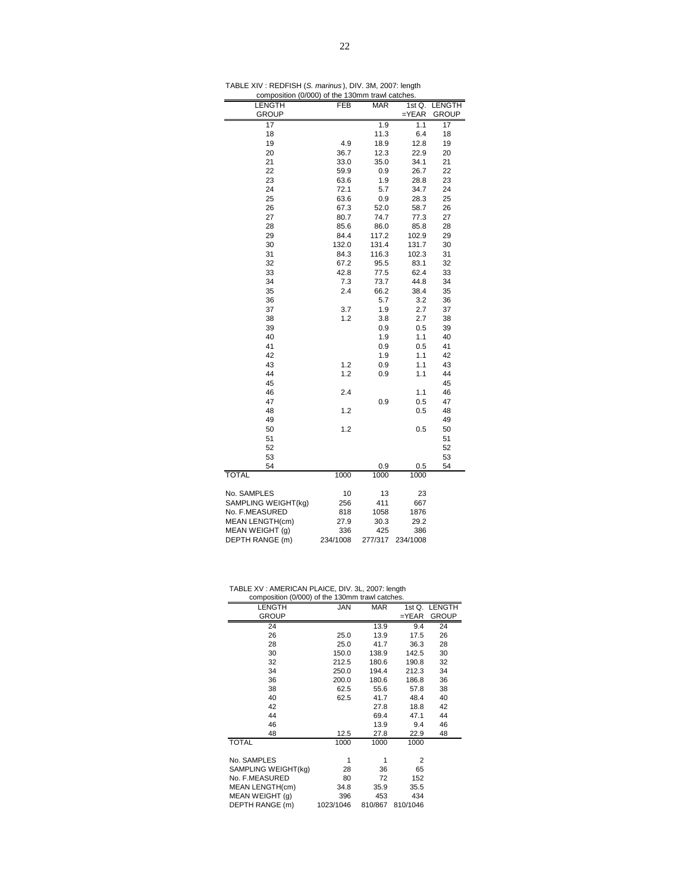| TABLE XIV: REDFISH (S. marinus), DIV. 3M, 2007: length |  |
|--------------------------------------------------------|--|
|                                                        |  |

|                        | composition (0/000) of the 130mm trawl catches.     |         |            |              |  |  |  |  |  |
|------------------------|-----------------------------------------------------|---------|------------|--------------|--|--|--|--|--|
| LENGTH                 | <b>FEB</b><br><b>MAR</b><br><b>LENGTH</b><br>1st Q. |         |            |              |  |  |  |  |  |
| GROUP                  |                                                     |         | $=$ $YEAR$ | <b>GROUP</b> |  |  |  |  |  |
| 17                     |                                                     | 1.9     | 1.1        | 17           |  |  |  |  |  |
| 18                     |                                                     | 11.3    | 6.4        | 18           |  |  |  |  |  |
| 19                     | 4.9                                                 | 18.9    | 12.8       | 19           |  |  |  |  |  |
| 20                     | 36.7                                                | 12.3    | 22.9       | 20           |  |  |  |  |  |
| 21                     | 33.0                                                | 35.0    | 34.1       | 21           |  |  |  |  |  |
| 22                     | 59.9                                                | 0.9     | 26.7       | 22           |  |  |  |  |  |
| 23                     | 63.6                                                | 1.9     | 28.8       | 23           |  |  |  |  |  |
| 24                     | 72.1                                                | 5.7     | 34.7       | 24           |  |  |  |  |  |
| 25                     | 63.6                                                | 0.9     | 28.3       | 25           |  |  |  |  |  |
| 26                     | 67.3                                                | 52.0    | 58.7       | 26           |  |  |  |  |  |
| 27                     | 80.7                                                | 74.7    | 77.3       | 27           |  |  |  |  |  |
| 28                     | 85.6                                                | 86.0    | 85.8       | 28           |  |  |  |  |  |
| 29                     | 84.4                                                | 117.2   | 102.9      | 29           |  |  |  |  |  |
| 30                     | 132.0                                               | 131.4   | 131.7      | 30           |  |  |  |  |  |
| 31                     | 84.3                                                | 116.3   | 102.3      | 31           |  |  |  |  |  |
| 32                     | 67.2                                                | 95.5    | 83.1       | 32           |  |  |  |  |  |
| 33                     | 42.8                                                | 77.5    | 62.4       | 33           |  |  |  |  |  |
| 34                     | 7.3                                                 | 73.7    | 44.8       | 34           |  |  |  |  |  |
| 35                     | 2.4                                                 | 66.2    | 38.4       | 35           |  |  |  |  |  |
| 36                     |                                                     | 5.7     | 3.2        | 36           |  |  |  |  |  |
| 37                     | 3.7                                                 | 1.9     | 2.7        | 37           |  |  |  |  |  |
| 38                     | 1.2                                                 | 3.8     | 2.7        | 38           |  |  |  |  |  |
| 39                     |                                                     | 0.9     | 0.5        | 39           |  |  |  |  |  |
| 40                     |                                                     | 1.9     | 1.1        | 40           |  |  |  |  |  |
| 41                     |                                                     | 0.9     | 0.5        | 41           |  |  |  |  |  |
| 42                     |                                                     | 1.9     | 1.1        | 42           |  |  |  |  |  |
| 43                     | 1.2                                                 | 0.9     | 1.1        | 43           |  |  |  |  |  |
| 44                     | 1.2                                                 | 0.9     | 1.1        | 44           |  |  |  |  |  |
| 45                     |                                                     |         |            | 45           |  |  |  |  |  |
| 46                     | 2.4                                                 |         | 1.1        | 46           |  |  |  |  |  |
| 47                     |                                                     | 0.9     | 0.5        | 47           |  |  |  |  |  |
| 48                     | 1.2                                                 |         | 0.5        | 48           |  |  |  |  |  |
| 49                     |                                                     |         |            | 49           |  |  |  |  |  |
| 50                     | 1.2                                                 |         | 0.5        | 50           |  |  |  |  |  |
| 51                     |                                                     |         |            | 51           |  |  |  |  |  |
| 52                     |                                                     |         |            | 52           |  |  |  |  |  |
| 53                     |                                                     |         |            | 53           |  |  |  |  |  |
| 54                     |                                                     | 0.9     | 0.5        | 54           |  |  |  |  |  |
| <b>TOTAL</b>           | 1000                                                | 1000    | 1000       |              |  |  |  |  |  |
| No. SAMPLES            | 10                                                  | 13      | 23         |              |  |  |  |  |  |
| SAMPLING WEIGHT(kg)    | 256                                                 | 411     | 667        |              |  |  |  |  |  |
| No. F.MEASURED         | 818                                                 | 1058    | 1876       |              |  |  |  |  |  |
| <b>MEAN LENGTH(cm)</b> | 27.9                                                | 30.3    | 29.2       |              |  |  |  |  |  |
| MEAN WEIGHT (g)        | 336                                                 | 425     | 386        |              |  |  |  |  |  |
| DEPTH RANGE (m)        | 234/1008                                            | 277/317 | 234/1008   |              |  |  |  |  |  |

| TABLE XV: AMERICAN PLAICE, DIV. 3L, 2007: length |  |  |
|--------------------------------------------------|--|--|
| composition (0/000) of the 130mm trawl catches.  |  |  |

| composition (U/UUU) of the 130mm trawl catches. |            |            |          |               |
|-------------------------------------------------|------------|------------|----------|---------------|
| <b>LENGTH</b>                                   | <b>JAN</b> | <b>MAR</b> |          | 1st Q. LENGTH |
| <b>GROUP</b>                                    |            |            | $=$ YEAR | <b>GROUP</b>  |
| 24                                              |            | 13.9       | 9.4      | 24            |
| 26                                              | 25.0       | 13.9       | 17.5     | 26            |
| 28                                              | 25.0       | 41.7       | 36.3     | 28            |
| 30                                              | 150.0      | 138.9      | 142.5    | 30            |
| 32                                              | 212.5      | 180.6      | 190.8    | 32            |
| 34                                              | 250.0      | 194.4      | 212.3    | 34            |
| 36                                              | 200.0      | 180.6      | 186.8    | 36            |
| 38                                              | 62.5       | 55.6       | 57.8     | 38            |
| 40                                              | 62.5       | 41.7       | 48.4     | 40            |
| 42                                              |            | 27.8       | 18.8     | 42            |
| 44                                              |            | 69.4       | 47.1     | 44            |
| 46                                              |            | 13.9       | 9.4      | 46            |
| 48                                              | 12.5       | 27.8       | 22.9     | 48            |
| <b>TOTAL</b>                                    | 1000       | 1000       | 1000     |               |
|                                                 |            |            |          |               |
| No. SAMPLES                                     | 1          | 1          | 2        |               |
| SAMPLING WEIGHT(kg)                             | 28         | 36         | 65       |               |
| No. F.MEASURED                                  | 80         | 72         | 152      |               |
| MEAN LENGTH(cm)                                 | 34.8       | 35.9       | 35.5     |               |
| MEAN WEIGHT (q)                                 | 396        | 453        | 434      |               |
| DEPTH RANGE (m)                                 | 1023/1046  | 810/867    | 810/1046 |               |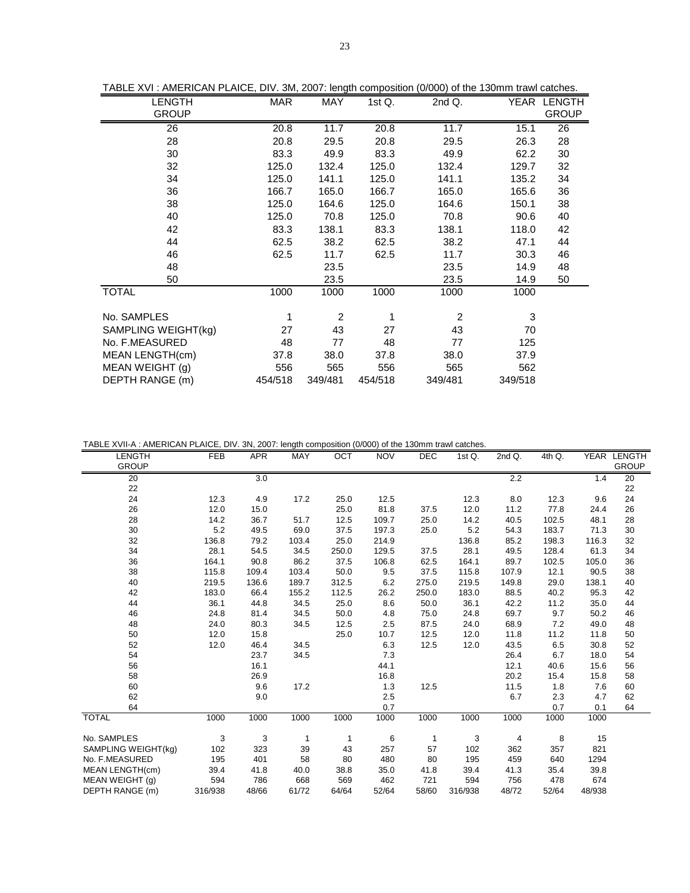| TABLE XVI : AMERICAN PLAICE, DIV. 3M, 2007: length composition (0/000) of the 130mm trawl catches. |         |         |           |         |         |              |
|----------------------------------------------------------------------------------------------------|---------|---------|-----------|---------|---------|--------------|
| <b>LENGTH</b>                                                                                      | MAR     | MAY     | 1st $Q$ . | 2nd Q.  |         | YEAR LENGTH  |
| <b>GROUP</b>                                                                                       |         |         |           |         |         | <b>GROUP</b> |
| 26                                                                                                 | 20.8    | 11.7    | 20.8      | 11.7    | 15.1    | 26           |
| 28                                                                                                 | 20.8    | 29.5    | 20.8      | 29.5    | 26.3    | 28           |
| 30                                                                                                 | 83.3    | 49.9    | 83.3      | 49.9    | 62.2    | 30           |
| 32                                                                                                 | 125.0   | 132.4   | 125.0     | 132.4   | 129.7   | 32           |
| 34                                                                                                 | 125.0   | 141.1   | 125.0     | 141.1   | 135.2   | 34           |
| 36                                                                                                 | 166.7   | 165.0   | 166.7     | 165.0   | 165.6   | 36           |
| 38                                                                                                 | 125.0   | 164.6   | 125.0     | 164.6   | 150.1   | 38           |
| 40                                                                                                 | 125.0   | 70.8    | 125.0     | 70.8    | 90.6    | 40           |
| 42                                                                                                 | 83.3    | 138.1   | 83.3      | 138.1   | 118.0   | 42           |
| 44                                                                                                 | 62.5    | 38.2    | 62.5      | 38.2    | 47.1    | 44           |
| 46                                                                                                 | 62.5    | 11.7    | 62.5      | 11.7    | 30.3    | 46           |
| 48                                                                                                 |         | 23.5    |           | 23.5    | 14.9    | 48           |
| 50                                                                                                 |         | 23.5    |           | 23.5    | 14.9    | 50           |
| <b>TOTAL</b>                                                                                       | 1000    | 1000    | 1000      | 1000    | 1000    |              |
|                                                                                                    |         |         |           |         |         |              |
| No. SAMPLES                                                                                        | 1       | 2       | 1         | 2       | 3       |              |
| SAMPLING WEIGHT(kg)                                                                                | 27      | 43      | 27        | 43      | 70      |              |
| No. F.MEASURED                                                                                     | 48      | 77      | 48        | 77      | 125     |              |
| MEAN LENGTH(cm)                                                                                    | 37.8    | 38.0    | 37.8      | 38.0    | 37.9    |              |
| MEAN WEIGHT (g)                                                                                    | 556     | 565     | 556       | 565     | 562     |              |
| DEPTH RANGE (m)                                                                                    | 454/518 | 349/481 | 454/518   | 349/481 | 349/518 |              |

TABLE XVI : AMERICAN PLAICE, DIV. 3M, 2007: length composition (0/000) of the 130mm trawl catches.

TABLE XVII-A : AMERICAN PLAICE, DIV. 3N, 2007: length composition (0/000) of the 130mm trawl catches.

| LENGTH              | <b>FEB</b> | <b>APR</b> | MAY   | OCT   | <b>NOV</b> | DEC   | 1st Q.  | 2nd Q. | 4th Q. |        | YEAR LENGTH  |
|---------------------|------------|------------|-------|-------|------------|-------|---------|--------|--------|--------|--------------|
| <b>GROUP</b>        |            |            |       |       |            |       |         |        |        |        | <b>GROUP</b> |
| 20                  |            | 3.0        |       |       |            |       |         | 2.2    |        | 1.4    | 20           |
| 22                  |            |            |       |       |            |       |         |        |        |        | 22           |
| 24                  | 12.3       | 4.9        | 17.2  | 25.0  | 12.5       |       | 12.3    | 8.0    | 12.3   | 9.6    | 24           |
| 26                  | 12.0       | 15.0       |       | 25.0  | 81.8       | 37.5  | 12.0    | 11.2   | 77.8   | 24.4   | 26           |
| 28                  | 14.2       | 36.7       | 51.7  | 12.5  | 109.7      | 25.0  | 14.2    | 40.5   | 102.5  | 48.1   | 28           |
| 30                  | 5.2        | 49.5       | 69.0  | 37.5  | 197.3      | 25.0  | 5.2     | 54.3   | 183.7  | 71.3   | 30           |
| 32                  | 136.8      | 79.2       | 103.4 | 25.0  | 214.9      |       | 136.8   | 85.2   | 198.3  | 116.3  | 32           |
| 34                  | 28.1       | 54.5       | 34.5  | 250.0 | 129.5      | 37.5  | 28.1    | 49.5   | 128.4  | 61.3   | 34           |
| 36                  | 164.1      | 90.8       | 86.2  | 37.5  | 106.8      | 62.5  | 164.1   | 89.7   | 102.5  | 105.0  | 36           |
| 38                  | 115.8      | 109.4      | 103.4 | 50.0  | 9.5        | 37.5  | 115.8   | 107.9  | 12.1   | 90.5   | 38           |
| 40                  | 219.5      | 136.6      | 189.7 | 312.5 | 6.2        | 275.0 | 219.5   | 149.8  | 29.0   | 138.1  | 40           |
| 42                  | 183.0      | 66.4       | 155.2 | 112.5 | 26.2       | 250.0 | 183.0   | 88.5   | 40.2   | 95.3   | 42           |
| 44                  | 36.1       | 44.8       | 34.5  | 25.0  | 8.6        | 50.0  | 36.1    | 42.2   | 11.2   | 35.0   | 44           |
| 46                  | 24.8       | 81.4       | 34.5  | 50.0  | 4.8        | 75.0  | 24.8    | 69.7   | 9.7    | 50.2   | 46           |
| 48                  | 24.0       | 80.3       | 34.5  | 12.5  | 2.5        | 87.5  | 24.0    | 68.9   | 7.2    | 49.0   | 48           |
| 50                  | 12.0       | 15.8       |       | 25.0  | 10.7       | 12.5  | 12.0    | 11.8   | 11.2   | 11.8   | 50           |
| 52                  | 12.0       | 46.4       | 34.5  |       | 6.3        | 12.5  | 12.0    | 43.5   | 6.5    | 30.8   | 52           |
| 54                  |            | 23.7       | 34.5  |       | 7.3        |       |         | 26.4   | 6.7    | 18.0   | 54           |
| 56                  |            | 16.1       |       |       | 44.1       |       |         | 12.1   | 40.6   | 15.6   | 56           |
| 58                  |            | 26.9       |       |       | 16.8       |       |         | 20.2   | 15.4   | 15.8   | 58           |
| 60                  |            | 9.6        | 17.2  |       | 1.3        | 12.5  |         | 11.5   | 1.8    | 7.6    | 60           |
| 62                  |            | 9.0        |       |       | 2.5        |       |         | 6.7    | 2.3    | 4.7    | 62           |
| 64                  |            |            |       |       | 0.7        |       |         |        | 0.7    | 0.1    | 64           |
| <b>TOTAL</b>        | 1000       | 1000       | 1000  | 1000  | 1000       | 1000  | 1000    | 1000   | 1000   | 1000   |              |
| No. SAMPLES         | 3          | 3          | 1     | 1     | 6          | 1     | 3       | 4      | 8      | 15     |              |
| SAMPLING WEIGHT(kg) | 102        | 323        | 39    | 43    | 257        | 57    | 102     | 362    | 357    | 821    |              |
| No. F.MEASURED      | 195        | 401        | 58    | 80    | 480        | 80    | 195     | 459    | 640    | 1294   |              |
| MEAN LENGTH(cm)     | 39.4       | 41.8       | 40.0  | 38.8  | 35.0       | 41.8  | 39.4    | 41.3   | 35.4   | 39.8   |              |
| MEAN WEIGHT (g)     | 594        | 786        | 668   | 569   | 462        | 721   | 594     | 756    | 478    | 674    |              |
| DEPTH RANGE (m)     | 316/938    | 48/66      | 61/72 | 64/64 | 52/64      | 58/60 | 316/938 | 48/72  | 52/64  | 48/938 |              |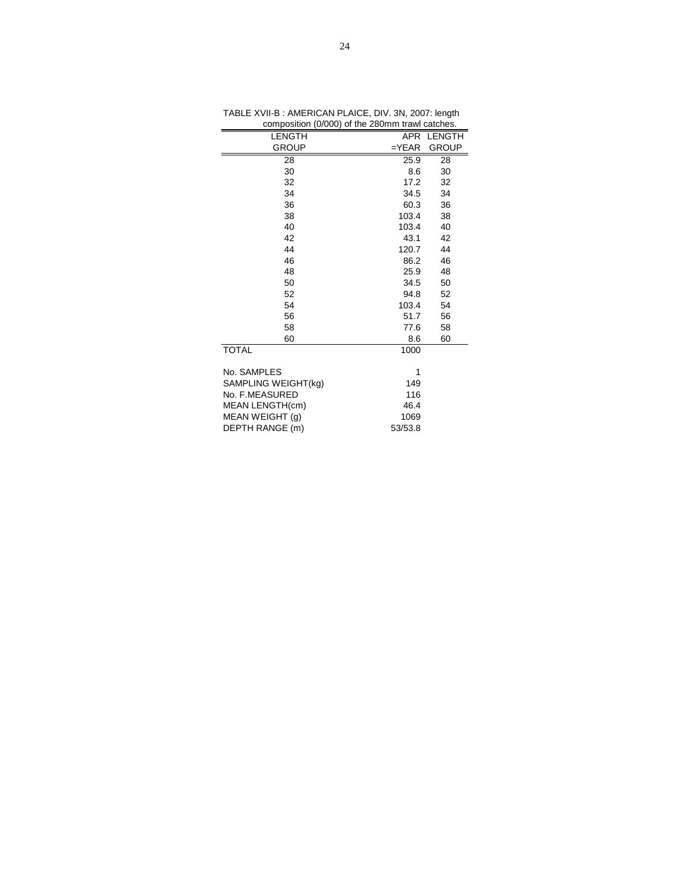| composition (0/000) or the zoomin trawncatones. |         |              |
|-------------------------------------------------|---------|--------------|
| <b>LENGTH</b>                                   |         | APR LENGTH   |
| <b>GROUP</b>                                    | $=YEAR$ | <b>GROUP</b> |
| 28                                              | 25.9    | 28           |
| 30                                              | 8.6     | 30           |
| 32                                              | 17.2    | 32           |
| 34                                              | 34.5    | 34           |
| 36                                              | 60.3    | 36           |
| 38                                              | 103.4   | 38           |
| 40                                              | 103.4   | 40           |
| 42                                              | 43.1    | 42           |
| 44                                              | 120.7   | 44           |
| 46                                              | 86.2    | 46           |
| 48                                              | 25.9    | 48           |
| 50                                              | 34.5    | 50           |
| 52                                              | 94.8    | 52           |
| 54                                              | 103.4   | 54           |
| 56                                              | 51.7    | 56           |
| 58                                              | 77.6    | 58           |
| 60                                              | 8.6     | 60           |
| <b>TOTAL</b>                                    | 1000    |              |
| No. SAMPLES                                     | 1       |              |
| SAMPLING WEIGHT(kg)                             | 149     |              |
| No. F.MEASURED                                  | 116     |              |
| MEAN LENGTH(cm)                                 | 46.4    |              |
| MEAN WEIGHT (g)                                 | 1069    |              |
| DEPTH RANGE (m)                                 | 53/53.8 |              |
|                                                 |         |              |

TABLE XVII-B : AMERICAN PLAICE, DIV. 3N, 2007: length composition (0/000) of the 280mm trawl catches.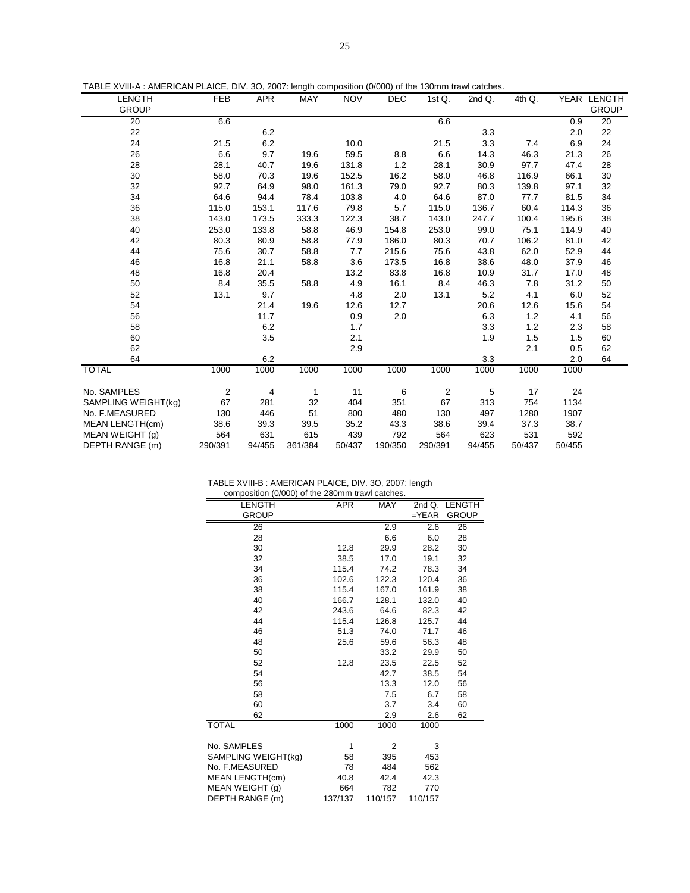| TABLE XVIII-A : AMERICAN PLAICE, DIV. 3O, 2007: length composition (0/000) of the 130mm trawl catches. |  |  |  |
|--------------------------------------------------------------------------------------------------------|--|--|--|
|--------------------------------------------------------------------------------------------------------|--|--|--|

| <b>LENGTH</b>       | FEB     | <b>APR</b> | MAY     | <b>NOV</b> | DEC     | 1st $Q$ . | 2nd Q. | 4th Q. |        | YEAR LENGTH  |
|---------------------|---------|------------|---------|------------|---------|-----------|--------|--------|--------|--------------|
| <b>GROUP</b>        |         |            |         |            |         |           |        |        |        | <b>GROUP</b> |
| 20                  | 6.6     |            |         |            |         | 6.6       |        |        | 0.9    | 20           |
| 22                  |         | 6.2        |         |            |         |           | 3.3    |        | 2.0    | 22           |
| 24                  | 21.5    | 6.2        |         | 10.0       |         | 21.5      | 3.3    | 7.4    | 6.9    | 24           |
| 26                  | 6.6     | 9.7        | 19.6    | 59.5       | 8.8     | 6.6       | 14.3   | 46.3   | 21.3   | 26           |
| 28                  | 28.1    | 40.7       | 19.6    | 131.8      | 1.2     | 28.1      | 30.9   | 97.7   | 47.4   | 28           |
| 30                  | 58.0    | 70.3       | 19.6    | 152.5      | 16.2    | 58.0      | 46.8   | 116.9  | 66.1   | 30           |
| 32                  | 92.7    | 64.9       | 98.0    | 161.3      | 79.0    | 92.7      | 80.3   | 139.8  | 97.1   | 32           |
| 34                  | 64.6    | 94.4       | 78.4    | 103.8      | 4.0     | 64.6      | 87.0   | 77.7   | 81.5   | 34           |
| 36                  | 115.0   | 153.1      | 117.6   | 79.8       | 5.7     | 115.0     | 136.7  | 60.4   | 114.3  | 36           |
| 38                  | 143.0   | 173.5      | 333.3   | 122.3      | 38.7    | 143.0     | 247.7  | 100.4  | 195.6  | 38           |
| 40                  | 253.0   | 133.8      | 58.8    | 46.9       | 154.8   | 253.0     | 99.0   | 75.1   | 114.9  | 40           |
| 42                  | 80.3    | 80.9       | 58.8    | 77.9       | 186.0   | 80.3      | 70.7   | 106.2  | 81.0   | 42           |
| 44                  | 75.6    | 30.7       | 58.8    | 7.7        | 215.6   | 75.6      | 43.8   | 62.0   | 52.9   | 44           |
| 46                  | 16.8    | 21.1       | 58.8    | 3.6        | 173.5   | 16.8      | 38.6   | 48.0   | 37.9   | 46           |
| 48                  | 16.8    | 20.4       |         | 13.2       | 83.8    | 16.8      | 10.9   | 31.7   | 17.0   | 48           |
| 50                  | 8.4     | 35.5       | 58.8    | 4.9        | 16.1    | 8.4       | 46.3   | 7.8    | 31.2   | 50           |
| 52                  | 13.1    | 9.7        |         | 4.8        | 2.0     | 13.1      | 5.2    | 4.1    | 6.0    | 52           |
| 54                  |         | 21.4       | 19.6    | 12.6       | 12.7    |           | 20.6   | 12.6   | 15.6   | 54           |
| 56                  |         | 11.7       |         | 0.9        | 2.0     |           | 6.3    | 1.2    | 4.1    | 56           |
| 58                  |         | 6.2        |         | 1.7        |         |           | 3.3    | 1.2    | 2.3    | 58           |
| 60                  |         | 3.5        |         | 2.1        |         |           | 1.9    | 1.5    | 1.5    | 60           |
| 62                  |         |            |         | 2.9        |         |           |        | 2.1    | 0.5    | 62           |
| 64                  |         | 6.2        |         |            |         |           | 3.3    |        | 2.0    | 64           |
| <b>TOTAL</b>        | 1000    | 1000       | 1000    | 1000       | 1000    | 1000      | 1000   | 1000   | 1000   |              |
| No. SAMPLES         | 2       | 4          | 1       | 11         | 6       | 2         | 5      | 17     | 24     |              |
| SAMPLING WEIGHT(kg) | 67      | 281        | 32      | 404        | 351     | 67        | 313    | 754    | 1134   |              |
| No. F.MEASURED      | 130     | 446        | 51      | 800        | 480     | 130       | 497    | 1280   | 1907   |              |
| MEAN LENGTH(cm)     | 38.6    | 39.3       | 39.5    | 35.2       | 43.3    | 38.6      | 39.4   | 37.3   | 38.7   |              |
| MEAN WEIGHT (g)     | 564     | 631        | 615     | 439        | 792     | 564       | 623    | 531    | 592    |              |
| DEPTH RANGE (m)     | 290/391 | 94/455     | 361/384 | 50/437     | 190/350 | 290/391   | 94/455 | 50/437 | 50/455 |              |

TABLE XVIII-B : AMERICAN PLAICE, DIV. 3O, 2007: length

| composition (0/000) of the 280mm trawl catches. |            |            |                  |               |
|-------------------------------------------------|------------|------------|------------------|---------------|
| <b>LENGTH</b>                                   | <b>APR</b> | <b>MAY</b> |                  | 2nd Q. LENGTH |
| <b>GROUP</b>                                    |            |            | $=$ $YEAR$       | <b>GROUP</b>  |
| 26                                              |            | 2.9        | $\overline{2.6}$ | 26            |
| 28                                              |            | 6.6        | 6.0              | 28            |
| 30                                              | 12.8       | 29.9       | 28.2             | 30            |
| 32                                              | 38.5       | 17.0       | 19.1             | 32            |
| 34                                              | 115.4      | 74.2       | 78.3             | 34            |
| 36                                              | 102.6      | 122.3      | 120.4            | 36            |
| 38                                              | 115.4      | 167.0      | 161.9            | 38            |
| 40                                              | 166.7      | 128.1      | 132.0            | 40            |
| 42                                              | 243.6      | 64.6       | 82.3             | 42            |
| 44                                              | 115.4      | 126.8      | 125.7            | 44            |
| 46                                              | 51.3       | 74.0       | 71.7             | 46            |
| 48                                              | 25.6       | 59.6       | 56.3             | 48            |
| 50                                              |            | 33.2       | 29.9             | 50            |
| 52                                              | 12.8       | 23.5       | 22.5             | 52            |
| 54                                              |            | 42.7       | 38.5             | 54            |
| 56                                              |            | 13.3       | 12.0             | 56            |
| 58                                              |            | 7.5        | 6.7              | 58            |
| 60                                              |            | 3.7        | 3.4              | 60            |
| 62                                              |            | 2.9        | 2.6              | 62            |
| <b>TOTAL</b>                                    | 1000       | 1000       | 1000             |               |
| No. SAMPLES                                     | 1          | 2          | 3                |               |
| SAMPLING WEIGHT(kg)                             | 58         | 395        | 453              |               |
| No. F.MEASURED                                  | 78         | 484        | 562              |               |
| MEAN LENGTH(cm)                                 | 40.8       | 42.4       | 42.3             |               |
| MEAN WEIGHT (g)                                 | 664        | 782        | 770              |               |
| DEPTH RANGE (m)                                 | 137/137    | 110/157    | 110/157          |               |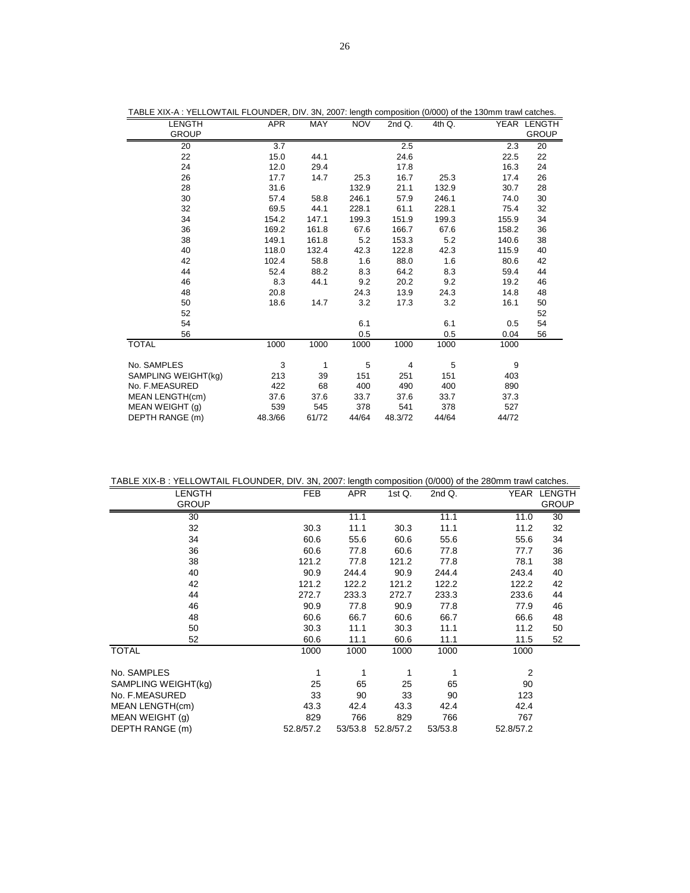| <b>LENGTH</b>       | <b>APR</b>       | MAY   | <b>NOV</b> | 2nd Q.         | 4th Q. |       | YEAR LENGTH  |
|---------------------|------------------|-------|------------|----------------|--------|-------|--------------|
| <b>GROUP</b>        |                  |       |            |                |        |       | <b>GROUP</b> |
| 20                  | $\overline{3.7}$ |       |            | 2.5            |        | 2.3   | 20           |
| 22                  | 15.0             | 44.1  |            | 24.6           |        | 22.5  | 22           |
| 24                  | 12.0             | 29.4  |            | 17.8           |        | 16.3  | 24           |
| 26                  | 17.7             | 14.7  | 25.3       | 16.7           | 25.3   | 17.4  | 26           |
| 28                  | 31.6             |       | 132.9      | 21.1           | 132.9  | 30.7  | 28           |
| 30                  | 57.4             | 58.8  | 246.1      | 57.9           | 246.1  | 74.0  | 30           |
| 32                  | 69.5             | 44.1  | 228.1      | 61.1           | 228.1  | 75.4  | 32           |
| 34                  | 154.2            | 147.1 | 199.3      | 151.9          | 199.3  | 155.9 | 34           |
| 36                  | 169.2            | 161.8 | 67.6       | 166.7          | 67.6   | 158.2 | 36           |
| 38                  | 149.1            | 161.8 | 5.2        | 153.3          | 5.2    | 140.6 | 38           |
| 40                  | 118.0            | 132.4 | 42.3       | 122.8          | 42.3   | 115.9 | 40           |
| 42                  | 102.4            | 58.8  | 1.6        | 88.0           | 1.6    | 80.6  | 42           |
| 44                  | 52.4             | 88.2  | 8.3        | 64.2           | 8.3    | 59.4  | 44           |
| 46                  | 8.3              | 44.1  | 9.2        | 20.2           | 9.2    | 19.2  | 46           |
| 48                  | 20.8             |       | 24.3       | 13.9           | 24.3   | 14.8  | 48           |
| 50                  | 18.6             | 14.7  | 3.2        | 17.3           | 3.2    | 16.1  | 50           |
| 52                  |                  |       |            |                |        |       | 52           |
| 54                  |                  |       | 6.1        |                | 6.1    | 0.5   | 54           |
| 56                  |                  |       | 0.5        |                | 0.5    | 0.04  | 56           |
| <b>TOTAL</b>        | 1000             | 1000  | 1000       | 1000           | 1000   | 1000  |              |
|                     |                  |       |            |                |        |       |              |
| No. SAMPLES         | 3                | 1     | 5          | $\overline{4}$ | 5      | 9     |              |
| SAMPLING WEIGHT(kg) | 213              | 39    | 151        | 251            | 151    | 403   |              |
| No. F.MEASURED      | 422              | 68    | 400        | 490            | 400    | 890   |              |
| MEAN LENGTH(cm)     | 37.6             | 37.6  | 33.7       | 37.6           | 33.7   | 37.3  |              |
| MEAN WEIGHT (g)     | 539              | 545   | 378        | 541            | 378    | 527   |              |
| DEPTH RANGE (m)     | 48.3/66          | 61/72 | 44/64      | 48.3/72        | 44/64  | 44/72 |              |

TABLE XIX-A : YELLOWTAIL FLOUNDER, DIV. 3N, 2007: length composition (0/000) of the 130mm trawl catches.

TABLE XIX-B : YELLOWTAIL FLOUNDER, DIV. 3N, 2007: length composition (0/000) of the 280mm trawl catches.

| LENGTH              | FEB       | <b>APR</b> | 1st $Q$ . | 2nd Q.  | YEAR           | <b>LENGTH</b> |
|---------------------|-----------|------------|-----------|---------|----------------|---------------|
| <b>GROUP</b>        |           |            |           |         |                | <b>GROUP</b>  |
| 30                  |           | 11.1       |           | 11.1    | 11.0           | 30            |
| 32                  | 30.3      | 11.1       | 30.3      | 11.1    | 11.2           | 32            |
| 34                  | 60.6      | 55.6       | 60.6      | 55.6    | 55.6           | 34            |
| 36                  | 60.6      | 77.8       | 60.6      | 77.8    | 77.7           | 36            |
| 38                  | 121.2     | 77.8       | 121.2     | 77.8    | 78.1           | 38            |
| 40                  | 90.9      | 244.4      | 90.9      | 244.4   | 243.4          | 40            |
| 42                  | 121.2     | 122.2      | 121.2     | 122.2   | 122.2          | 42            |
| 44                  | 272.7     | 233.3      | 272.7     | 233.3   | 233.6          | 44            |
| 46                  | 90.9      | 77.8       | 90.9      | 77.8    | 77.9           | 46            |
| 48                  | 60.6      | 66.7       | 60.6      | 66.7    | 66.6           | 48            |
| 50                  | 30.3      | 11.1       | 30.3      | 11.1    | 11.2           | 50            |
| 52                  | 60.6      | 11.1       | 60.6      | 11.1    | 11.5           | 52            |
| <b>TOTAL</b>        | 1000      | 1000       | 1000      | 1000    | 1000           |               |
| No. SAMPLES         | 1         | 1          | 1         | 1       | $\overline{2}$ |               |
| SAMPLING WEIGHT(kg) | 25        | 65         | 25        | 65      | 90             |               |
| No. F.MEASURED      | 33        | 90         | 33        | 90      | 123            |               |
| MEAN LENGTH(cm)     | 43.3      | 42.4       | 43.3      | 42.4    | 42.4           |               |
| MEAN WEIGHT (g)     | 829       | 766        | 829       | 766     | 767            |               |
| DEPTH RANGE (m)     | 52.8/57.2 | 53/53.8    | 52.8/57.2 | 53/53.8 | 52.8/57.2      |               |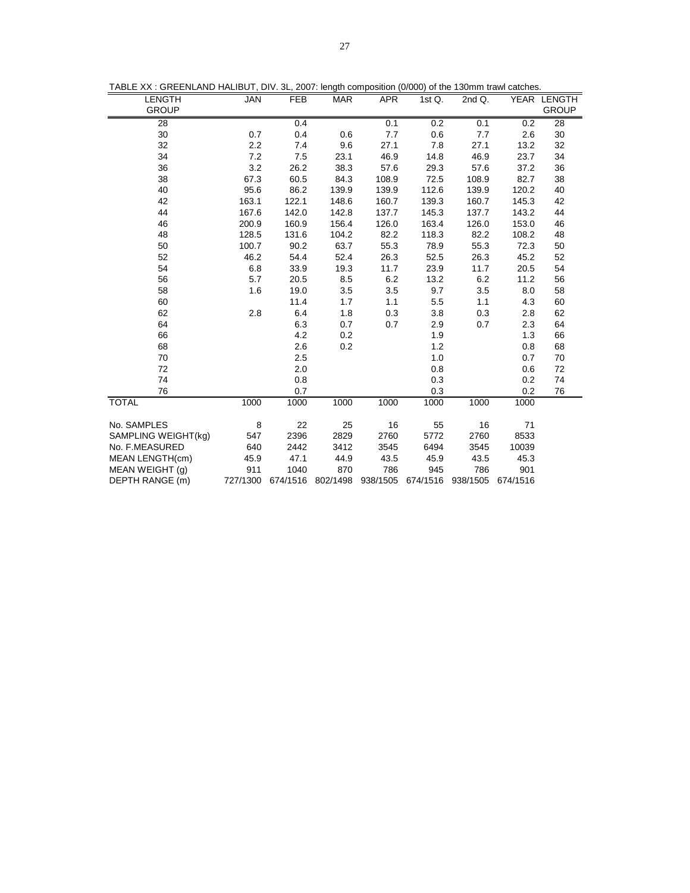| TABLE XX : GREENLAND HALIBUT, DIV. 3L, 2007: length composition (0/000) of the 130mm trawl catches |  |  |  |  |
|----------------------------------------------------------------------------------------------------|--|--|--|--|
|                                                                                                    |  |  |  |  |

| TABLE XX : GREENLAND HALIBUT, DIV. 3L, 2007: length composition (0/000) of the 130mm trawl catches. |                                       |                                                              |                                          |                                                 |                                                 |                                                 |                                                                                                           |  |
|-----------------------------------------------------------------------------------------------------|---------------------------------------|--------------------------------------------------------------|------------------------------------------|-------------------------------------------------|-------------------------------------------------|-------------------------------------------------|-----------------------------------------------------------------------------------------------------------|--|
| <b>JAN</b>                                                                                          | <b>FEB</b>                            | <b>MAR</b>                                                   | <b>APR</b>                               | 1st $Q$ .                                       | 2nd Q.                                          |                                                 | YEAR LENGTH<br><b>GROUP</b>                                                                               |  |
|                                                                                                     |                                       |                                                              |                                          |                                                 |                                                 |                                                 | 28                                                                                                        |  |
|                                                                                                     |                                       |                                                              |                                          |                                                 |                                                 |                                                 | 30                                                                                                        |  |
| 2.2                                                                                                 | 7.4                                   | 9.6                                                          | 27.1                                     | 7.8                                             | 27.1                                            | 13.2                                            | 32                                                                                                        |  |
| 7.2                                                                                                 | 7.5                                   | 23.1                                                         | 46.9                                     | 14.8                                            | 46.9                                            | 23.7                                            | 34                                                                                                        |  |
| 3.2                                                                                                 | 26.2                                  | 38.3                                                         | 57.6                                     | 29.3                                            | 57.6                                            | 37.2                                            | 36                                                                                                        |  |
| 67.3                                                                                                | 60.5                                  | 84.3                                                         | 108.9                                    | 72.5                                            | 108.9                                           | 82.7                                            | 38                                                                                                        |  |
| 95.6                                                                                                | 86.2                                  | 139.9                                                        | 139.9                                    | 112.6                                           | 139.9                                           | 120.2                                           | 40                                                                                                        |  |
| 163.1                                                                                               | 122.1                                 | 148.6                                                        | 160.7                                    | 139.3                                           | 160.7                                           | 145.3                                           | 42                                                                                                        |  |
| 167.6                                                                                               | 142.0                                 | 142.8                                                        | 137.7                                    | 145.3                                           | 137.7                                           | 143.2                                           | 44                                                                                                        |  |
| 200.9                                                                                               | 160.9                                 | 156.4                                                        | 126.0                                    | 163.4                                           | 126.0                                           | 153.0                                           | 46                                                                                                        |  |
| 128.5                                                                                               | 131.6                                 | 104.2                                                        | 82.2                                     | 118.3                                           | 82.2                                            | 108.2                                           | 48                                                                                                        |  |
| 100.7                                                                                               | 90.2                                  | 63.7                                                         | 55.3                                     | 78.9                                            | 55.3                                            | 72.3                                            | 50                                                                                                        |  |
| 46.2                                                                                                | 54.4                                  | 52.4                                                         | 26.3                                     | 52.5                                            | 26.3                                            | 45.2                                            | 52                                                                                                        |  |
| 6.8                                                                                                 | 33.9                                  | 19.3                                                         | 11.7                                     | 23.9                                            | 11.7                                            | 20.5                                            | 54                                                                                                        |  |
| 5.7                                                                                                 | 20.5                                  | 8.5                                                          | 6.2                                      | 13.2                                            | 6.2                                             | 11.2                                            | 56                                                                                                        |  |
| 1.6                                                                                                 | 19.0                                  | 3.5                                                          | 3.5                                      | 9.7                                             | 3.5                                             | 8.0                                             | 58                                                                                                        |  |
|                                                                                                     | 11.4                                  | 1.7                                                          | 1.1                                      | 5.5                                             | 1.1                                             | 4.3                                             | 60                                                                                                        |  |
| 2.8                                                                                                 | 6.4                                   | 1.8                                                          | 0.3                                      | 3.8                                             | 0.3                                             | 2.8                                             | 62                                                                                                        |  |
|                                                                                                     | 6.3                                   | 0.7                                                          | 0.7                                      | 2.9                                             | 0.7                                             | 2.3                                             | 64                                                                                                        |  |
|                                                                                                     | 4.2                                   | 0.2                                                          |                                          | 1.9                                             |                                                 | 1.3                                             | 66                                                                                                        |  |
|                                                                                                     | 2.6                                   | 0.2                                                          |                                          | 1.2                                             |                                                 | 0.8                                             | 68                                                                                                        |  |
|                                                                                                     | 2.5                                   |                                                              |                                          | 1.0                                             |                                                 | 0.7                                             | 70                                                                                                        |  |
|                                                                                                     | 2.0                                   |                                                              |                                          | 0.8                                             |                                                 | 0.6                                             | 72                                                                                                        |  |
|                                                                                                     | 0.8                                   |                                                              |                                          | 0.3                                             |                                                 | 0.2                                             | 74                                                                                                        |  |
|                                                                                                     | 0.7                                   |                                                              |                                          | 0.3                                             |                                                 | 0.2                                             | 76                                                                                                        |  |
| 1000                                                                                                | 1000                                  | 1000                                                         | 1000                                     | 1000                                            | 1000                                            | 1000                                            |                                                                                                           |  |
|                                                                                                     |                                       |                                                              |                                          |                                                 |                                                 |                                                 |                                                                                                           |  |
|                                                                                                     |                                       |                                                              |                                          |                                                 |                                                 |                                                 |                                                                                                           |  |
|                                                                                                     |                                       |                                                              |                                          |                                                 |                                                 |                                                 |                                                                                                           |  |
|                                                                                                     |                                       |                                                              |                                          |                                                 |                                                 |                                                 |                                                                                                           |  |
|                                                                                                     |                                       |                                                              |                                          |                                                 |                                                 |                                                 |                                                                                                           |  |
|                                                                                                     |                                       |                                                              |                                          |                                                 |                                                 |                                                 |                                                                                                           |  |
|                                                                                                     | 0.7<br>8<br>547<br>640<br>45.9<br>911 | 0.4<br>0.4<br>22<br>2396<br>2442<br>47.1<br>1040<br>727/1300 | 0.6<br>25<br>2829<br>3412<br>44.9<br>870 | 0.1<br>7.7<br>16<br>2760<br>3545<br>43.5<br>786 | 0.2<br>0.6<br>55<br>5772<br>6494<br>45.9<br>945 | 0.1<br>7.7<br>16<br>2760<br>3545<br>43.5<br>786 | 0.2<br>2.6<br>71<br>8533<br>10039<br>45.3<br>901<br>674/1516 802/1498 938/1505 674/1516 938/1505 674/1516 |  |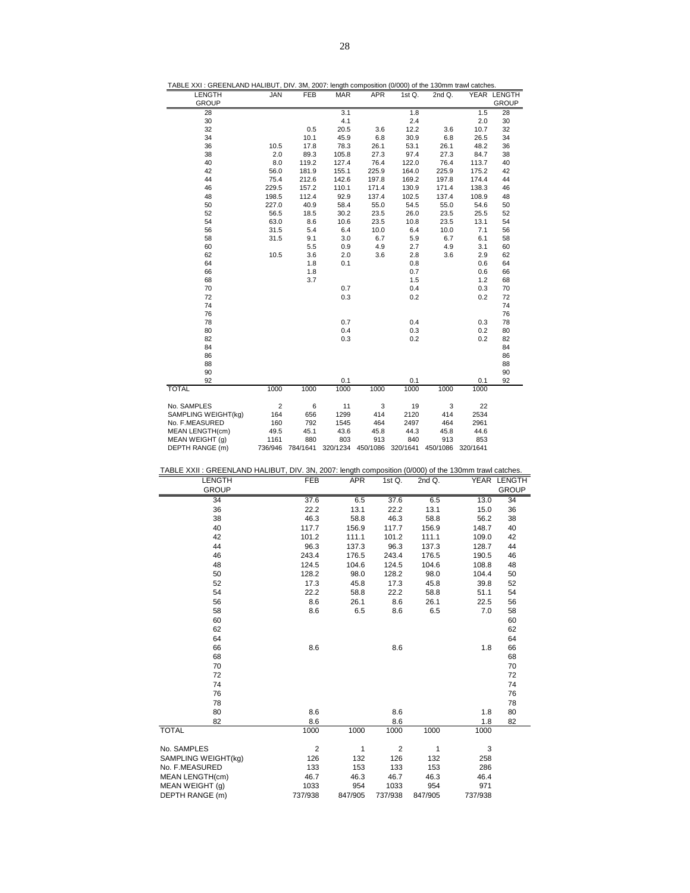| TABLE AAT: GREENLAND HALIBUT, DIV. 3M, 2007. Tengin composition (0/000) of the T30mm trawl catches. |                |                  |            |            |          |        |                   |              |
|-----------------------------------------------------------------------------------------------------|----------------|------------------|------------|------------|----------|--------|-------------------|--------------|
| LENGTH                                                                                              | <b>JAN</b>     | <b>FEB</b>       | <b>MAR</b> | <b>APR</b> | 1st Q.   | 2nd Q. |                   | YEAR LENGTH  |
| <b>GROUP</b>                                                                                        |                |                  |            |            |          |        |                   | <b>GROUP</b> |
| 28                                                                                                  |                |                  | 3.1        |            | 1.8      |        | 1.5               | 28           |
| 30                                                                                                  |                |                  | 4.1        |            | 2.4      |        | 2.0               | 30           |
| 32                                                                                                  |                | 0.5              | 20.5       | 3.6        | 12.2     | 3.6    | 10.7              | 32           |
| 34                                                                                                  |                | 10.1             | 45.9       | 6.8        | 30.9     | 6.8    | 26.5              | 34           |
| 36                                                                                                  | 10.5           | 17.8             | 78.3       | 26.1       | 53.1     | 26.1   | 48.2              | 36           |
| 38                                                                                                  | 2.0            | 89.3             | 105.8      | 27.3       | 97.4     | 27.3   | 84.7              | 38           |
| 40                                                                                                  | 8.0            | 119.2            | 127.4      | 76.4       | 122.0    | 76.4   | 113.7             | 40           |
| 42                                                                                                  | 56.0           | 181.9            | 155.1      | 225.9      | 164.0    | 225.9  | 175.2             | 42           |
| 44                                                                                                  | 75.4           | 212.6            | 142.6      | 197.8      | 169.2    | 197.8  | 174.4             | 44           |
| 46                                                                                                  | 229.5          | 157.2            | 110.1      | 171.4      | 130.9    | 171.4  | 138.3             | 46           |
| 48                                                                                                  | 198.5          | 112.4            | 92.9       | 137.4      | 102.5    | 137.4  | 108.9             | 48           |
| 50                                                                                                  | 227.0          | 40.9             | 58.4       | 55.0       | 54.5     | 55.0   | 54.6              | 50           |
| 52                                                                                                  | 56.5           | 18.5             | 30.2       | 23.5       | 26.0     | 23.5   | 25.5              | 52           |
| 54                                                                                                  | 63.0           | 8.6              | 10.6       | 23.5       | 10.8     | 23.5   | 13.1              | 54           |
| 56                                                                                                  | 31.5           | 5.4              | 6.4        | 10.0       | 6.4      | 10.0   | 7.1               | 56           |
| 58                                                                                                  | 31.5           | 9.1              | 3.0        | 6.7        | 5.9      | 6.7    | 6.1               | 58           |
| 60                                                                                                  |                | 5.5              | 0.9        | 4.9        | 2.7      | 4.9    | 3.1               | 60           |
| 62                                                                                                  | 10.5           | 3.6              | 2.0        | 3.6        | 2.8      | 3.6    | 2.9               | 62           |
| 64                                                                                                  |                | 1.8              | 0.1        |            | 0.8      |        | 0.6               | 64           |
| 66                                                                                                  |                | 1.8              |            |            | 0.7      |        | 0.6               | 66           |
| 68                                                                                                  |                | 3.7              |            |            | 1.5      |        | 1.2               | 68           |
| 70                                                                                                  |                |                  | 0.7        |            | 0.4      |        | 0.3               | 70           |
| 72                                                                                                  |                |                  | 0.3        |            | 0.2      |        | 0.2               | 72           |
| 74                                                                                                  |                |                  |            |            |          |        |                   | 74           |
| 76                                                                                                  |                |                  |            |            |          |        |                   | 76           |
| 78                                                                                                  |                |                  | 0.7        |            | 0.4      |        | 0.3               | 78           |
| 80                                                                                                  |                |                  | 0.4        |            | 0.3      |        | 0.2               | 80           |
| 82                                                                                                  |                |                  | 0.3        |            | 0.2      |        | 0.2               | 82           |
| 84                                                                                                  |                |                  |            |            |          |        |                   | 84           |
| 86                                                                                                  |                |                  |            |            |          |        |                   | 86           |
| 88                                                                                                  |                |                  |            |            |          |        |                   | 88           |
| 90                                                                                                  |                |                  |            |            |          |        |                   | 90           |
| 92                                                                                                  |                |                  | 0.1        |            | 0.1      |        | 0.1               | 92           |
| <b>TOTAL</b>                                                                                        | 1000           | 1000             | 1000       | 1000       | 1000     | 1000   | 1000              |              |
|                                                                                                     |                |                  |            |            |          |        |                   |              |
| No. SAMPLES                                                                                         | $\overline{2}$ | 6                | 11         | 3          | 19       | 3      | 22                |              |
| SAMPLING WEIGHT(kg)                                                                                 | 164            | 656              | 1299       | 414        | 2120     | 414    | 2534              |              |
| No. F.MEASURED                                                                                      | 160            | 792              | 1545       | 464        | 2497     | 464    | 2961              |              |
| <b>MEAN LENGTH(cm)</b>                                                                              | 49.5           | 45.1             | 43.6       | 45.8       | 44.3     | 45.8   | 44.6              |              |
| MEAN WEIGHT (q)                                                                                     | 1161           | 880              | 803        | 913        | 840      | 913    | 853               |              |
| DEPTH RANGE (m)                                                                                     |                | 736/946 784/1641 | 320/1234   | 450/1086   | 320/1641 |        | 450/1086 320/1641 |              |
|                                                                                                     |                |                  |            |            |          |        |                   |              |

TABLE XXI : GREENLAND HALIBUT, DIV. 3M, 2007: length composition (0/000) of the 130mm trawl catches.

| TABLE XXII : GREENLAND HALIBUT, DIV. 3N, 2007: length composition (0/000) of the 130mm trawl catches. |                |            |                |              |         |              |
|-------------------------------------------------------------------------------------------------------|----------------|------------|----------------|--------------|---------|--------------|
| <b>LENGTH</b>                                                                                         | <b>FEB</b>     | <b>APR</b> | 1st $Q$ .      | 2nd Q.       |         | YEAR LENGTH  |
| <b>GROUP</b>                                                                                          |                |            |                |              |         | <b>GROUP</b> |
| 34                                                                                                    | 37.6           | 6.5        | 37.6           | 6.5          | 13.0    | 34           |
| 36                                                                                                    | 22.2           | 13.1       | 22.2           | 13.1         | 15.0    | 36           |
| 38                                                                                                    | 46.3           | 58.8       | 46.3           | 58.8         | 56.2    | 38           |
| 40                                                                                                    | 117.7          | 156.9      | 117.7          | 156.9        | 148.7   | 40           |
| 42                                                                                                    | 101.2          | 111.1      | 101.2          | 111.1        | 109.0   | 42           |
| 44                                                                                                    | 96.3           | 137.3      | 96.3           | 137.3        | 128.7   | 44           |
| 46                                                                                                    | 243.4          | 176.5      | 243.4          | 176.5        | 190.5   | 46           |
| 48                                                                                                    | 124.5          | 104.6      | 124.5          | 104.6        | 108.8   | 48           |
| 50                                                                                                    | 128.2          | 98.0       | 128.2          | 98.0         | 104.4   | 50           |
| 52                                                                                                    | 17.3           | 45.8       | 17.3           | 45.8         | 39.8    | 52           |
| 54                                                                                                    | 22.2           | 58.8       | 22.2           | 58.8         | 51.1    | 54           |
| 56                                                                                                    | 8.6            | 26.1       | 8.6            | 26.1         | 22.5    | 56           |
| 58                                                                                                    | 8.6            | 6.5        | 8.6            | 6.5          | 7.0     | 58           |
| 60                                                                                                    |                |            |                |              |         | 60           |
| 62                                                                                                    |                |            |                |              |         | 62           |
| 64                                                                                                    |                |            |                |              |         | 64           |
| 66                                                                                                    | 8.6            |            | 8.6            |              | 1.8     | 66           |
| 68                                                                                                    |                |            |                |              |         | 68           |
| 70                                                                                                    |                |            |                |              |         | 70           |
| 72                                                                                                    |                |            |                |              |         | 72           |
| 74                                                                                                    |                |            |                |              |         | 74           |
| 76                                                                                                    |                |            |                |              |         | 76           |
| 78                                                                                                    |                |            |                |              |         | 78           |
| 80                                                                                                    | 8.6            |            | 8.6            |              | 1.8     | 80           |
| 82                                                                                                    | 8.6            |            | 8.6            |              | 1.8     | 82           |
| <b>TOTAL</b>                                                                                          | 1000           | 1000       | 1000           | 1000         | 1000    |              |
| No. SAMPLES                                                                                           | $\overline{2}$ | 1          | $\overline{2}$ | $\mathbf{1}$ | 3       |              |
| SAMPLING WEIGHT(kg)                                                                                   | 126            | 132        | 126            | 132          | 258     |              |
| No. F.MEASURED                                                                                        | 133            | 153        | 133            | 153          | 286     |              |
| <b>MEAN LENGTH(cm)</b>                                                                                | 46.7           | 46.3       | 46.7           | 46.3         | 46.4    |              |
| MEAN WEIGHT (g)                                                                                       | 1033           | 954        | 1033           | 954          | 971     |              |
| DEPTH RANGE (m)                                                                                       | 737/938        | 847/905    | 737/938        | 847/905      | 737/938 |              |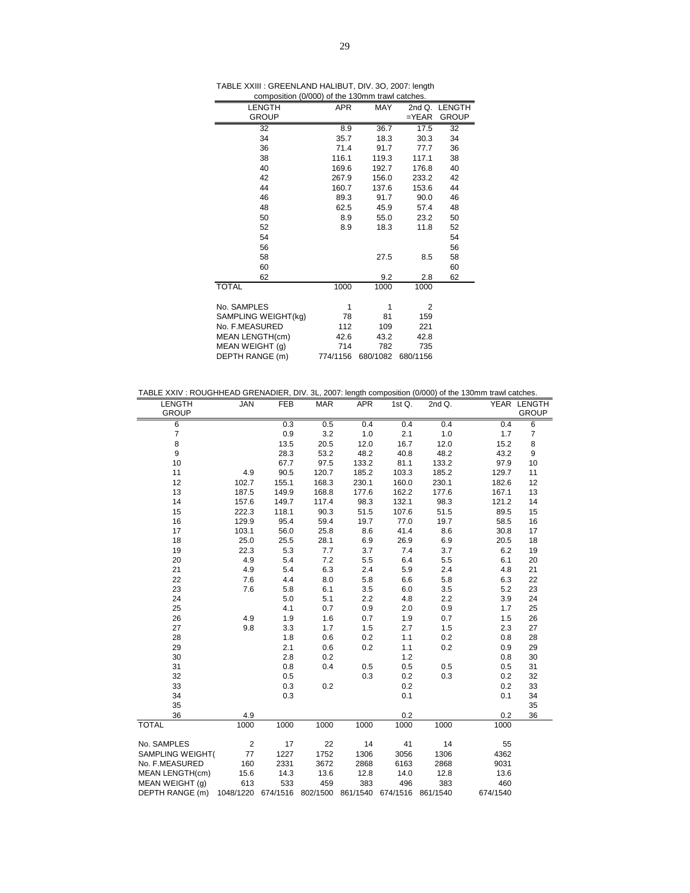| composition (0/000) of the 130mm trawl catches. |            |            |            |              |
|-------------------------------------------------|------------|------------|------------|--------------|
| LENGTH                                          | <b>APR</b> | <b>MAY</b> | $2ndQ$ .   | LENGTH       |
| <b>GROUP</b>                                    |            |            | $=$ $YEAR$ | <b>GROUP</b> |
| 32                                              | 8.9        | 36.7       | 17.5       | 32           |
| 34                                              | 35.7       | 18.3       | 30.3       | 34           |
| 36                                              | 71.4       | 91.7       | 77.7       | 36           |
| 38                                              | 116.1      | 119.3      | 117.1      | 38           |
| 40                                              | 169.6      | 192.7      | 176.8      | 40           |
| 42                                              | 267.9      | 156.0      | 233.2      | 42           |
| 44                                              | 160.7      | 137.6      | 153.6      | 44           |
| 46                                              | 89.3       | 91.7       | 90.0       | 46           |
| 48                                              | 62.5       | 45.9       | 57.4       | 48           |
| 50                                              | 8.9        | 55.0       | 23.2       | 50           |
| 52                                              | 8.9        | 18.3       | 11.8       | 52           |
| 54                                              |            |            |            | 54           |
| 56                                              |            |            |            | 56           |
| 58                                              |            | 27.5       | 8.5        | 58           |
| 60                                              |            |            |            | 60           |
| 62                                              |            | 9.2        | 2.8        | 62           |
| <b>TOTAL</b>                                    | 1000       | 1000       | 1000       |              |
|                                                 |            |            |            |              |
| No. SAMPLES                                     | 1          | 1          | 2          |              |
| SAMPLING WEIGHT(kg)                             | 78         | 81         | 159        |              |
| No. F.MEASURED                                  | 112        | 109        | 221        |              |
| MEAN LENGTH(cm)                                 | 42.6       | 43.2       | 42.8       |              |
| MEAN WEIGHT (g)                                 | 714        | 782        | 735        |              |
| DEPTH RANGE (m)                                 | 774/1156   | 680/1082   | 680/1156   |              |

| TABLE XXIV : ROUGHHEAD GRENADIER, DIV. 3L, 2007: length composition (0/000) of the 130mm trawl catches. |                                                        |            |            |                  |        |        |          |                |
|---------------------------------------------------------------------------------------------------------|--------------------------------------------------------|------------|------------|------------------|--------|--------|----------|----------------|
| <b>LENGTH</b>                                                                                           | <b>JAN</b>                                             | <b>FEB</b> | <b>MAR</b> | <b>APR</b>       | 1st Q. | 2nd Q. |          | YEAR LENGTH    |
| <b>GROUP</b>                                                                                            |                                                        |            |            |                  |        |        |          | <b>GROUP</b>   |
| 6                                                                                                       |                                                        | 0.3        | 0.5        | $\overline{0.4}$ | 0.4    | 0.4    | 0.4      | $\overline{6}$ |
| $\overline{7}$                                                                                          |                                                        | 0.9        | 3.2        | 1.0              | 2.1    | 1.0    | 1.7      | 7              |
| 8                                                                                                       |                                                        | 13.5       | 20.5       | 12.0             | 16.7   | 12.0   | 15.2     | 8              |
| 9                                                                                                       |                                                        | 28.3       | 53.2       | 48.2             | 40.8   | 48.2   | 43.2     | 9              |
| 10                                                                                                      |                                                        | 67.7       | 97.5       | 133.2            | 81.1   | 133.2  | 97.9     | 10             |
| 11                                                                                                      | 4.9                                                    | 90.5       | 120.7      | 185.2            | 103.3  | 185.2  | 129.7    | 11             |
| 12                                                                                                      | 102.7                                                  | 155.1      | 168.3      | 230.1            | 160.0  | 230.1  | 182.6    | 12             |
| 13                                                                                                      | 187.5                                                  | 149.9      | 168.8      | 177.6            | 162.2  | 177.6  | 167.1    | 13             |
| 14                                                                                                      | 157.6                                                  | 149.7      | 117.4      | 98.3             | 132.1  | 98.3   | 121.2    | 14             |
| 15                                                                                                      | 222.3                                                  | 118.1      | 90.3       | 51.5             | 107.6  | 51.5   | 89.5     | 15             |
| 16                                                                                                      | 129.9                                                  | 95.4       | 59.4       | 19.7             | 77.0   | 19.7   | 58.5     | 16             |
| 17                                                                                                      | 103.1                                                  | 56.0       | 25.8       | 8.6              | 41.4   | 8.6    | 30.8     | 17             |
| 18                                                                                                      | 25.0                                                   | 25.5       | 28.1       | 6.9              | 26.9   | 6.9    | 20.5     | 18             |
| 19                                                                                                      | 22.3                                                   | 5.3        | 7.7        | 3.7              | 7.4    | 3.7    | 6.2      | 19             |
| 20                                                                                                      | 4.9                                                    | 5.4        | 7.2        | 5.5              | 6.4    | 5.5    | 6.1      | 20             |
| 21                                                                                                      | 4.9                                                    | 5.4        | 6.3        | 2.4              | 5.9    | 2.4    | 4.8      | 21             |
| 22                                                                                                      | 7.6                                                    | 4.4        | 8.0        | 5.8              | 6.6    | 5.8    | 6.3      | 22             |
| 23                                                                                                      | 7.6                                                    | 5.8        | 6.1        | 3.5              | 6.0    | 3.5    | 5.2      | 23             |
| 24                                                                                                      |                                                        | 5.0        | 5.1        | 2.2              | 4.8    | 2.2    | 3.9      | 24             |
| 25                                                                                                      |                                                        | 4.1        | 0.7        | 0.9              | 2.0    | 0.9    | 1.7      | 25             |
| 26                                                                                                      | 4.9                                                    | 1.9        | 1.6        | 0.7              | 1.9    | 0.7    | 1.5      | 26             |
| 27                                                                                                      | 9.8                                                    | 3.3        | 1.7        | 1.5              | 2.7    | 1.5    | 2.3      | 27             |
| 28                                                                                                      |                                                        | 1.8        | 0.6        | 0.2              | 1.1    | 0.2    | 0.8      | 28             |
| 29                                                                                                      |                                                        | 2.1        | 0.6        | 0.2              | 1.1    | 0.2    | 0.9      | 29             |
| 30                                                                                                      |                                                        | 2.8        | 0.2        |                  | 1.2    |        | 0.8      | 30             |
| 31                                                                                                      |                                                        | 0.8        | 0.4        | 0.5              | 0.5    | 0.5    | 0.5      | 31             |
| 32                                                                                                      |                                                        | 0.5        |            | 0.3              | 0.2    | 0.3    | 0.2      | 32             |
| 33                                                                                                      |                                                        | 0.3        | 0.2        |                  | 0.2    |        | 0.2      | 33             |
| 34                                                                                                      |                                                        | 0.3        |            |                  | 0.1    |        | 0.1      | 34             |
| 35                                                                                                      |                                                        |            |            |                  |        |        |          | 35             |
| 36                                                                                                      | 4.9                                                    |            |            |                  | 0.2    |        | 0.2      | 36             |
| <b>TOTAL</b>                                                                                            | 1000                                                   | 1000       | 1000       | 1000             | 1000   | 1000   | 1000     |                |
| No. SAMPLES                                                                                             | $\overline{2}$                                         | 17         | 22         | 14               | 41     | 14     | 55       |                |
| SAMPLING WEIGHT(                                                                                        | 77                                                     | 1227       | 1752       | 1306             | 3056   | 1306   | 4362     |                |
| No. F.MEASURED                                                                                          | 160                                                    | 2331       | 3672       | 2868             | 6163   | 2868   | 9031     |                |
| MEAN LENGTH(cm)                                                                                         | 15.6                                                   | 14.3       | 13.6       | 12.8             | 14.0   | 12.8   | 13.6     |                |
| MEAN WEIGHT (g)                                                                                         | 613                                                    | 533        | 459        | 383              | 496    | 383    | 460      |                |
| DEPTH RANGE (m)                                                                                         | 1048/1220 674/1516 802/1500 861/1540 674/1516 861/1540 |            |            |                  |        |        | 674/1540 |                |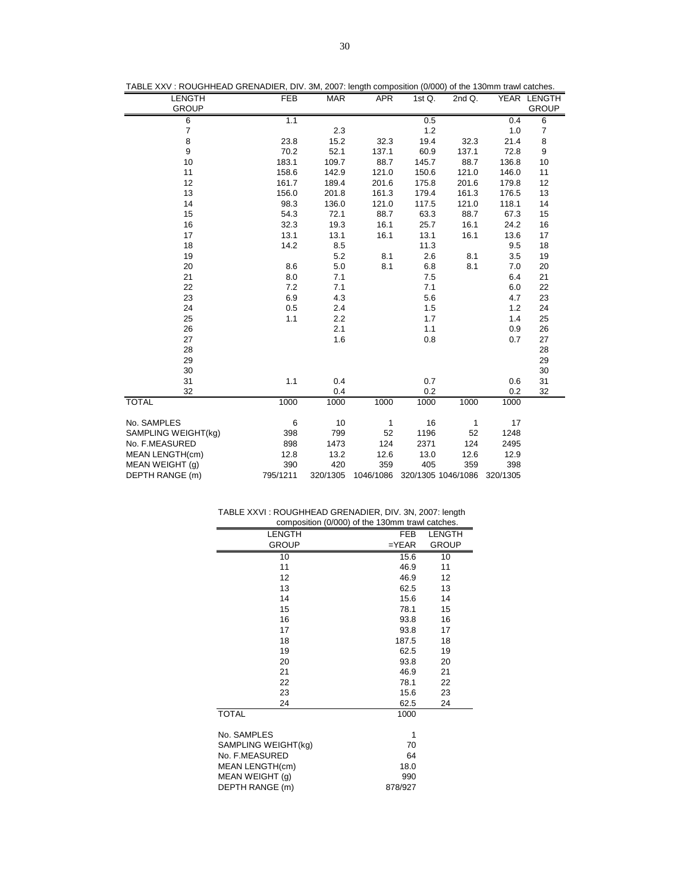| TABLE XXV: ROUGHHEAD GRENADIER, DIV. 3M, 2007: length composition (0/000) of the 130mm trawl catches. |            |            |            |           |                    |          |                |
|-------------------------------------------------------------------------------------------------------|------------|------------|------------|-----------|--------------------|----------|----------------|
| LENGTH                                                                                                | <b>FEB</b> | <b>MAR</b> | <b>APR</b> | 1st $Q$ . | 2nd Q.             |          | YEAR LENGTH    |
| <b>GROUP</b>                                                                                          |            |            |            |           |                    |          | <b>GROUP</b>   |
| 6                                                                                                     | 1.1        |            |            | 0.5       |                    | 0.4      | 6              |
| $\overline{7}$                                                                                        |            | 2.3        |            | $1.2$     |                    | 1.0      | $\overline{7}$ |
| 8                                                                                                     | 23.8       | 15.2       | 32.3       | 19.4      | 32.3               | 21.4     | 8              |
| 9                                                                                                     | 70.2       | 52.1       | 137.1      | 60.9      | 137.1              | 72.8     | 9              |
| 10                                                                                                    | 183.1      | 109.7      | 88.7       | 145.7     | 88.7               | 136.8    | 10             |
| 11                                                                                                    | 158.6      | 142.9      | 121.0      | 150.6     | 121.0              | 146.0    | 11             |
| 12                                                                                                    | 161.7      | 189.4      | 201.6      | 175.8     | 201.6              | 179.8    | 12             |
| 13                                                                                                    | 156.0      | 201.8      | 161.3      | 179.4     | 161.3              | 176.5    | 13             |
| 14                                                                                                    | 98.3       | 136.0      | 121.0      | 117.5     | 121.0              | 118.1    | 14             |
| 15                                                                                                    | 54.3       | 72.1       | 88.7       | 63.3      | 88.7               | 67.3     | 15             |
| 16                                                                                                    | 32.3       | 19.3       | 16.1       | 25.7      | 16.1               | 24.2     | 16             |
| 17                                                                                                    | 13.1       | 13.1       | 16.1       | 13.1      | 16.1               | 13.6     | 17             |
| 18                                                                                                    | 14.2       | 8.5        |            | 11.3      |                    | 9.5      | 18             |
| 19                                                                                                    |            | 5.2        | 8.1        | 2.6       | 8.1                | 3.5      | 19             |
| 20                                                                                                    | 8.6        | 5.0        | 8.1        | 6.8       | 8.1                | 7.0      | 20             |
| 21                                                                                                    | 8.0        | 7.1        |            | 7.5       |                    | 6.4      | 21             |
| 22                                                                                                    | 7.2        | 7.1        |            | 7.1       |                    | 6.0      | 22             |
| 23                                                                                                    | 6.9        | 4.3        |            | 5.6       |                    | 4.7      | 23             |
| 24                                                                                                    | 0.5        | 2.4        |            | 1.5       |                    | 1.2      | 24             |
| 25                                                                                                    | 1.1        | 2.2        |            | 1.7       |                    | 1.4      | 25             |
| 26                                                                                                    |            | 2.1        |            | 1.1       |                    | 0.9      | 26             |
| 27                                                                                                    |            | 1.6        |            | 0.8       |                    | 0.7      | 27             |
| 28                                                                                                    |            |            |            |           |                    |          | 28             |
| 29                                                                                                    |            |            |            |           |                    |          | 29             |
| 30                                                                                                    |            |            |            |           |                    |          | 30             |
| 31                                                                                                    | 1.1        | 0.4        |            | 0.7       |                    | 0.6      | 31             |
| 32                                                                                                    |            | 0.4        |            | 0.2       |                    | 0.2      | 32             |
| <b>TOTAL</b>                                                                                          | 1000       | 1000       | 1000       | 1000      | 1000               | 1000     |                |
| No. SAMPLES                                                                                           | 6          | 10         | 1          | 16        | 1                  | 17       |                |
| SAMPLING WEIGHT(kg)                                                                                   | 398        | 799        | 52         | 1196      | 52                 | 1248     |                |
| No. F.MEASURED                                                                                        | 898        | 1473       | 124        | 2371      | 124                | 2495     |                |
| <b>MEAN LENGTH(cm)</b>                                                                                | 12.8       | 13.2       | 12.6       | 13.0      | 12.6               | 12.9     |                |
| MEAN WEIGHT (q)                                                                                       | 390        | 420        | 359        | 405       | 359                | 398      |                |
| DEPTH RANGE (m)                                                                                       | 795/1211   | 320/1305   | 1046/1086  |           | 320/1305 1046/1086 | 320/1305 |                |

| TABLE XXVI: ROUGHHEAD GRENADIER, DIV. 3N, 2007: length |  |  |  |  |
|--------------------------------------------------------|--|--|--|--|
|                                                        |  |  |  |  |

| composition (0/000) of the 130mm trawl catches. |            |               |  |  |  |  |
|-------------------------------------------------|------------|---------------|--|--|--|--|
| <b>LENGTH</b>                                   | <b>FEB</b> | <b>LENGTH</b> |  |  |  |  |
| <b>GROUP</b>                                    | $=$ $YEAR$ | <b>GROUP</b>  |  |  |  |  |
| 10                                              | 15.6       | 10            |  |  |  |  |
| 11                                              | 46.9       | 11            |  |  |  |  |
| 12                                              | 46.9       | 12            |  |  |  |  |
| 13                                              | 62.5       | 13            |  |  |  |  |
| 14                                              | 15.6       | 14            |  |  |  |  |
| 15                                              | 78.1       | 15            |  |  |  |  |
| 16                                              | 93.8       | 16            |  |  |  |  |
| 17                                              | 93.8       | 17            |  |  |  |  |
| 18                                              | 187.5      | 18            |  |  |  |  |
| 19                                              | 62.5       | 19            |  |  |  |  |
| 20                                              | 93.8       | 20            |  |  |  |  |
| 21                                              | 46.9       | 21            |  |  |  |  |
| 22                                              | 78.1       | 22            |  |  |  |  |
| 23                                              | 15.6       | 23            |  |  |  |  |
| 24                                              | 62.5       | 24            |  |  |  |  |
| <b>TOTAL</b>                                    | 1000       |               |  |  |  |  |
|                                                 |            |               |  |  |  |  |
| No. SAMPLES                                     | 1          |               |  |  |  |  |
| SAMPLING WEIGHT(kg)                             | 70         |               |  |  |  |  |
| No. F.MEASURED                                  | 64         |               |  |  |  |  |
| <b>MEAN LENGTH(cm)</b>                          | 18.0       |               |  |  |  |  |
| MEAN WEIGHT (g)                                 | 990        |               |  |  |  |  |
| DEPTH RANGE (m)                                 | 878/927    |               |  |  |  |  |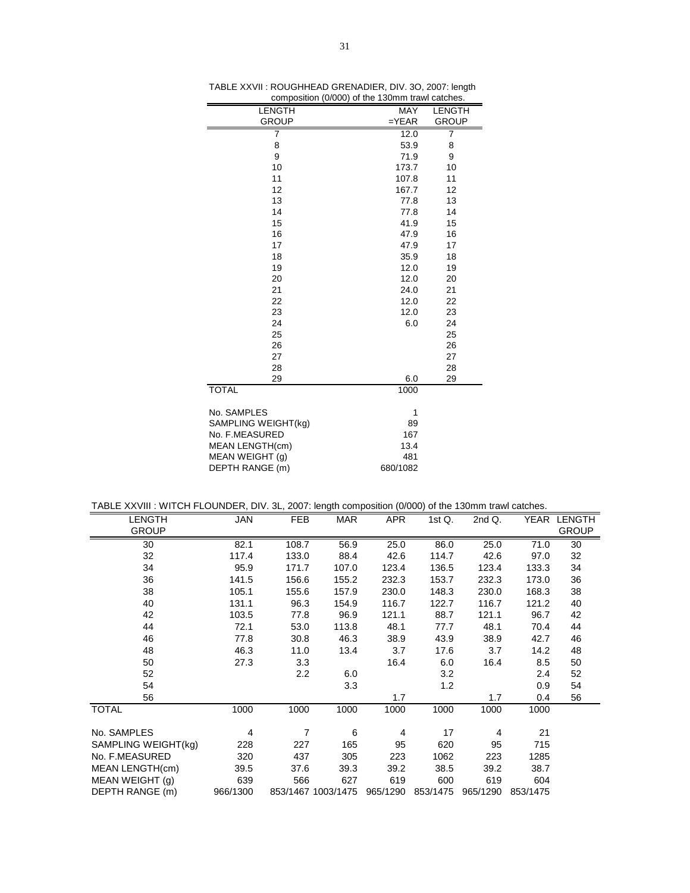| LENGTH                 | MAY        | <b>LENGTH</b> |
|------------------------|------------|---------------|
| <b>GROUP</b>           | $=$ $YEAR$ | <b>GROUP</b>  |
| 7                      | 12.0       | 7             |
| 8                      | 53.9       | 8             |
| 9                      | 71.9       | 9             |
| 10                     | 173.7      | 10            |
| 11                     | 107.8      | 11            |
| 12                     | 167.7      | 12            |
| 13                     | 77.8       | 13            |
| 14                     | 77.8       | 14            |
| 15                     | 41.9       | 15            |
| 16                     | 47.9       | 16            |
| 17                     | 47.9       | 17            |
| 18                     | 35.9       | 18            |
| 19                     | 12.0       | 19            |
| 20                     | 12.0       | 20            |
| 21                     | 24.0       | 21            |
| 22                     | 12.0       | 22            |
| 23                     | 12.0       | 23            |
| 24                     | 6.0        | 24            |
| 25                     |            | 25            |
| 26                     |            | 26            |
| 27                     |            | 27            |
| 28                     |            | 28            |
| 29                     | 6.0        | 29            |
| <b>TOTAL</b>           | 1000       |               |
| No. SAMPLES            | 1          |               |
| SAMPLING WEIGHT(kg)    | 89         |               |
| No. F.MEASURED         | 167        |               |
| <b>MEAN LENGTH(cm)</b> | 13.4       |               |
| MEAN WEIGHT (g)        | 481        |               |
| DEPTH RANGE (m)        | 680/1082   |               |

TABLE XXVII : ROUGHHEAD GRENADIER, DIV. 3O, 2007: length composition (0/000) of the 130mm trawl catches.

|  | TABLE XXVIII : WITCH FLOUNDER, DIV. 3L, 2007: length composition (0/000) of the 130mm trawl catches. |  |  |  |  |  |
|--|------------------------------------------------------------------------------------------------------|--|--|--|--|--|
|--|------------------------------------------------------------------------------------------------------|--|--|--|--|--|

| <b>LENGTH</b>       | <b>JAN</b> | <b>FEB</b>     | <b>MAR</b>         | <b>APR</b> | 1st Q.            | 2nd Q.   | YEAR     | <b>LENGTH</b> |
|---------------------|------------|----------------|--------------------|------------|-------------------|----------|----------|---------------|
| <b>GROUP</b>        |            |                |                    |            |                   |          |          | <b>GROUP</b>  |
| 30                  | 82.1       | 108.7          | 56.9               | 25.0       | 86.0              | 25.0     | 71.0     | 30            |
| 32                  | 117.4      | 133.0          | 88.4               | 42.6       | 114.7             | 42.6     | 97.0     | 32            |
| 34                  | 95.9       | 171.7          | 107.0              | 123.4      | 136.5             | 123.4    | 133.3    | 34            |
| 36                  | 141.5      | 156.6          | 155.2              | 232.3      | 153.7             | 232.3    | 173.0    | 36            |
| 38                  | 105.1      | 155.6          | 157.9              | 230.0      | 148.3             | 230.0    | 168.3    | 38            |
| 40                  | 131.1      | 96.3           | 154.9              | 116.7      | 122.7             | 116.7    | 121.2    | 40            |
| 42                  | 103.5      | 77.8           | 96.9               | 121.1      | 88.7              | 121.1    | 96.7     | 42            |
| 44                  | 72.1       | 53.0           | 113.8              | 48.1       | 77.7              | 48.1     | 70.4     | 44            |
| 46                  | 77.8       | 30.8           | 46.3               | 38.9       | 43.9              | 38.9     | 42.7     | 46            |
| 48                  | 46.3       | 11.0           | 13.4               | 3.7        | 17.6              | 3.7      | 14.2     | 48            |
| 50                  | 27.3       | 3.3            |                    | 16.4       | 6.0               | 16.4     | 8.5      | 50            |
| 52                  |            | 2.2            | 6.0                |            | 3.2               |          | 2.4      | 52            |
| 54                  |            |                | 3.3                |            | 1.2               |          | 0.9      | 54            |
| 56                  |            |                |                    | 1.7        |                   | 1.7      | 0.4      | 56            |
| <b>TOTAL</b>        | 1000       | 1000           | 1000               | 1000       | 1000              | 1000     | 1000     |               |
| No. SAMPLES         | 4          | $\overline{7}$ | 6                  | 4          | 17                | 4        | 21       |               |
| SAMPLING WEIGHT(kg) | 228        | 227            | 165                | 95         | 620               | 95       | 715      |               |
| No. F.MEASURED      | 320        | 437            | 305                | 223        | 1062              | 223      | 1285     |               |
| MEAN LENGTH(cm)     | 39.5       | 37.6           | 39.3               | 39.2       | 38.5              | 39.2     | 38.7     |               |
| MEAN WEIGHT (g)     | 639        | 566            | 627                | 619        | 600               | 619      | 604      |               |
| DEPTH RANGE (m)     | 966/1300   |                | 853/1467 1003/1475 |            | 965/1290 853/1475 | 965/1290 | 853/1475 |               |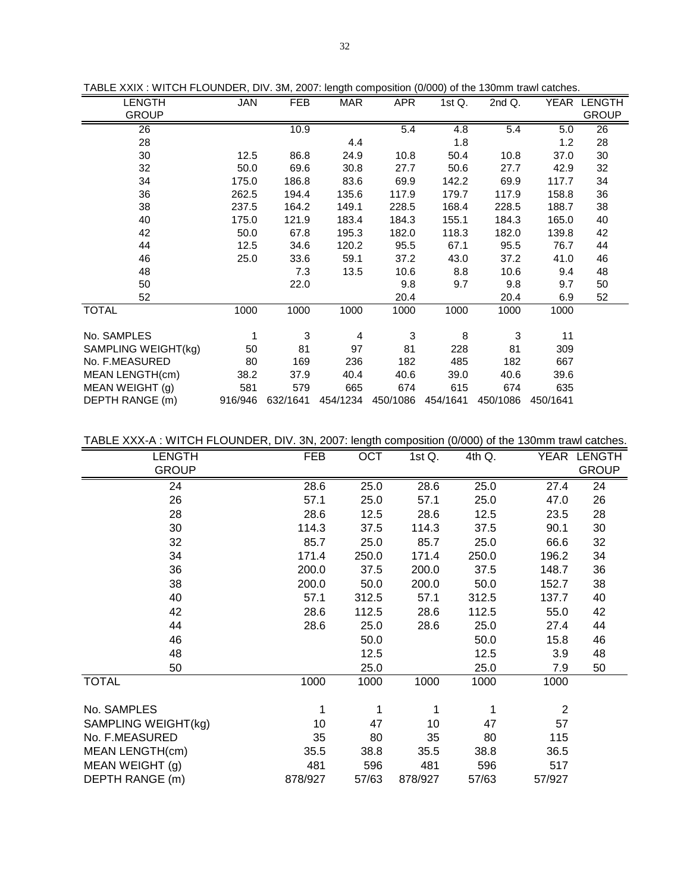| <b>LENGTH</b>       | JAN   | FEB              | <b>MAR</b>     | APR   | 1st $Q$ .         | 2nd Q.   |          | YEAR LENGTH     |
|---------------------|-------|------------------|----------------|-------|-------------------|----------|----------|-----------------|
| <b>GROUP</b>        |       |                  |                |       |                   |          |          | <b>GROUP</b>    |
| $\overline{26}$     |       | 10.9             |                | 5.4   | 4.8               | 5.4      | 5.0      | $\overline{26}$ |
| 28                  |       |                  | 4.4            |       | 1.8               |          | 1.2      | 28              |
| 30                  | 12.5  | 86.8             | 24.9           | 10.8  | 50.4              | 10.8     | 37.0     | 30              |
| 32                  | 50.0  | 69.6             | 30.8           | 27.7  | 50.6              | 27.7     | 42.9     | 32              |
| 34                  | 175.0 | 186.8            | 83.6           | 69.9  | 142.2             | 69.9     | 117.7    | 34              |
| 36                  | 262.5 | 194.4            | 135.6          | 117.9 | 179.7             | 117.9    | 158.8    | 36              |
| 38                  | 237.5 | 164.2            | 149.1          | 228.5 | 168.4             | 228.5    | 188.7    | 38              |
| 40                  | 175.0 | 121.9            | 183.4          | 184.3 | 155.1             | 184.3    | 165.0    | 40              |
| 42                  | 50.0  | 67.8             | 195.3          | 182.0 | 118.3             | 182.0    | 139.8    | 42              |
| 44                  | 12.5  | 34.6             | 120.2          | 95.5  | 67.1              | 95.5     | 76.7     | 44              |
| 46                  | 25.0  | 33.6             | 59.1           | 37.2  | 43.0              | 37.2     | 41.0     | 46              |
| 48                  |       | 7.3              | 13.5           | 10.6  | 8.8               | 10.6     | 9.4      | 48              |
| 50                  |       | 22.0             |                | 9.8   | 9.7               | 9.8      | 9.7      | 50              |
| 52                  |       |                  |                | 20.4  |                   | 20.4     | 6.9      | 52              |
| <b>TOTAL</b>        | 1000  | 1000             | 1000           | 1000  | 1000              | 1000     | 1000     |                 |
|                     |       |                  |                |       |                   |          |          |                 |
| No. SAMPLES         |       | 3                | $\overline{4}$ | 3     | 8                 | 3        | 11       |                 |
| SAMPLING WEIGHT(kg) | 50    | 81               | 97             | 81    | 228               | 81       | 309      |                 |
| No. F.MEASURED      | 80    | 169              | 236            | 182   | 485               | 182      | 667      |                 |
| MEAN LENGTH(cm)     | 38.2  | 37.9             | 40.4           | 40.6  | 39.0              | 40.6     | 39.6     |                 |
| MEAN WEIGHT (g)     | 581   | 579              | 665            | 674   | 615               | 674      | 635      |                 |
| DEPTH RANGE (m)     |       | 916/946 632/1641 | 454/1234       |       | 450/1086 454/1641 | 450/1086 | 450/1641 |                 |

TABLE XXIX : WITCH FLOUNDER, DIV. 3M, 2007: length composition (0/000) of the 130mm trawl catches.

TABLE XXX-A : WITCH FLOUNDER, DIV. 3N, 2007: length composition (0/000) of the 130mm trawl catches.

| <b>LENGTH</b>       | <b>FEB</b> | OCT   | 1st Q.  | 4th Q. | YEAR           | <b>LENGTH</b> |
|---------------------|------------|-------|---------|--------|----------------|---------------|
| <b>GROUP</b>        |            |       |         |        |                | <b>GROUP</b>  |
| 24                  | 28.6       | 25.0  | 28.6    | 25.0   | 27.4           | 24            |
| 26                  | 57.1       | 25.0  | 57.1    | 25.0   | 47.0           | 26            |
| 28                  | 28.6       | 12.5  | 28.6    | 12.5   | 23.5           | 28            |
| 30                  | 114.3      | 37.5  | 114.3   | 37.5   | 90.1           | 30            |
| 32                  | 85.7       | 25.0  | 85.7    | 25.0   | 66.6           | 32            |
| 34                  | 171.4      | 250.0 | 171.4   | 250.0  | 196.2          | 34            |
| 36                  | 200.0      | 37.5  | 200.0   | 37.5   | 148.7          | 36            |
| 38                  | 200.0      | 50.0  | 200.0   | 50.0   | 152.7          | 38            |
| 40                  | 57.1       | 312.5 | 57.1    | 312.5  | 137.7          | 40            |
| 42                  | 28.6       | 112.5 | 28.6    | 112.5  | 55.0           | 42            |
| 44                  | 28.6       | 25.0  | 28.6    | 25.0   | 27.4           | 44            |
| 46                  |            | 50.0  |         | 50.0   | 15.8           | 46            |
| 48                  |            | 12.5  |         | 12.5   | 3.9            | 48            |
| 50                  |            | 25.0  |         | 25.0   | 7.9            | 50            |
| <b>TOTAL</b>        | 1000       | 1000  | 1000    | 1000   | 1000           |               |
| No. SAMPLES         | 1          | 1     | 1       | 1      | $\overline{2}$ |               |
| SAMPLING WEIGHT(kg) | 10         | 47    | 10      | 47     | 57             |               |
| No. F.MEASURED      | 35         | 80    | 35      | 80     | 115            |               |
| MEAN LENGTH(cm)     | 35.5       | 38.8  | 35.5    | 38.8   | 36.5           |               |
| MEAN WEIGHT (g)     | 481        | 596   | 481     | 596    | 517            |               |
| DEPTH RANGE (m)     | 878/927    | 57/63 | 878/927 | 57/63  | 57/927         |               |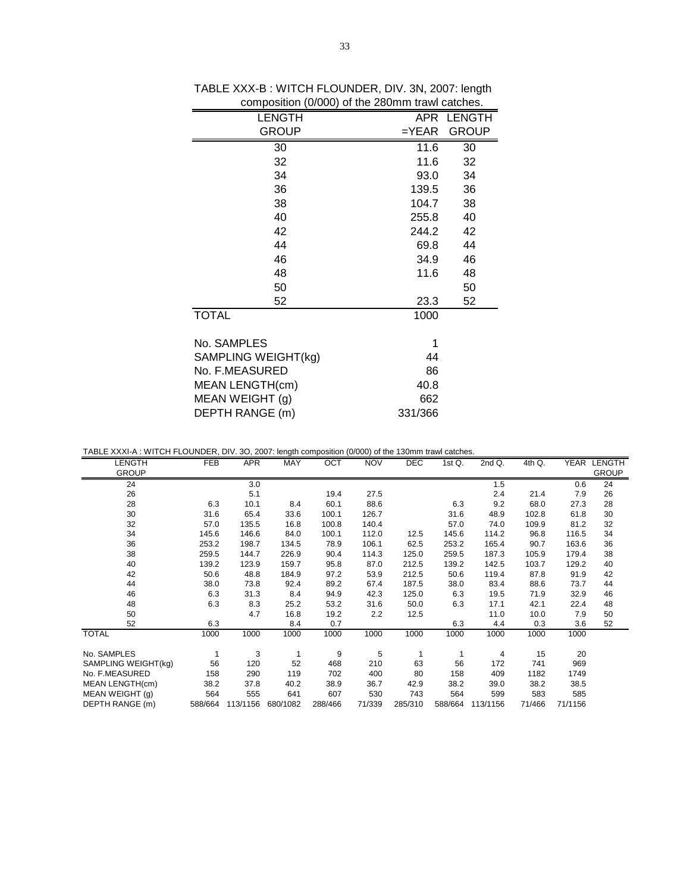| <b>LENGTH</b>       |         | APR LENGTH   |
|---------------------|---------|--------------|
| <b>GROUP</b>        | $=YEAR$ | <b>GROUP</b> |
| 30                  | 11.6    | 30           |
| 32                  | 11.6    | 32           |
| 34                  | 93.0    | 34           |
| 36                  | 139.5   | 36           |
| 38                  | 104.7   | 38           |
| 40                  | 255.8   | 40           |
| 42                  | 244.2   | 42           |
| 44                  | 69.8    | 44           |
| 46                  | 34.9    | 46           |
| 48                  | 11.6    | 48           |
| 50                  |         | 50           |
| 52                  | 23.3    | 52           |
| <b>TOTAL</b>        | 1000    |              |
| No. SAMPLES         | 1       |              |
| SAMPLING WEIGHT(kg) | 44      |              |
| No. F.MEASURED      | 86      |              |
| MEAN LENGTH(cm)     | 40.8    |              |
| MEAN WEIGHT (g)     | 662     |              |
| DEPTH RANGE (m)     | 331/366 |              |
|                     |         |              |

TABLE XXX-B : WITCH FLOUNDER, DIV. 3N, 2007: length composition (0/000) of the 280mm trawl catches.

TABLE XXXI-A : WITCH FLOUNDER, DIV. 3O, 2007: length composition (0/000) of the 130mm trawl catches.

|         |           |                        |           | ິ               |                                                                                                                                                                        |                  |                     |                              |                      |                   |
|---------|-----------|------------------------|-----------|-----------------|------------------------------------------------------------------------------------------------------------------------------------------------------------------------|------------------|---------------------|------------------------------|----------------------|-------------------|
|         |           |                        |           |                 |                                                                                                                                                                        |                  |                     |                              |                      | YEAR LENGTH       |
|         |           |                        |           |                 |                                                                                                                                                                        |                  |                     |                              |                      | <b>GROUP</b>      |
|         | 3.0       |                        |           |                 |                                                                                                                                                                        |                  | 1.5                 |                              | 0.6                  | 24                |
|         | 5.1       |                        | 19.4      | 27.5            |                                                                                                                                                                        |                  | 2.4                 | 21.4                         | 7.9                  | 26                |
| 6.3     | 10.1      | 8.4                    | 60.1      | 88.6            |                                                                                                                                                                        | 6.3              | 9.2                 | 68.0                         | 27.3                 | 28                |
| 31.6    | 65.4      | 33.6                   | 100.1     | 126.7           |                                                                                                                                                                        | 31.6             | 48.9                | 102.8                        | 61.8                 | 30                |
| 57.0    | 135.5     | 16.8                   | 100.8     | 140.4           |                                                                                                                                                                        | 57.0             | 74.0                | 109.9                        | 81.2                 | 32                |
| 145.6   | 146.6     | 84.0                   | 100.1     | 112.0           | 12.5                                                                                                                                                                   | 145.6            | 114.2               | 96.8                         | 116.5                | 34                |
| 253.2   | 198.7     | 134.5                  | 78.9      | 106.1           | 62.5                                                                                                                                                                   | 253.2            | 165.4               | 90.7                         | 163.6                | 36                |
| 259.5   | 144.7     | 226.9                  | 90.4      | 114.3           | 125.0                                                                                                                                                                  | 259.5            | 187.3               | 105.9                        | 179.4                | 38                |
| 139.2   | 123.9     | 159.7                  | 95.8      | 87.0            | 212.5                                                                                                                                                                  | 139.2            | 142.5               | 103.7                        | 129.2                | 40                |
| 50.6    | 48.8      | 184.9                  | 97.2      | 53.9            | 212.5                                                                                                                                                                  | 50.6             | 119.4               | 87.8                         | 91.9                 | 42                |
| 38.0    | 73.8      | 92.4                   | 89.2      | 67.4            | 187.5                                                                                                                                                                  | 38.0             | 83.4                | 88.6                         | 73.7                 | 44                |
| 6.3     | 31.3      | 8.4                    | 94.9      | 42.3            | 125.0                                                                                                                                                                  | 6.3              | 19.5                | 71.9                         | 32.9                 | 46                |
| 6.3     | 8.3       | 25.2                   | 53.2      | 31.6            | 50.0                                                                                                                                                                   | 6.3              | 17.1                | 42.1                         | 22.4                 | 48                |
|         | 4.7       | 16.8                   | 19.2      | 2.2             | 12.5                                                                                                                                                                   |                  | 11.0                | 10.0                         | 7.9                  | 50                |
| 6.3     |           | 8.4                    | 0.7       |                 |                                                                                                                                                                        | 6.3              | 4.4                 | 0.3                          | 3.6                  | 52                |
| 1000    | 1000      | 1000                   | 1000      | 1000            | 1000                                                                                                                                                                   | 1000             | 1000                | 1000                         | 1000                 |                   |
|         |           |                        |           |                 |                                                                                                                                                                        |                  |                     |                              |                      |                   |
| 1       |           |                        |           |                 |                                                                                                                                                                        |                  |                     |                              |                      |                   |
|         |           |                        |           |                 |                                                                                                                                                                        |                  |                     | 741                          |                      |                   |
| 158     | 290       | 119                    | 702       | 400             | 80                                                                                                                                                                     | 158              | 409                 | 1182                         | 1749                 |                   |
| 38.2    | 37.8      | 40.2                   | 38.9      |                 | 42.9                                                                                                                                                                   |                  | 39.0                |                              |                      |                   |
| 564     | 555       | 641                    | 607       | 530             | 743                                                                                                                                                                    | 564              | 599                 | 583                          | 585                  |                   |
| 588/664 | 113/1156  | 680/1082               | 288/466   | 71/339          | 285/310                                                                                                                                                                |                  | 113/1156            | 71/466                       | 71/1156              |                   |
|         | FEB<br>56 | <b>APR</b><br>3<br>120 | MAY<br>52 | OCT<br>9<br>468 | $\Box$ , $\Box$ , $\Box$ , $\Box$ , $\Box$ , $\Box$ , $\Box$ , $\Box$ , $\Box$ , $\Box$ , $\Box$ , $\Box$ , $\Box$ , $\Box$ , $\Box$<br><b>NOV</b><br>5<br>210<br>36.7 | <b>DEC</b><br>63 | 1stQ.<br>56<br>38.2 | 2ndQ.<br>4<br>172<br>588/664 | 4th Q.<br>15<br>38.2 | 20<br>969<br>38.5 |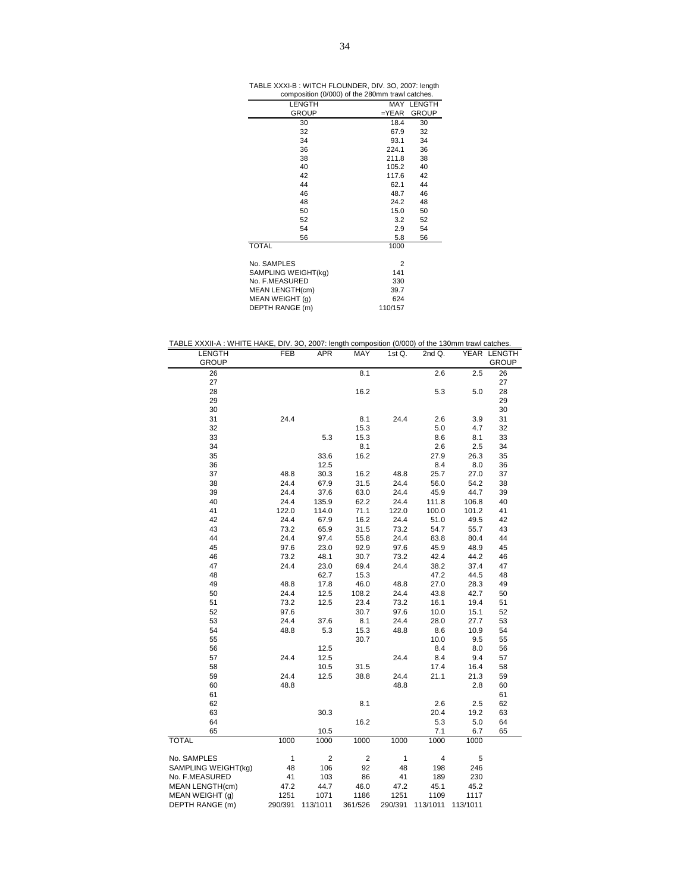| TABLE XXXI-B : WITCH FLOUNDER, DIV. 3O, 2007: length |  |  |  |  |
|------------------------------------------------------|--|--|--|--|
|                                                      |  |  |  |  |

| composition (0/000) of the 280mm trawl catches. |                |              |
|-------------------------------------------------|----------------|--------------|
| <b>LENGTH</b>                                   |                | MAY LENGTH   |
| <b>GROUP</b>                                    | $=$ $YEAR$     | <b>GROUP</b> |
| 30                                              | 18.4           | 30           |
| 32                                              | 67.9           | 32           |
| 34                                              | 93.1           | 34           |
| 36                                              | 224.1          | 36           |
| 38                                              | 211.8          | 38           |
| 40                                              | 105.2          | 40           |
| 42                                              | 117.6          | 42           |
| 44                                              | 62.1           | 44           |
| 46                                              | 48.7           | 46           |
| 48                                              | 24.2           | 48           |
| 50                                              | 15.0           | 50           |
| 52                                              | 3.2            | 52           |
| 54                                              | 2.9            | 54           |
| 56                                              | 5.8            | 56           |
| <b>TOTAL</b>                                    | 1000           |              |
| No. SAMPLES                                     | $\overline{2}$ |              |
|                                                 | 141            |              |
| SAMPLING WEIGHT(kg)<br>No. F.MEASURED           |                |              |
| <b>MEAN LENGTH(cm)</b>                          | 330<br>39.7    |              |
|                                                 | 624            |              |
| MEAN WEIGHT (g)<br>DEPTH RANGE (m)              | 110/157        |              |
|                                                 |                |              |

TABLE XXXII-A : WHITE HAKE, DIV. 3O, 2007: length composition (0/000) of the 130mm trawl catches.

| LENGTH                 | FEB     | <b>APR</b>     | MAY            | 1st Q.  | 2nd Q.   |          | YEAR LENGTH  |
|------------------------|---------|----------------|----------------|---------|----------|----------|--------------|
| <b>GROUP</b>           |         |                |                |         |          |          | <b>GROUP</b> |
| 26                     |         |                | 8.1            |         | 2.6      | 2.5      | 26           |
| 27                     |         |                |                |         |          |          | 27           |
| 28                     |         |                | 16.2           |         | 5.3      | 5.0      | 28           |
| 29                     |         |                |                |         |          |          | 29           |
| 30                     |         |                |                |         |          |          | 30           |
| 31                     | 24.4    |                | 8.1            | 24.4    | 2.6      | 3.9      | 31           |
| 32                     |         |                | 15.3           |         | 5.0      | 4.7      | 32           |
| 33                     |         | 5.3            | 15.3           |         | 8.6      | 8.1      | 33           |
| 34                     |         |                | 8.1            |         | 2.6      | 2.5      | 34           |
| 35                     |         | 33.6           | 16.2           |         | 27.9     | 26.3     | 35           |
| 36                     |         | 12.5           |                |         | 8.4      | 8.0      | 36           |
| 37                     | 48.8    | 30.3           | 16.2           | 48.8    | 25.7     | 27.0     | 37           |
| 38                     | 24.4    | 67.9           | 31.5           | 24.4    | 56.0     | 54.2     | 38           |
| 39                     | 24.4    | 37.6           | 63.0           | 24.4    | 45.9     | 44.7     | 39           |
| 40                     | 24.4    | 135.9          | 62.2           | 24.4    | 111.8    | 106.8    | 40           |
| 41                     | 122.0   | 114.0          | 71.1           | 122.0   | 100.0    | 101.2    | 41           |
| 42                     | 24.4    | 67.9           | 16.2           | 24.4    | 51.0     | 49.5     | 42           |
| 43                     | 73.2    | 65.9           | 31.5           | 73.2    | 54.7     | 55.7     | 43           |
| 44                     | 24.4    | 97.4           | 55.8           | 24.4    | 83.8     | 80.4     | 44           |
| 45                     | 97.6    | 23.0           | 92.9           | 97.6    | 45.9     | 48.9     | 45           |
| 46                     | 73.2    | 48.1           | 30.7           | 73.2    | 42.4     | 44.2     | 46           |
| 47                     | 24.4    | 23.0           | 69.4           | 24.4    | 38.2     | 37.4     | 47           |
| 48                     |         | 62.7           | 15.3           |         | 47.2     | 44.5     | 48           |
| 49                     | 48.8    | 17.8           | 46.0           | 48.8    | 27.0     | 28.3     | 49           |
| 50                     | 24.4    | 12.5           | 108.2          | 24.4    | 43.8     | 42.7     | 50           |
| 51                     | 73.2    | 12.5           | 23.4           | 73.2    | 16.1     | 19.4     | 51           |
| 52                     | 97.6    |                | 30.7           | 97.6    | 10.0     | 15.1     | 52           |
| 53                     | 24.4    | 37.6           | 8.1            | 24.4    | 28.0     | 27.7     | 53           |
| 54                     | 48.8    | 5.3            | 15.3           | 48.8    | 8.6      | 10.9     | 54           |
| 55                     |         |                | 30.7           |         | 10.0     | 9.5      | 55           |
| 56                     |         | 12.5           |                |         | 8.4      | 8.0      | 56           |
| 57                     | 24.4    | 12.5           |                | 24.4    | 8.4      | 9.4      | 57           |
| 58                     |         | 10.5           | 31.5           |         | 17.4     | 16.4     | 58           |
| 59                     | 24.4    | 12.5           | 38.8           | 24.4    | 21.1     | 21.3     | 59           |
| 60                     | 48.8    |                |                | 48.8    |          | 2.8      | 60           |
| 61                     |         |                |                |         |          |          | 61           |
| 62                     |         |                | 8.1            |         | 2.6      | 2.5      | 62           |
| 63                     |         | 30.3           |                |         | 20.4     | 19.2     | 63           |
| 64                     |         |                | 16.2           |         | 5.3      | 5.0      | 64           |
| 65                     |         | 10.5           |                |         | 7.1      | 6.7      | 65           |
| <b>TOTAL</b>           | 1000    | 1000           | 1000           | 1000    | 1000     | 1000     |              |
| No. SAMPLES            | 1       | $\overline{2}$ | $\overline{c}$ | 1       | 4        | 5        |              |
| SAMPLING WEIGHT(kg)    | 48      | 106            | 92             | 48      | 198      | 246      |              |
| No. F.MEASURED         | 41      | 103            | 86             | 41      | 189      | 230      |              |
| <b>MEAN LENGTH(cm)</b> | 47.2    | 44.7           | 46.0           | 47.2    | 45.1     | 45.2     |              |
| MEAN WEIGHT (q)        | 1251    | 1071           | 1186           | 1251    | 1109     | 1117     |              |
| DEPTH RANGE (m)        | 290/391 | 113/1011       | 361/526        | 290/391 | 113/1011 | 113/1011 |              |
|                        |         |                |                |         |          |          |              |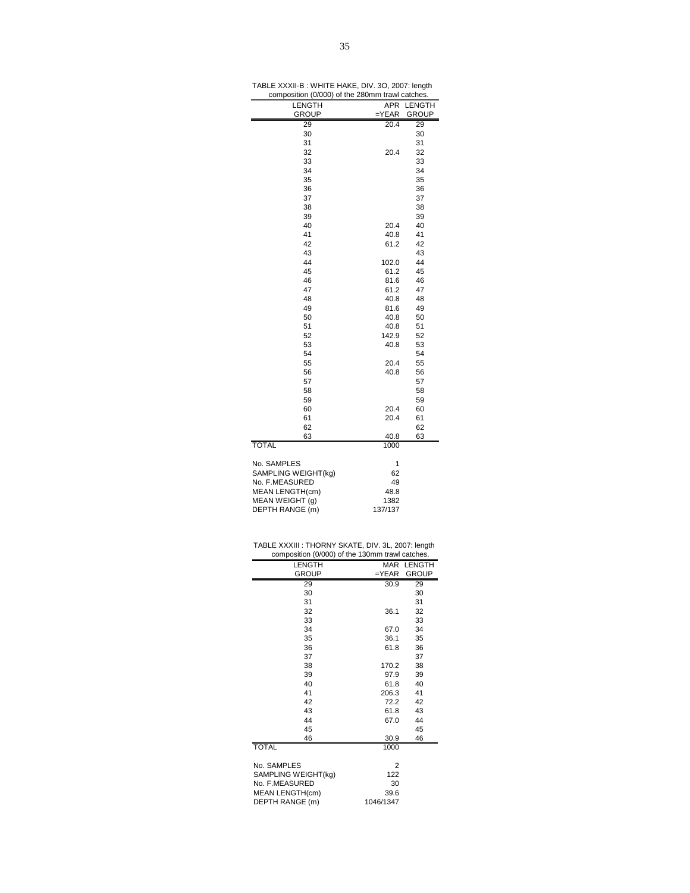| TABLE XXXII-B: WHITE HAKE, DIV. 3O, 2007: length |  |  |
|--------------------------------------------------|--|--|
| composition (0/000) of the 280mm trawl catches.  |  |  |

|                     |            | ,,,,,        |
|---------------------|------------|--------------|
| LENGTH              | APR        | LENGTH       |
| <b>GROUP</b>        | $=$ $YEAR$ | <b>GROUP</b> |
| 29                  | 20.4       | 29           |
| 30                  |            | 30           |
| 31                  |            | 31           |
| 32                  | 20.4       | 32           |
| 33                  |            | 33           |
| 34                  |            | 34           |
| 35                  |            | 35           |
| 36                  |            | 36           |
| 37                  |            | 37           |
| 38                  |            | 38           |
| 39                  |            | 39           |
| 40                  | 20.4       | 40           |
| 41                  | 40.8       | 41           |
| 42                  | 61.2       | 42           |
| 43                  |            | 43           |
| 44                  | 102.0      | 44           |
| 45                  | 61.2       | 45           |
| 46                  | 81.6       | 46           |
| 47                  | 61.2       | 47           |
| 48                  | 40.8       | 48           |
| 49                  | 81.6       | 49           |
| 50                  | 40.8       | 50           |
| 51                  | 40.8       | 51           |
| 52                  | 142.9      | 52           |
| 53                  | 40.8       | 53           |
| 54                  |            | 54           |
| 55                  | 20.4       | 55           |
| 56                  | 40.8       | 56           |
| 57                  |            | 57           |
| 58                  |            | 58           |
| 59                  |            | 59           |
| 60                  | 20.4       | 60           |
| 61                  | 20.4       | 61           |
| 62                  |            | 62           |
| 63                  | 40.8       | 63           |
| <b>TOTAL</b>        | 1000       |              |
|                     |            |              |
| No. SAMPLES         | 1          |              |
| SAMPLING WEIGHT(kg) | 62         |              |
| No. F.MEASURED      | 49         |              |
| MEAN LENGTH(cm)     | 48.8       |              |
| MEAN WEIGHT (g)     | 1382       |              |
| DEPTH RANGE (m)     | 137/137    |              |

| TABLE XXXIII : THORNY SKATE, DIV. 3L, 2007: length |  |  |
|----------------------------------------------------|--|--|
| composition (0/000) of the 130mm trawl catches.    |  |  |

| composition (0/000) or the Toomin trawn catenes. |            |              |
|--------------------------------------------------|------------|--------------|
| <b>LENGTH</b>                                    |            | MAR LENGTH   |
| <b>GROUP</b>                                     | $=$ $YEAR$ | <b>GROUP</b> |
| 29                                               | 30.9       | 29           |
| 30                                               |            | 30           |
| 31                                               |            | 31           |
| 32                                               | 36.1       | 32           |
| 33                                               |            | 33           |
| 34                                               | 67.0       | 34           |
| 35                                               | 36.1       | 35           |
| 36                                               | 61.8       | 36           |
| 37                                               |            | 37           |
| 38                                               | 170.2      | 38           |
| 39                                               | 97.9       | 39           |
| 40                                               | 61.8       | 40           |
| 41                                               | 206.3      | 41           |
| 42                                               | 72.2       | 42           |
| 43                                               | 61.8       | 43           |
| 44                                               | 67.0       | 44           |
| 45                                               |            | 45           |
| 46                                               | 30.9       | 46           |
| <b>TOTAL</b>                                     | 1000       |              |
|                                                  |            |              |
| No. SAMPLES                                      | 2          |              |
| SAMPLING WEIGHT(kg)                              | 122        |              |
| No. F.MEASURED                                   | 30         |              |
| MEAN LENGTH(cm)                                  | 39.6       |              |
| DEPTH RANGE (m)                                  | 1046/1347  |              |
|                                                  |            |              |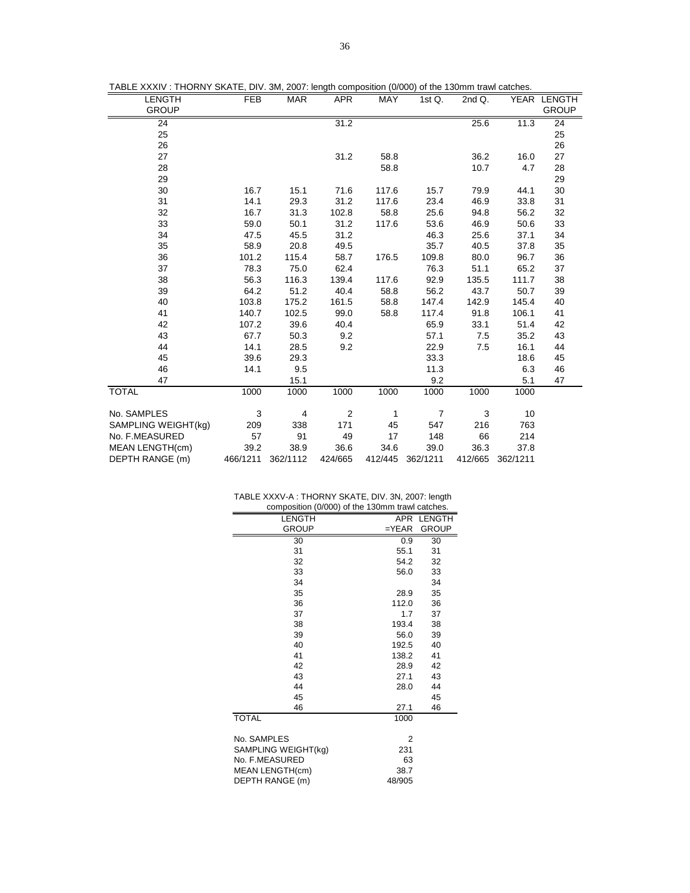| TABLE XXXIV: THORNY SKATE, DIV. 3M, 2007: length composition (0/000) of the 130mm trawl catches. |  |  |  |  |  |  |
|--------------------------------------------------------------------------------------------------|--|--|--|--|--|--|
|--------------------------------------------------------------------------------------------------|--|--|--|--|--|--|

| <b>LENGTH</b>       | <b>FEB</b> | <b>MAR</b> | <b>APR</b>     | MAY     | 1st Q.         | 2nd Q.  |          | YEAR LENGTH  |
|---------------------|------------|------------|----------------|---------|----------------|---------|----------|--------------|
| <b>GROUP</b>        |            |            |                |         |                |         |          | <b>GROUP</b> |
| 24                  |            |            | 31.2           |         |                | 25.6    | 11.3     | 24           |
| 25                  |            |            |                |         |                |         |          | 25           |
| 26                  |            |            |                |         |                |         |          | 26           |
| 27                  |            |            | 31.2           | 58.8    |                | 36.2    | 16.0     | 27           |
| 28                  |            |            |                | 58.8    |                | 10.7    | 4.7      | 28           |
| 29                  |            |            |                |         |                |         |          | 29           |
| 30                  | 16.7       | 15.1       | 71.6           | 117.6   | 15.7           | 79.9    | 44.1     | 30           |
| 31                  | 14.1       | 29.3       | 31.2           | 117.6   | 23.4           | 46.9    | 33.8     | 31           |
| 32                  | 16.7       | 31.3       | 102.8          | 58.8    | 25.6           | 94.8    | 56.2     | 32           |
| 33                  | 59.0       | 50.1       | 31.2           | 117.6   | 53.6           | 46.9    | 50.6     | 33           |
| 34                  | 47.5       | 45.5       | 31.2           |         | 46.3           | 25.6    | 37.1     | 34           |
| 35                  | 58.9       | 20.8       | 49.5           |         | 35.7           | 40.5    | 37.8     | 35           |
| 36                  | 101.2      | 115.4      | 58.7           | 176.5   | 109.8          | 80.0    | 96.7     | 36           |
| 37                  | 78.3       | 75.0       | 62.4           |         | 76.3           | 51.1    | 65.2     | 37           |
| 38                  | 56.3       | 116.3      | 139.4          | 117.6   | 92.9           | 135.5   | 111.7    | 38           |
| 39                  | 64.2       | 51.2       | 40.4           | 58.8    | 56.2           | 43.7    | 50.7     | 39           |
| 40                  | 103.8      | 175.2      | 161.5          | 58.8    | 147.4          | 142.9   | 145.4    | 40           |
| 41                  | 140.7      | 102.5      | 99.0           | 58.8    | 117.4          | 91.8    | 106.1    | 41           |
| 42                  | 107.2      | 39.6       | 40.4           |         | 65.9           | 33.1    | 51.4     | 42           |
| 43                  | 67.7       | 50.3       | 9.2            |         | 57.1           | 7.5     | 35.2     | 43           |
| 44                  | 14.1       | 28.5       | 9.2            |         | 22.9           | 7.5     | 16.1     | 44           |
| 45                  | 39.6       | 29.3       |                |         | 33.3           |         | 18.6     | 45           |
| 46                  | 14.1       | 9.5        |                |         | 11.3           |         | 6.3      | 46           |
| 47                  |            | 15.1       |                |         | 9.2            |         | 5.1      | 47           |
| <b>TOTAL</b>        | 1000       | 1000       | 1000           | 1000    | 1000           | 1000    | 1000     |              |
|                     |            |            |                |         |                |         |          |              |
| No. SAMPLES         | 3          | 4          | $\overline{2}$ | 1       | $\overline{7}$ | 3       | 10       |              |
| SAMPLING WEIGHT(kg) | 209        | 338        | 171            | 45      | 547            | 216     | 763      |              |
| No. F.MEASURED      | 57         | 91         | 49             | 17      | 148            | 66      | 214      |              |
| MEAN LENGTH(cm)     | 39.2       | 38.9       | 36.6           | 34.6    | 39.0           | 36.3    | 37.8     |              |
| DEPTH RANGE (m)     | 466/1211   | 362/1112   | 424/665        | 412/445 | 362/1211       | 412/665 | 362/1211 |              |

| TABLE XXXV-A : THORNY SKATE, DIV. 3N, 2007: length |  |
|----------------------------------------------------|--|
|----------------------------------------------------|--|

| composition (0/000) of the 130mm trawl catches. |         |               |  |  |
|-------------------------------------------------|---------|---------------|--|--|
| LENGTH                                          | APR     | <b>LENGTH</b> |  |  |
| <b>GROUP</b>                                    | $=YEAR$ | <b>GROUP</b>  |  |  |
| 30                                              | 0.9     | 30            |  |  |
| 31                                              | 55.1    | 31            |  |  |
| 32                                              | 54.2    | 32            |  |  |
| 33                                              | 56.0    | 33            |  |  |
| 34                                              |         | 34            |  |  |
| 35                                              | 28.9    | 35            |  |  |
| 36                                              | 112.0   | 36            |  |  |
| 37                                              | 1.7     | 37            |  |  |
| 38                                              | 193.4   | 38            |  |  |
| 39                                              | 56.0    | 39            |  |  |
| 40                                              | 192.5   | 40            |  |  |
| 41                                              | 138.2   | 41            |  |  |
| 42                                              | 28.9    | 42            |  |  |
| 43                                              | 27.1    | 43            |  |  |
| 44                                              | 28.0    | 44            |  |  |
| 45                                              |         | 45            |  |  |
| 46                                              | 27.1    | 46            |  |  |
| <b>TOTAL</b>                                    | 1000    |               |  |  |
| No. SAMPLES                                     | 2       |               |  |  |
| SAMPLING WEIGHT(kg)                             | 231     |               |  |  |
| No. F.MEASURED                                  | 63      |               |  |  |
| MEAN LENGTH(cm)                                 | 38.7    |               |  |  |
| DEPTH RANGE (m)                                 | 48/905  |               |  |  |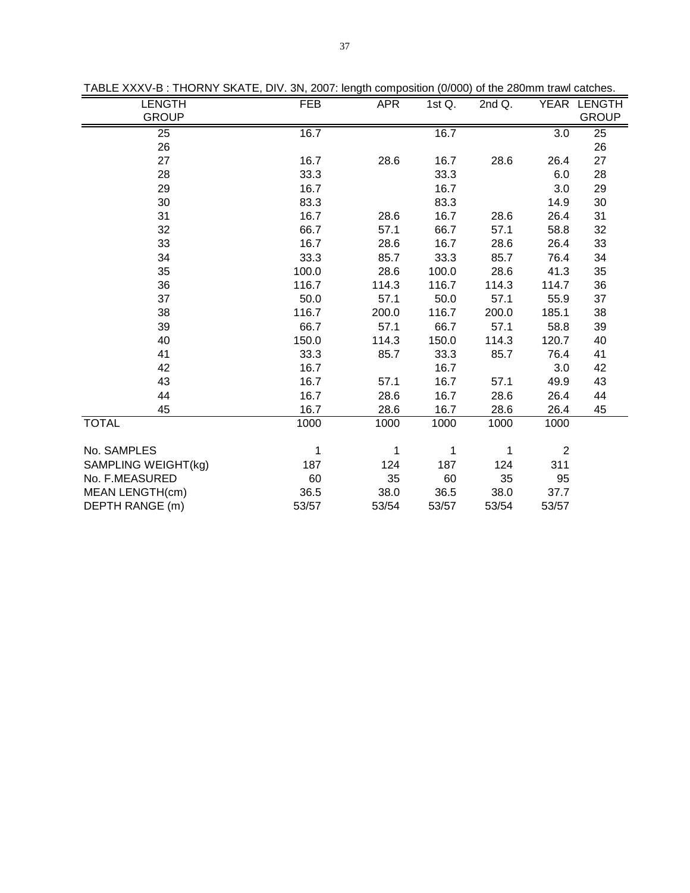| SEE AVAYY B . THORN'T ON THE, BIV. ON, 2007. Tongin composition (0/000) or the 2001. The tam catched.<br><b>LENGTH</b> | <b>FEB</b>  | <b>APR</b> | 1st $Q$ . | 2nd Q. |                | YEAR LENGTH  |
|------------------------------------------------------------------------------------------------------------------------|-------------|------------|-----------|--------|----------------|--------------|
| <b>GROUP</b>                                                                                                           |             |            |           |        |                | <b>GROUP</b> |
| 25                                                                                                                     | 16.7        |            | 16.7      |        | 3.0            | 25           |
| 26                                                                                                                     |             |            |           |        |                | 26           |
| 27                                                                                                                     | 16.7        | 28.6       | 16.7      | 28.6   | 26.4           | 27           |
| 28                                                                                                                     | 33.3        |            | 33.3      |        | 6.0            | 28           |
| 29                                                                                                                     | 16.7        |            | 16.7      |        | 3.0            | 29           |
| 30                                                                                                                     | 83.3        |            | 83.3      |        | 14.9           | 30           |
| 31                                                                                                                     | 16.7        | 28.6       | 16.7      | 28.6   | 26.4           | 31           |
| 32                                                                                                                     | 66.7        | 57.1       | 66.7      | 57.1   | 58.8           | 32           |
| 33                                                                                                                     | 16.7        | 28.6       | 16.7      | 28.6   | 26.4           | 33           |
| 34                                                                                                                     | 33.3        | 85.7       | 33.3      | 85.7   | 76.4           | 34           |
| 35                                                                                                                     | 100.0       | 28.6       | 100.0     | 28.6   | 41.3           | 35           |
| 36                                                                                                                     | 116.7       | 114.3      | 116.7     | 114.3  | 114.7          | 36           |
| 37                                                                                                                     | 50.0        | 57.1       | 50.0      | 57.1   | 55.9           | 37           |
| 38                                                                                                                     | 116.7       | 200.0      | 116.7     | 200.0  | 185.1          | 38           |
| 39                                                                                                                     | 66.7        | 57.1       | 66.7      | 57.1   | 58.8           | 39           |
| 40                                                                                                                     | 150.0       | 114.3      | 150.0     | 114.3  | 120.7          | 40           |
| 41                                                                                                                     | 33.3        | 85.7       | 33.3      | 85.7   | 76.4           | 41           |
| 42                                                                                                                     | 16.7        |            | 16.7      |        | 3.0            | 42           |
| 43                                                                                                                     | 16.7        | 57.1       | 16.7      | 57.1   | 49.9           | 43           |
| 44                                                                                                                     | 16.7        | 28.6       | 16.7      | 28.6   | 26.4           | 44           |
| 45                                                                                                                     | 16.7        | 28.6       | 16.7      | 28.6   | 26.4           | 45           |
| <b>TOTAL</b>                                                                                                           | 1000        | 1000       | 1000      | 1000   | 1000           |              |
|                                                                                                                        |             |            |           |        |                |              |
| No. SAMPLES                                                                                                            | $\mathbf 1$ | 1          | 1         | 1      | $\overline{2}$ |              |
| SAMPLING WEIGHT(kg)                                                                                                    | 187         | 124        | 187       | 124    | 311            |              |
| No. F.MEASURED                                                                                                         | 60          | 35         | 60        | 35     | 95             |              |
| <b>MEAN LENGTH(cm)</b>                                                                                                 | 36.5        | 38.0       | 36.5      | 38.0   | 37.7           |              |
| DEPTH RANGE (m)                                                                                                        | 53/57       | 53/54      | 53/57     | 53/54  | 53/57          |              |

TABLE XXXV-B : THORNY SKATE, DIV. 3N, 2007: length composition (0/000) of the 280mm trawl catches.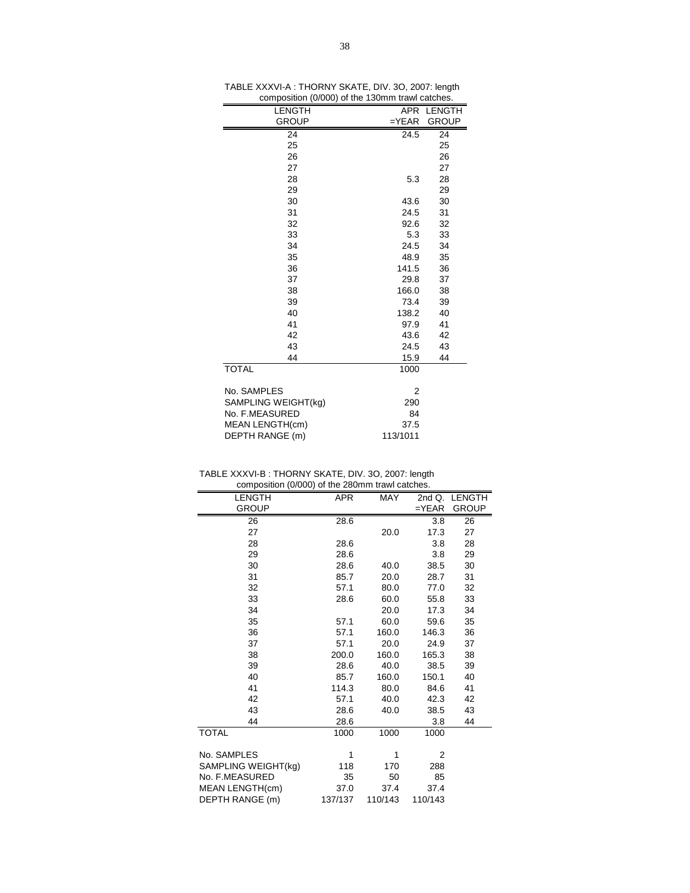| ,                   |            |              |
|---------------------|------------|--------------|
| LENGTH              |            | APR LENGTH   |
| <b>GROUP</b>        | $=$ $YEAR$ | <b>GROUP</b> |
| 24                  | 24.5       | 24           |
| 25                  |            | 25           |
| 26                  |            | 26           |
| 27                  |            | 27           |
| 28                  | 5.3        | 28           |
| 29                  |            | 29           |
| 30                  | 43.6       | 30           |
| 31                  | 24.5       | 31           |
| 32                  | 92.6       | 32           |
| 33                  | 5.3        | 33           |
| 34                  | 24.5       | 34           |
| 35                  | 48.9       | 35           |
| 36                  | 141.5      | 36           |
| 37                  | 29.8       | 37           |
| 38                  | 166.0      | 38           |
| 39                  | 73.4       | 39           |
| 40                  | 138.2      | 40           |
| 41                  | 97.9       | 41           |
| 42                  | 43.6       | 42           |
| 43                  | 24.5       | 43           |
| 44                  | 15.9       | 44           |
| <b>TOTAL</b>        | 1000       |              |
|                     |            |              |
| No. SAMPLES         | 2          |              |
| SAMPLING WEIGHT(kg) | 290        |              |
| No. F.MEASURED      | 84         |              |
| MEAN LENGTH(cm)     | 37.5       |              |
| DEPTH RANGE (m)     | 113/1011   |              |

TABLE XXXVI-A : THORNY SKATE, DIV. 3O, 2007: length composition (0/000) of the 130mm trawl catches.

| TABLE XXXVI-B : THORNY SKATE, DIV. 3O, 2007: length |  |
|-----------------------------------------------------|--|
| composition (0/000) of the 280mm troud optoboo      |  |

| composition (0/000) of the 280mm trawl catches. |            |         |            |               |  |  |
|-------------------------------------------------|------------|---------|------------|---------------|--|--|
| <b>LENGTH</b>                                   | <b>APR</b> | MAY     |            | 2nd Q. LENGTH |  |  |
| <b>GROUP</b>                                    |            |         | $=$ $YEAR$ | <b>GROUP</b>  |  |  |
| 26                                              | 28.6       |         | 3.8        | 26            |  |  |
| 27                                              |            | 20.0    | 17.3       | 27            |  |  |
| 28                                              | 28.6       |         | 3.8        | 28            |  |  |
| 29                                              | 28.6       |         | 3.8        | 29            |  |  |
| 30                                              | 28.6       | 40.0    | 38.5       | 30            |  |  |
| 31                                              | 85.7       | 20.0    | 28.7       | 31            |  |  |
| 32                                              | 57.1       | 80.0    | 77.0       | 32            |  |  |
| 33                                              | 28.6       | 60.0    | 55.8       | 33            |  |  |
| 34                                              |            | 20.0    | 17.3       | 34            |  |  |
| 35                                              | 57.1       | 60.0    | 59.6       | 35            |  |  |
| 36                                              | 57.1       | 160.0   | 146.3      | 36            |  |  |
| 37                                              | 57.1       | 20.0    | 24.9       | 37            |  |  |
| 38                                              | 200.0      | 160.0   | 165.3      | 38            |  |  |
| 39                                              | 28.6       | 40.0    | 38.5       | 39            |  |  |
| 40                                              | 85.7       | 160.0   | 150.1      | 40            |  |  |
| 41                                              | 114.3      | 80.0    | 84.6       | 41            |  |  |
| 42                                              | 57.1       | 40.0    | 42.3       | 42            |  |  |
| 43                                              | 28.6       | 40.0    | 38.5       | 43            |  |  |
| 44                                              | 28.6       |         | 3.8        | 44            |  |  |
| <b>TOTAL</b>                                    | 1000       | 1000    | 1000       |               |  |  |
|                                                 |            |         |            |               |  |  |
| No. SAMPLES                                     | 1          | 1       | 2          |               |  |  |
| SAMPLING WEIGHT(kg)                             | 118        | 170     | 288        |               |  |  |
| No. F.MEASURED                                  | 35         | 50      | 85         |               |  |  |
| MEAN LENGTH(cm)                                 | 37.0       | 37.4    | 37.4       |               |  |  |
| DEPTH RANGE (m)                                 | 137/137    | 110/143 | 110/143    |               |  |  |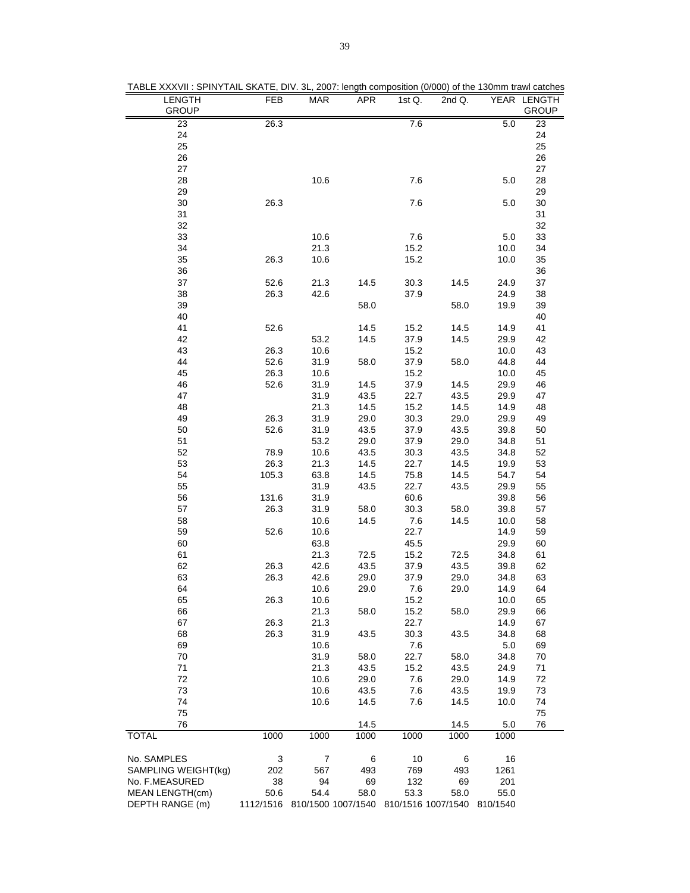| <b>LENGTH</b>                         | FEB       | MAR       | <b>APR</b>                                      | 1st Q.     | 2nd Q.    |             | YEAR LENGTH  |
|---------------------------------------|-----------|-----------|-------------------------------------------------|------------|-----------|-------------|--------------|
| <b>GROUP</b>                          |           |           |                                                 |            |           |             | <b>GROUP</b> |
| 23<br>24                              | 26.3      |           |                                                 | 7.6        |           | 5.0         | 23           |
| 25                                    |           |           |                                                 |            |           |             | 24<br>25     |
| 26                                    |           |           |                                                 |            |           |             | 26           |
| 27                                    |           |           |                                                 |            |           |             | 27           |
| 28                                    |           | 10.6      |                                                 | 7.6        |           | 5.0         | 28           |
| 29                                    |           |           |                                                 |            |           |             | 29           |
| 30                                    | 26.3      |           |                                                 | 7.6        |           | 5.0         | 30           |
| 31                                    |           |           |                                                 |            |           |             | 31           |
| 32                                    |           |           |                                                 |            |           |             | 32           |
| 33                                    |           | 10.6      |                                                 | 7.6        |           | 5.0         | 33           |
| 34                                    |           | 21.3      |                                                 | 15.2       |           | 10.0        | 34           |
| 35                                    | 26.3      | 10.6      |                                                 | 15.2       |           | 10.0        | 35           |
| 36                                    |           |           |                                                 |            |           |             | 36           |
| 37                                    | 52.6      | 21.3      | 14.5                                            | 30.3       | 14.5      | 24.9        | 37           |
| 38                                    | 26.3      | 42.6      |                                                 | 37.9       |           | 24.9        | 38           |
| 39                                    |           |           | 58.0                                            |            | 58.0      | 19.9        | 39           |
| 40                                    |           |           |                                                 |            |           |             | 40           |
| 41                                    | 52.6      |           | 14.5                                            | 15.2       | 14.5      | 14.9        | 41           |
| 42                                    |           | 53.2      | 14.5                                            | 37.9       | 14.5      | 29.9        | 42           |
| 43                                    | 26.3      | 10.6      |                                                 | 15.2       |           | 10.0        | 43           |
| 44                                    | 52.6      | 31.9      | 58.0                                            | 37.9       | 58.0      | 44.8        | 44           |
| 45                                    | 26.3      | 10.6      |                                                 | 15.2       |           | 10.0        | 45           |
| 46                                    | 52.6      | 31.9      | 14.5                                            | 37.9       | 14.5      | 29.9        | 46           |
| 47                                    |           | 31.9      | 43.5                                            | 22.7       | 43.5      | 29.9        | 47           |
| 48                                    |           | 21.3      | 14.5                                            | 15.2       | 14.5      | 14.9        | 48           |
| 49                                    | 26.3      | 31.9      | 29.0                                            | 30.3       | 29.0      | 29.9        | 49           |
| 50                                    | 52.6      | 31.9      | 43.5                                            | 37.9       | 43.5      | 39.8        | 50           |
| 51                                    |           | 53.2      | 29.0                                            | 37.9       | 29.0      | 34.8        | 51           |
| 52                                    | 78.9      | 10.6      | 43.5                                            | 30.3       | 43.5      | 34.8        | 52           |
| 53                                    | 26.3      | 21.3      | 14.5                                            | 22.7       | 14.5      | 19.9        | 53           |
| 54                                    | 105.3     | 63.8      | 14.5                                            | 75.8       | 14.5      | 54.7        | 54           |
| 55                                    |           | 31.9      | 43.5                                            | 22.7       | 43.5      | 29.9        | 55           |
| 56                                    | 131.6     | 31.9      |                                                 | 60.6       |           | 39.8        | 56           |
| 57                                    | 26.3      | 31.9      | 58.0                                            | 30.3       | 58.0      | 39.8        | 57           |
| 58                                    |           | 10.6      | 14.5                                            | 7.6        | 14.5      | 10.0        | 58           |
| 59                                    | 52.6      | 10.6      |                                                 | 22.7       |           | 14.9        | 59           |
| 60                                    |           | 63.8      |                                                 | 45.5       |           | 29.9        | 60           |
| 61                                    |           | 21.3      | 72.5                                            | 15.2       | 72.5      | 34.8        | 61           |
| 62                                    | 26.3      | 42.6      | 43.5                                            | 37.9       | 43.5      | 39.8        | 62           |
| 63                                    | 26.3      | 42.6      | 29.0                                            | 37.9       | 29.0      | 34.8        | 63           |
| 64                                    |           | 10.6      | 29.0                                            | 7.6        | 29.0      | 14.9        | 64           |
| 65                                    | 26.3      | 10.6      |                                                 | 15.2       |           | 10.0        | 65           |
| 66                                    |           | 21.3      | 58.0                                            | 15.2       | 58.0      | 29.9        | 66           |
| 67                                    | 26.3      | 21.3      |                                                 | 22.7       |           | 14.9        | 67           |
| 68                                    | 26.3      | 31.9      | 43.5                                            | 30.3       | 43.5      | 34.8        | 68           |
| 69                                    |           | 10.6      |                                                 | 7.6        |           | 5.0         | 69           |
| 70                                    |           | 31.9      | 58.0                                            | 22.7       | 58.0      | 34.8        | 70           |
| 71                                    |           | 21.3      | 43.5                                            | 15.2       | 43.5      | 24.9        | 71           |
| 72                                    |           | 10.6      | 29.0                                            | 7.6        | 29.0      | 14.9        | 72           |
| 73                                    |           | 10.6      | 43.5                                            | 7.6        | 43.5      | 19.9        | 73           |
| 74                                    |           | 10.6      | 14.5                                            | 7.6        | 14.5      | 10.0        | 74           |
| 75                                    |           |           |                                                 |            |           |             | 75           |
| 76                                    |           |           | 14.5                                            |            | 14.5      | 5.0         | 76           |
| <b>TOTAL</b>                          | 1000      | 1000      | 1000                                            | 1000       | 1000      | 1000        |              |
|                                       |           |           |                                                 |            |           |             |              |
| No. SAMPLES                           | 3         | 7         | 6                                               | 10         | 6         | 16          |              |
| SAMPLING WEIGHT(kg)<br>No. F.MEASURED | 202<br>38 | 567<br>94 | 493                                             | 769<br>132 | 493<br>69 | 1261<br>201 |              |
| MEAN LENGTH(cm)                       | 50.6      | 54.4      | 69<br>58.0                                      | 53.3       | 58.0      | 55.0        |              |
| DEPTH RANGE (m)                       |           |           | 1112/1516 810/1500 1007/1540 810/1516 1007/1540 |            |           | 810/1540    |              |

TABLE XXXVII : SPINYTAIL SKATE, DIV. 3L, 2007: length composition (0/000) of the 130mm trawl catches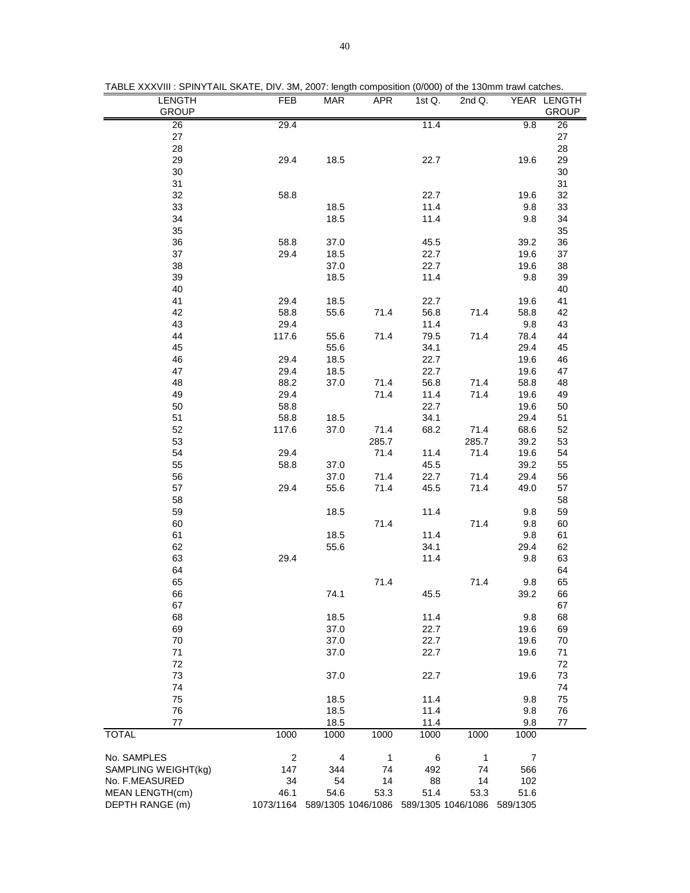|  |  | TABLE XXXVIII : SPINYTAIL SKATE, DIV. 3M, 2007: length composition (0/000) of the 130mm trawl catches. |
|--|--|--------------------------------------------------------------------------------------------------------|
|  |  |                                                                                                        |

| <b>LENGTH</b>       | FEB                     | MAR  | APR                          | 1st $Q$ . | 2nd Q.             |                | YEAR LENGTH  |
|---------------------|-------------------------|------|------------------------------|-----------|--------------------|----------------|--------------|
| <b>GROUP</b>        |                         |      |                              |           |                    |                | <b>GROUP</b> |
| 26                  | 29.4                    |      |                              | 11.4      |                    | 9.8            | 26           |
| 27                  |                         |      |                              |           |                    |                | $27\,$       |
| 28                  |                         |      |                              |           |                    |                | 28           |
| 29                  | 29.4                    | 18.5 |                              | 22.7      |                    | 19.6           | 29           |
| 30                  |                         |      |                              |           |                    |                | $30\,$       |
| 31                  |                         |      |                              |           |                    |                | 31           |
| 32                  | 58.8                    |      |                              | 22.7      |                    | 19.6           | 32           |
| 33                  |                         | 18.5 |                              | 11.4      |                    | 9.8            | 33           |
| 34                  |                         | 18.5 |                              | 11.4      |                    | 9.8            | 34           |
| 35                  |                         |      |                              |           |                    |                | 35           |
| 36                  | 58.8                    | 37.0 |                              | 45.5      |                    | 39.2           | 36           |
| 37                  | 29.4                    | 18.5 |                              | 22.7      |                    | 19.6           | 37           |
| 38                  |                         | 37.0 |                              | 22.7      |                    | 19.6           | 38           |
| 39                  |                         | 18.5 |                              | 11.4      |                    | 9.8            | 39           |
| 40                  |                         |      |                              |           |                    |                | 40           |
| 41                  | 29.4                    | 18.5 |                              | 22.7      |                    | 19.6           | 41           |
| 42                  | 58.8                    | 55.6 | 71.4                         | 56.8      | 71.4               | 58.8           | 42           |
| 43                  | 29.4                    |      |                              | 11.4      |                    | 9.8            | 43           |
| 44                  | 117.6                   | 55.6 | 71.4                         | 79.5      | 71.4               | 78.4           | 44           |
| 45                  |                         | 55.6 |                              | 34.1      |                    | 29.4           | 45           |
| 46                  | 29.4                    | 18.5 |                              | 22.7      |                    | 19.6           | 46           |
| 47                  | 29.4                    | 18.5 |                              | 22.7      |                    | 19.6           | 47           |
| 48                  | 88.2                    | 37.0 | 71.4                         | 56.8      | 71.4               | 58.8           | 48           |
| 49                  | 29.4                    |      | 71.4                         | 11.4      | 71.4               | 19.6           | 49           |
| 50                  | 58.8                    |      |                              | 22.7      |                    | 19.6           | 50           |
| 51                  | 58.8                    | 18.5 |                              | 34.1      |                    | 29.4           | 51           |
| 52                  | 117.6                   | 37.0 | 71.4                         | 68.2      | 71.4               | 68.6           | 52           |
| 53                  |                         |      | 285.7                        |           | 285.7              | 39.2           | 53           |
| 54                  | 29.4                    |      | 71.4                         | 11.4      | 71.4               | 19.6           | 54           |
| 55                  | 58.8                    | 37.0 |                              | 45.5      |                    | 39.2           | 55           |
| 56                  |                         | 37.0 | 71.4                         | 22.7      | 71.4               | 29.4           | 56           |
| 57                  | 29.4                    | 55.6 | 71.4                         | 45.5      | 71.4               | 49.0           | 57           |
| 58                  |                         |      |                              |           |                    |                | 58           |
| 59                  |                         | 18.5 |                              | 11.4      |                    | 9.8            | 59           |
| 60                  |                         |      | 71.4                         |           | 71.4               | 9.8            | 60           |
| 61                  |                         | 18.5 |                              | 11.4      |                    | 9.8            | 61           |
| 62                  |                         | 55.6 |                              | 34.1      |                    | 29.4           | 62           |
| 63                  | 29.4                    |      |                              | 11.4      |                    | 9.8            | 63           |
| 64                  |                         |      |                              |           |                    |                | 64           |
| 65                  |                         |      | 71.4                         |           | 71.4               | 9.8            | 65           |
| 66                  |                         | 74.1 |                              | 45.5      |                    | 39.2           | 66           |
| 67                  |                         |      |                              |           |                    |                | 67           |
| 68                  |                         | 18.5 |                              | 11.4      |                    | 9.8            | 68           |
| 69                  |                         | 37.0 |                              | 22.7      |                    | 19.6           | 69           |
| 70                  |                         | 37.0 |                              | 22.7      |                    | 19.6           | 70           |
| 71                  |                         | 37.0 |                              | 22.7      |                    | 19.6           | 71           |
| 72                  |                         |      |                              |           |                    |                | 72           |
| 73                  |                         | 37.0 |                              | 22.7      |                    | 19.6           | 73           |
| 74                  |                         |      |                              |           |                    |                | 74           |
| 75                  |                         | 18.5 |                              | 11.4      |                    | 9.8            | 75           |
| 76                  |                         | 18.5 |                              | 11.4      |                    | 9.8            | 76           |
| 77                  |                         | 18.5 |                              | 11.4      |                    | 9.8            | 77           |
| <b>TOTAL</b>        | 1000                    | 1000 | 1000                         | 1000      | 1000               | 1000           |              |
| No. SAMPLES         | $\overline{\mathbf{c}}$ | 4    | 1                            | 6         | 1                  | $\overline{7}$ |              |
| SAMPLING WEIGHT(kg) | 147                     | 344  | 74                           | 492       | 74                 | 566            |              |
| No. F.MEASURED      | 34                      | 54   | 14                           | 88        | 14                 | 102            |              |
| MEAN LENGTH(cm)     | 46.1                    | 54.6 | 53.3                         | 51.4      | 53.3               | 51.6           |              |
| DEPTH RANGE (m)     |                         |      | 1073/1164 589/1305 1046/1086 |           | 589/1305 1046/1086 | 589/1305       |              |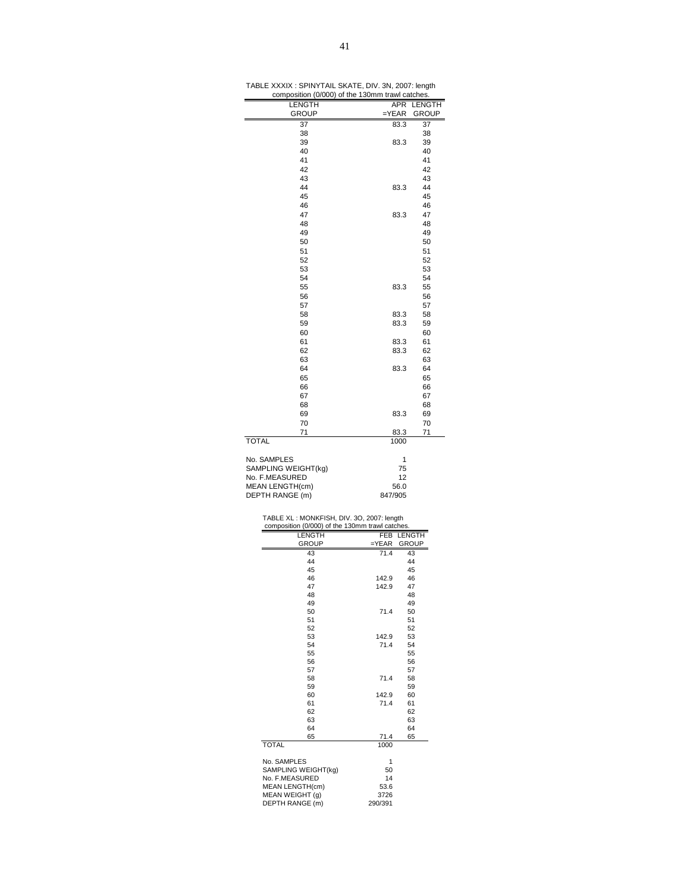| <b>LENGTH</b>                                                                                     | APR                              | LENGTH        |
|---------------------------------------------------------------------------------------------------|----------------------------------|---------------|
| GROUP                                                                                             | $=$ YEAR                         | GROUP         |
| 37                                                                                                | 83.3                             | 37            |
| 38<br>39                                                                                          | 83.3                             | 38<br>39      |
| 40                                                                                                |                                  | 40            |
| 41                                                                                                |                                  | 41            |
| 42                                                                                                |                                  | 42            |
| 43                                                                                                |                                  | 43            |
| 44<br>45                                                                                          | 83.3                             | 44<br>45      |
| 46                                                                                                |                                  | 46            |
| 47                                                                                                | 83.3                             | 47            |
| 48                                                                                                |                                  | 48            |
| 49                                                                                                |                                  | 49            |
| 50                                                                                                |                                  | 50            |
| 51                                                                                                |                                  | 51            |
| 52<br>53                                                                                          |                                  | 52<br>53      |
| 54                                                                                                |                                  | 54            |
| 55                                                                                                | 83.3                             | 55            |
| 56                                                                                                |                                  | 56            |
| 57                                                                                                |                                  | 57            |
| 58                                                                                                | 83.3                             | 58            |
| 59                                                                                                | 83.3                             | 59            |
| 60                                                                                                |                                  | 60            |
| 61<br>62                                                                                          | 83.3<br>83.3                     | 61<br>62      |
| 63                                                                                                |                                  | 63            |
| 64                                                                                                | 83.3                             | 64            |
| 65                                                                                                |                                  | 65            |
| 66                                                                                                |                                  | 66            |
| 67                                                                                                |                                  | 67            |
| 68                                                                                                |                                  | 68            |
| 69                                                                                                | 83.3                             | 69            |
| 70<br>71                                                                                          | 83.3                             | 70<br>71      |
| <b>TOTAL</b>                                                                                      | 1000                             |               |
| No. SAMPLES<br>SAMPLING WEIGHT(kg)<br>No. F.MEASURED<br><b>MEAN LENGTH(cm)</b><br>DEPTH RANGE (m) | 1<br>75<br>12<br>56.0<br>847/905 |               |
|                                                                                                   |                                  |               |
| TABLE XL: MONKFISH, DIV. 3O, 2007: length                                                         |                                  |               |
| composition (0/000) of the 130mm trawl catches.                                                   |                                  |               |
| <b>LENGTH</b>                                                                                     | FEB                              | <b>LENGTH</b> |
| <b>GROUP</b>                                                                                      | =YEAR<br>71.4                    | <b>GROUP</b>  |
| 43<br>44                                                                                          |                                  | 43<br>44      |
| 45                                                                                                |                                  | 45            |
| 46                                                                                                | 142.9                            | 46            |
| 47                                                                                                | 142.9                            | 47            |
| 48<br>49                                                                                          |                                  | 48<br>49      |
| 50                                                                                                | 71.4                             | 50            |
| 51                                                                                                |                                  | 51            |
| 52<br>53                                                                                          |                                  | 52            |
| 54                                                                                                | 142.9<br>71.4                    | 53<br>54      |
| 55                                                                                                |                                  | 55            |
| 56                                                                                                |                                  | 56            |
| 57                                                                                                |                                  | 57            |
| 58<br>59                                                                                          | 71.4                             | 58<br>59      |
| 60                                                                                                | 142.9                            | 60            |
| 61                                                                                                | 71.4                             | 61            |
| 62                                                                                                |                                  | 62            |
| 63<br>64                                                                                          |                                  | 63<br>64      |
| 65                                                                                                | 71.4                             | 65            |
| <b>TOTAL</b>                                                                                      | 1000                             |               |
|                                                                                                   |                                  |               |
| No. SAMPLES<br>SAMPLING WEIGHT(kg)                                                                | 1<br>50                          |               |
| No. F.MEASURED                                                                                    | 14                               |               |
| MEAN LENGTH(cm)                                                                                   | 53.6                             |               |
| MEAN WEIGHT (g)                                                                                   | 3726                             |               |
| DEPTH RANGE (m)                                                                                   | 290/391                          |               |
|                                                                                                   |                                  |               |

TABLE XXXIX : SPINYTAIL SKATE, DIV. 3N, 2007: length composition (0/000) of the 130mm trawl catches.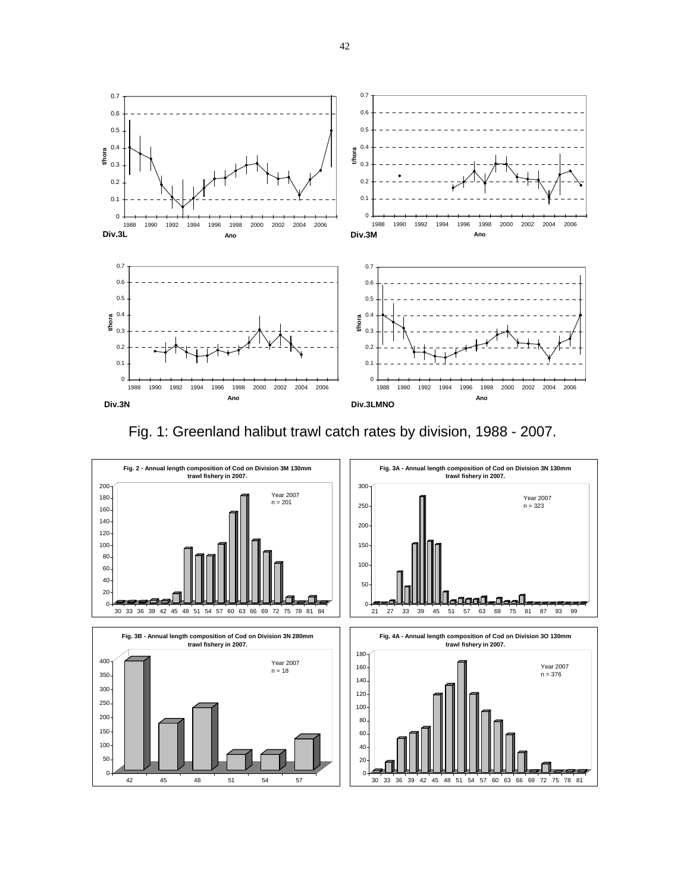

Fig. 1: Greenland halibut trawl catch rates by division, 1988 - 2007.

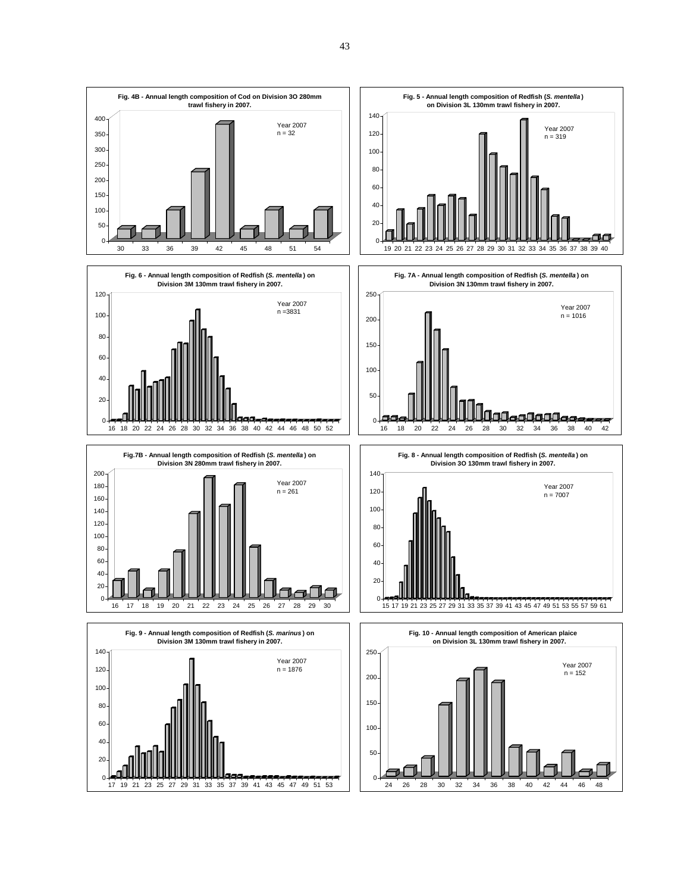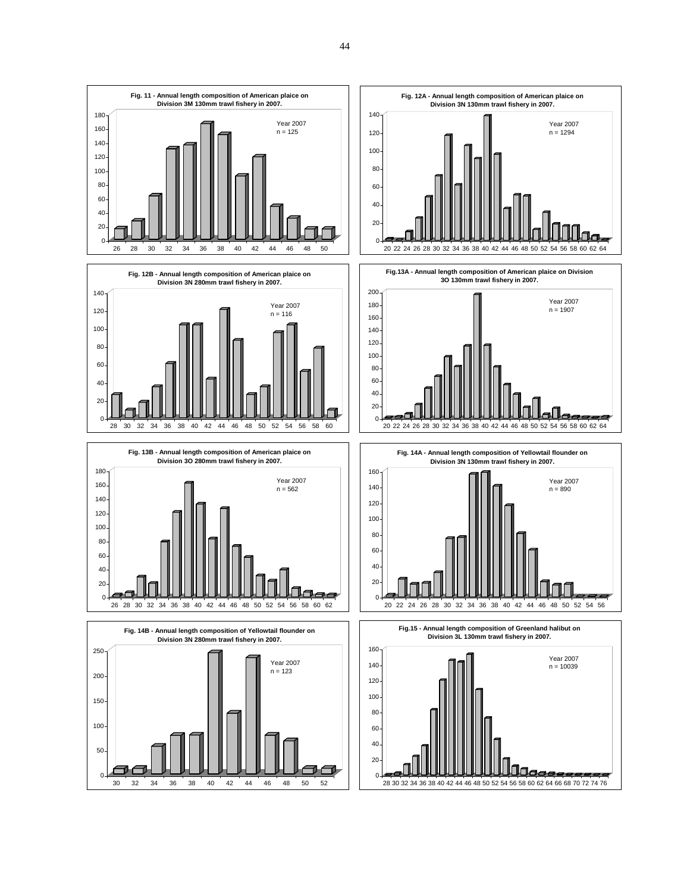

30 32 34 36 38 40 42 44 46 48 50 52

 $\Omega$ 28 30 32 34 36 38 40 42 44 46 48 50 52 54 56 58 60 62 64 66 68 70 72 74 76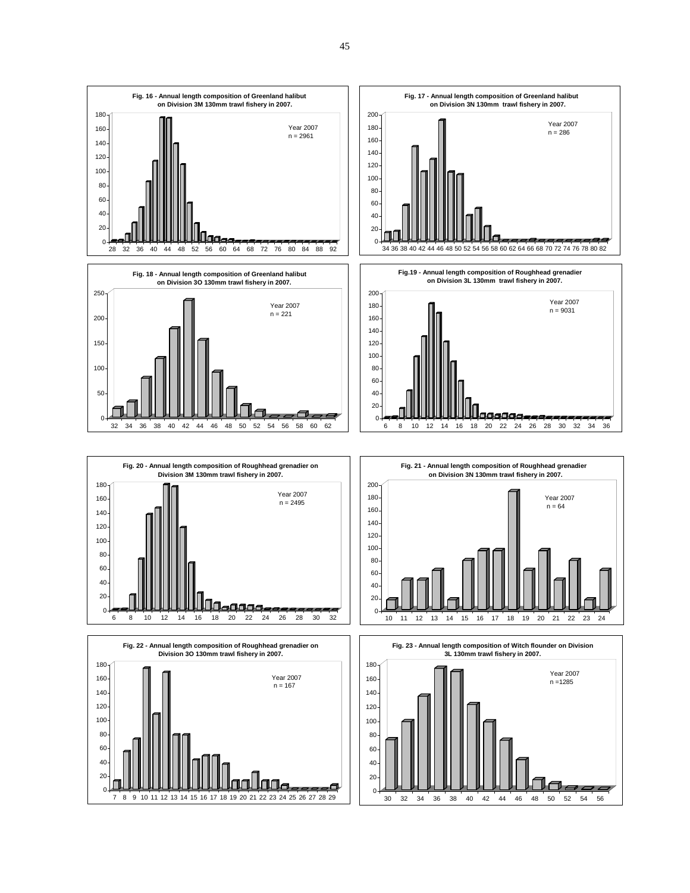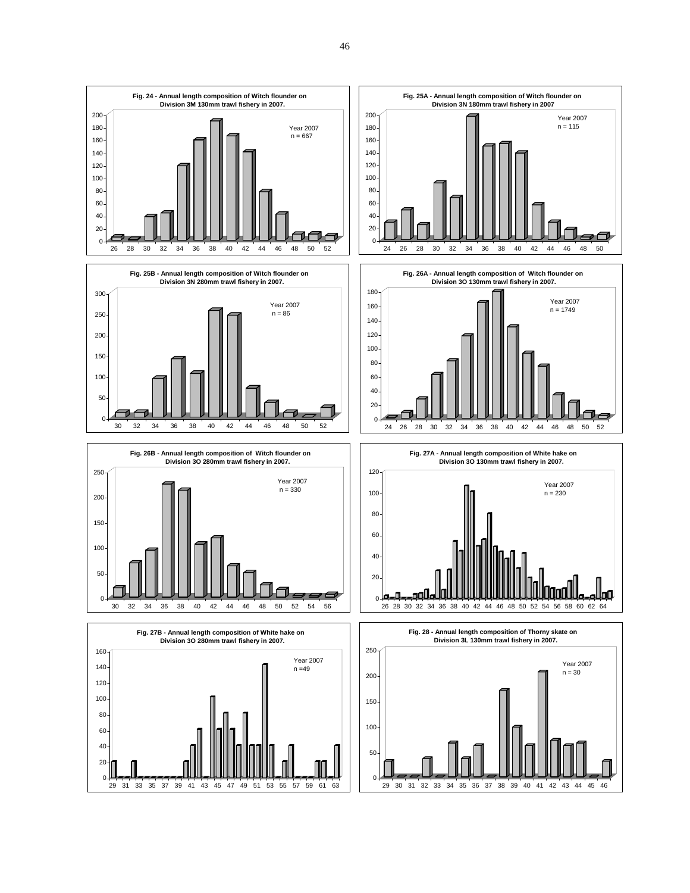